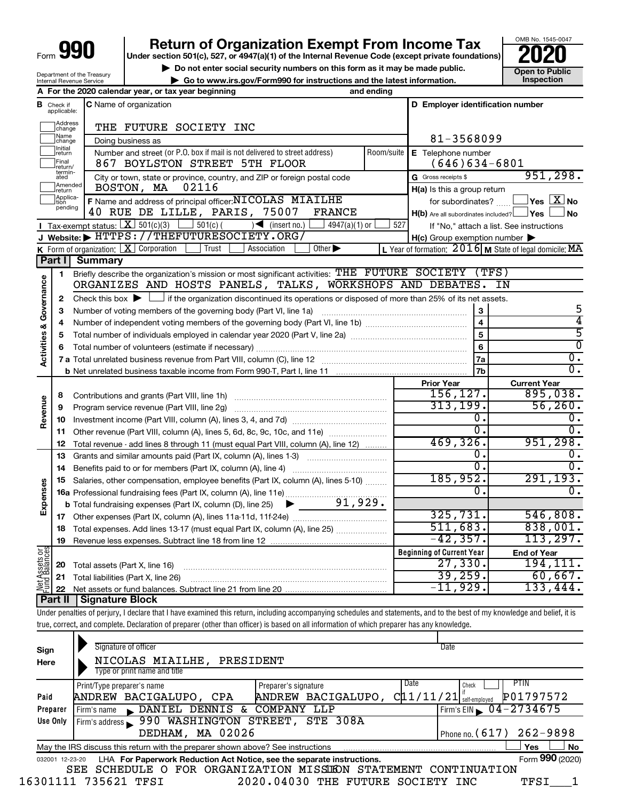# **990** Return of Organization Exempt From Income Tax <br>
Under section 501(c), 527, or 4947(a)(1) of the Internal Revenue Code (except private foundations)<br> **PO20**

▶ Do not enter social security numbers on this form as it may be made public. **Open to Public** 

OMB No. 1545-0047  $^{\cdot}$  Inspection

| Department of the Treasury<br>Internal Revenue Service |
|--------------------------------------------------------|
| A For the 2020 calene                                  |

|                                 | $\triangleright$ Go to www.irs.gov/Form990 for instructions and the latest information. |  |
|---------------------------------|-----------------------------------------------------------------------------------------|--|
| dar year, or tax year beginning | and ending                                                                              |  |

| В                                  | Check if<br>applicable:              | C Name of organization                                                                                                                      |            | D Employer identification number                    |                                                           |
|------------------------------------|--------------------------------------|---------------------------------------------------------------------------------------------------------------------------------------------|------------|-----------------------------------------------------|-----------------------------------------------------------|
|                                    | <b>Address</b><br>change             | THE FUTURE SOCIETY INC                                                                                                                      |            |                                                     |                                                           |
|                                    | Mame<br>]change<br>Doing business as |                                                                                                                                             |            | 81-3568099                                          |                                                           |
|                                    | Initial<br> return                   | Number and street (or P.O. box if mail is not delivered to street address)                                                                  | Room/suite | E Telephone number                                  |                                                           |
|                                    | Final<br> return/                    | 867 BOYLSTON STREET 5TH FLOOR                                                                                                               |            | $(646)634-6801$                                     |                                                           |
|                                    | termin-<br>ated                      | City or town, state or province, country, and ZIP or foreign postal code                                                                    |            | G Gross receipts \$                                 | 951, 298.                                                 |
|                                    | Amended<br> return                   | 02116<br>BOSTON, MA                                                                                                                         |            | H(a) Is this a group return                         |                                                           |
|                                    | Applica-                             | F Name and address of principal officer: NICOLAS MIAILHE                                                                                    |            | for subordinates?                                   | $\Box$ Yes $\Box X$ No                                    |
|                                    | pending                              | 40 RUE DE LILLE, PARIS, 75007<br><b>FRANCE</b>                                                                                              |            | $H(b)$ Are all subordinates included? $\Box$ Yes    | ⊥No                                                       |
|                                    |                                      | Tax-exempt status: $X \over 301(c)(3)$<br>$501(c)$ (<br>$\sqrt{\frac{1}{1}}$ (insert no.)<br>$4947(a)(1)$ or                                | 527        |                                                     | If "No," attach a list. See instructions                  |
|                                    |                                      | J Website: FHTTPS://THEFUTURESOCIETY.ORG/                                                                                                   |            | $H(c)$ Group exemption number $\blacktriangleright$ |                                                           |
|                                    |                                      | K Form of organization: X Corporation<br>Trust<br>Association<br>Other $\blacktriangleright$                                                |            |                                                     | L Year of formation: $2016$ M State of legal domicile: MA |
|                                    | Part I                               | <b>Summary</b>                                                                                                                              |            |                                                     |                                                           |
|                                    | 1                                    | Briefly describe the organization's mission or most significant activities: THE FUTURE SOCIETY                                              |            |                                                     | (TFS)                                                     |
| <b>Activities &amp; Governance</b> |                                      | ORGANIZES AND HOSTS PANELS, TALKS, WORKSHOPS AND DEBATES.                                                                                   |            |                                                     | ΙN                                                        |
|                                    | $\mathbf{2}$                         | Check this box $\blacktriangleright$ $\Box$ if the organization discontinued its operations or disposed of more than 25% of its net assets. |            |                                                     |                                                           |
|                                    | 3                                    |                                                                                                                                             |            | 3                                                   | 5                                                         |
|                                    | 4                                    |                                                                                                                                             |            | $\overline{\mathbf{4}}$                             | 4                                                         |
|                                    | 5                                    |                                                                                                                                             |            | 5                                                   | $\overline{5}$                                            |
|                                    | 6                                    |                                                                                                                                             |            | 6                                                   | $\overline{0}$                                            |
|                                    |                                      |                                                                                                                                             |            | 7a                                                  | $\overline{0}$ .                                          |
|                                    |                                      |                                                                                                                                             |            | 7b                                                  | $\overline{0}$ .                                          |
|                                    |                                      |                                                                                                                                             |            | <b>Prior Year</b>                                   | <b>Current Year</b>                                       |
|                                    | 8                                    | Contributions and grants (Part VIII, line 1h)                                                                                               |            | 156, 127.                                           | 895,038.                                                  |
| Revenue                            | 9                                    | Program service revenue (Part VIII, line 2g)                                                                                                |            | 313, 199.                                           | 56, 260.                                                  |
|                                    | 10                                   |                                                                                                                                             |            | σ.<br>σ.                                            | Ο.                                                        |
|                                    | 11                                   | Other revenue (Part VIII, column (A), lines 5, 6d, 8c, 9c, 10c, and 11e)                                                                    |            |                                                     | σ.                                                        |
|                                    | 12                                   | Total revenue - add lines 8 through 11 (must equal Part VIII, column (A), line 12)                                                          |            | 469,326.                                            | 951, 298.                                                 |
|                                    | 13                                   | Grants and similar amounts paid (Part IX, column (A), lines 1-3)                                                                            |            | о.<br>$\overline{0}$ .                              | О.<br>0.                                                  |
|                                    | 14                                   |                                                                                                                                             |            | 185,952.                                            | 291, 193.                                                 |
|                                    | 15                                   | Salaries, other compensation, employee benefits (Part IX, column (A), lines 5-10)                                                           |            | 0.                                                  | $\overline{0}$ .                                          |
|                                    |                                      |                                                                                                                                             |            |                                                     |                                                           |
| Expenses                           |                                      | 91,929.<br><b>b</b> Total fundraising expenses (Part IX, column (D), line 25)<br>▶                                                          |            | 325,731.                                            | 546,808.                                                  |
|                                    |                                      |                                                                                                                                             |            | 511,683.                                            | 838,001.                                                  |
|                                    | 18                                   | Total expenses. Add lines 13-17 (must equal Part IX, column (A), line 25)                                                                   |            | $-42, 357.$                                         | 113, 297.                                                 |
|                                    | 19                                   |                                                                                                                                             |            | <b>Beginning of Current Year</b>                    |                                                           |
| Assets or                          |                                      |                                                                                                                                             |            | 27,330.                                             | <b>End of Year</b><br>194, 111.                           |
|                                    | 20                                   | Total assets (Part X, line 16)                                                                                                              |            | 39, 259.                                            | 60,667.                                                   |
|                                    | 21                                   | Total liabilities (Part X, line 26)                                                                                                         |            | $-11,929.$                                          | 133,444.                                                  |
|                                    | 22                                   | <b>Part II   Signature Block</b>                                                                                                            |            |                                                     |                                                           |
|                                    |                                      |                                                                                                                                             |            |                                                     |                                                           |

Under penalties of perjury, I declare that I have examined this return, including accompanying schedules and statements, and to the best of my knowledge and belief, it is true, correct, and complete. Declaration of preparer (other than officer) is based on all information of which preparer has any knowledge.

| Sign<br>Here    | Signature of officer<br>NICOLAS MIAILHE,<br>PRESIDENT<br>Type or print name and title |                                                                | Date                                |
|-----------------|---------------------------------------------------------------------------------------|----------------------------------------------------------------|-------------------------------------|
| Paid            | Print/Type preparer's name<br>ANDREW BACIGALUPO, CPA                                  | Date<br>Preparer's signature<br>Cl1/11/21<br>ANDREW BACIGALUPO | Check<br>P01797572<br>self-emploved |
| Preparer        | DENNIS &<br>DANIEL<br>Firm's name                                                     | COMPANY<br>LLP                                                 | Firm's EIN $\bigcirc$ 04-2734675    |
| Use Only        | 990 WASHINGTON STREET,<br>Firm's address                                              | STE 308A                                                       |                                     |
|                 | DEDHAM, MA 02026                                                                      |                                                                | $262 - 9898$<br>Phone no. $(617)$   |
|                 | May the IRS discuss this return with the preparer shown above? See instructions       |                                                                | No<br><b>Yes</b>                    |
| 032001 12-23-20 | LHA For Paperwork Reduction Act Notice, see the separate instructions.                |                                                                | Form 990 (2020)                     |
|                 | SEE                                                                                   | SCHEDULE O FOR ORGANIZATION MISSIKON STATEMENT CONTINUATION    |                                     |
| 16301111        | 735621 TFST                                                                           | 2020.04030<br>THE FUTURE<br>SOCTETY                            | TFS:<br>TNC.                        |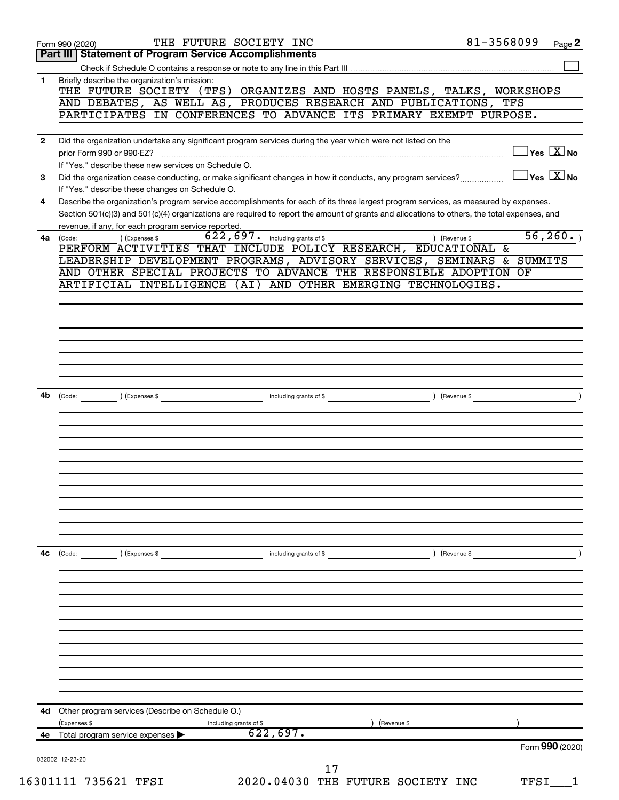|              | THE FUTURE SOCIETY INC<br>Form 990 (2020)                                                                                                                                                           | 81-3568099    |      | Page 2                                  |
|--------------|-----------------------------------------------------------------------------------------------------------------------------------------------------------------------------------------------------|---------------|------|-----------------------------------------|
|              | <b>Statement of Program Service Accomplishments</b><br>Part III                                                                                                                                     |               |      |                                         |
|              |                                                                                                                                                                                                     |               |      |                                         |
| 1            | Briefly describe the organization's mission:<br>THE FUTURE SOCIETY (TFS) ORGANIZES AND HOSTS PANELS, TALKS, WORKSHOPS                                                                               |               |      |                                         |
|              | AND DEBATES, AS WELL AS, PRODUCES RESEARCH AND PUBLICATIONS, TFS                                                                                                                                    |               |      |                                         |
|              | PARTICIPATES IN CONFERENCES TO ADVANCE ITS PRIMARY EXEMPT PURPOSE.                                                                                                                                  |               |      |                                         |
|              |                                                                                                                                                                                                     |               |      |                                         |
| $\mathbf{2}$ | Did the organization undertake any significant program services during the year which were not listed on the<br>prior Form 990 or 990-EZ?                                                           |               |      | $\Box$ Yes $[\overline{\mathrm{X}}]$ No |
|              | If "Yes," describe these new services on Schedule O.                                                                                                                                                |               |      |                                         |
| 3            | Did the organization cease conducting, or make significant changes in how it conducts, any program services?                                                                                        |               |      | $\Box$ Yes $[\overline{\mathrm{X}}]$ No |
|              | If "Yes," describe these changes on Schedule O.                                                                                                                                                     |               |      |                                         |
| 4            | Describe the organization's program service accomplishments for each of its three largest program services, as measured by expenses.                                                                |               |      |                                         |
|              | Section 501(c)(3) and 501(c)(4) organizations are required to report the amount of grants and allocations to others, the total expenses, and<br>revenue, if any, for each program service reported. |               |      |                                         |
| 4a           | $622, 697$ . including grants of \$<br>) (Expenses \$<br>(Code:                                                                                                                                     | ) (Revenue \$ |      | 56, 260.                                |
|              | PERFORM ACTIVITIES THAT INCLUDE POLICY RESEARCH, EDUCATIONAL &                                                                                                                                      |               |      |                                         |
|              | LEADERSHIP DEVELOPMENT PROGRAMS, ADVISORY SERVICES, SEMINARS & SUMMITS                                                                                                                              |               |      |                                         |
|              | AND OTHER SPECIAL PROJECTS TO ADVANCE THE RESPONSIBLE ADOPTION OF                                                                                                                                   |               |      |                                         |
|              | ARTIFICIAL INTELLIGENCE (AI) AND OTHER EMERGING TECHNOLOGIES.                                                                                                                                       |               |      |                                         |
|              |                                                                                                                                                                                                     |               |      |                                         |
|              |                                                                                                                                                                                                     |               |      |                                         |
|              |                                                                                                                                                                                                     |               |      |                                         |
|              |                                                                                                                                                                                                     |               |      |                                         |
|              |                                                                                                                                                                                                     |               |      |                                         |
|              |                                                                                                                                                                                                     |               |      |                                         |
| 4b           |                                                                                                                                                                                                     |               |      |                                         |
|              |                                                                                                                                                                                                     |               |      |                                         |
|              |                                                                                                                                                                                                     |               |      |                                         |
|              |                                                                                                                                                                                                     |               |      |                                         |
|              |                                                                                                                                                                                                     |               |      |                                         |
|              |                                                                                                                                                                                                     |               |      |                                         |
|              |                                                                                                                                                                                                     |               |      |                                         |
|              |                                                                                                                                                                                                     |               |      |                                         |
|              |                                                                                                                                                                                                     |               |      |                                         |
|              |                                                                                                                                                                                                     |               |      |                                         |
|              |                                                                                                                                                                                                     |               |      |                                         |
|              |                                                                                                                                                                                                     |               |      |                                         |
| 4c           | ) (Expenses \$<br>$\begin{array}{ c c }\n\hline\n\text{Code:} & \text{\quad} & \text{\quad} \end{array}$<br>including grants of \$                                                                  | ) (Revenue \$ |      |                                         |
|              |                                                                                                                                                                                                     |               |      |                                         |
|              |                                                                                                                                                                                                     |               |      |                                         |
|              |                                                                                                                                                                                                     |               |      |                                         |
|              |                                                                                                                                                                                                     |               |      |                                         |
|              |                                                                                                                                                                                                     |               |      |                                         |
|              |                                                                                                                                                                                                     |               |      |                                         |
|              |                                                                                                                                                                                                     |               |      |                                         |
|              |                                                                                                                                                                                                     |               |      |                                         |
|              |                                                                                                                                                                                                     |               |      |                                         |
|              |                                                                                                                                                                                                     |               |      |                                         |
| 4d           | Other program services (Describe on Schedule O.)                                                                                                                                                    |               |      |                                         |
|              | (Expenses \$<br>including grants of \$<br>(Revenue \$<br>622,697.<br>4e Total program service expenses >                                                                                            |               |      |                                         |
|              |                                                                                                                                                                                                     |               |      | Form 990 (2020)                         |
|              | 032002 12-23-20                                                                                                                                                                                     |               |      |                                         |
|              | 17                                                                                                                                                                                                  |               |      |                                         |
|              | 16301111 735621 TFSI<br>2020.04030 THE FUTURE SOCIETY INC                                                                                                                                           |               | TFSI |                                         |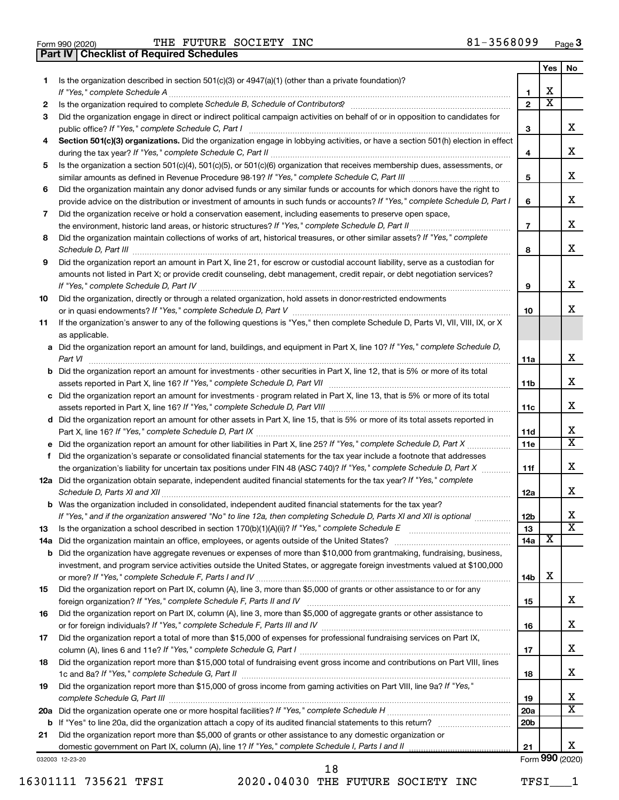Form 990 (2020) Page THE FUTURE SOCIETY INC 81-3568099 **Part IV Checklist of Required Schedules**

|     |                                                                                                                                                                                                                                     |                 | Yes $ $                 | No                      |
|-----|-------------------------------------------------------------------------------------------------------------------------------------------------------------------------------------------------------------------------------------|-----------------|-------------------------|-------------------------|
| 1   | Is the organization described in section $501(c)(3)$ or $4947(a)(1)$ (other than a private foundation)?                                                                                                                             |                 |                         |                         |
|     |                                                                                                                                                                                                                                     | 1               | х                       |                         |
| 2   | Is the organization required to complete Schedule B, Schedule of Contributors? [111] [12] the organization required to complete Schedule B, Schedule of Contributors?                                                               | $\overline{2}$  | $\overline{\text{x}}$   |                         |
| З   | Did the organization engage in direct or indirect political campaign activities on behalf of or in opposition to candidates for                                                                                                     |                 |                         |                         |
|     | public office? If "Yes," complete Schedule C, Part I                                                                                                                                                                                | З               |                         | x                       |
|     | Section 501(c)(3) organizations. Did the organization engage in lobbying activities, or have a section 501(h) election in effect                                                                                                    |                 |                         | x                       |
|     |                                                                                                                                                                                                                                     | 4               |                         |                         |
| 5   | Is the organization a section 501(c)(4), 501(c)(5), or 501(c)(6) organization that receives membership dues, assessments, or                                                                                                        | 5               |                         | x                       |
| 6   | Did the organization maintain any donor advised funds or any similar funds or accounts for which donors have the right to                                                                                                           |                 |                         |                         |
|     | provide advice on the distribution or investment of amounts in such funds or accounts? If "Yes," complete Schedule D, Part I                                                                                                        | 6               |                         | x                       |
| 7   | Did the organization receive or hold a conservation easement, including easements to preserve open space,                                                                                                                           |                 |                         |                         |
|     | .                                                                                                                                                                                                                                   | $\overline{7}$  |                         | x                       |
| 8   | Did the organization maintain collections of works of art, historical treasures, or other similar assets? If "Yes," complete                                                                                                        |                 |                         |                         |
|     | Schedule D, Part III <b>Process Construction Construction Construction</b> Construction Construction Construction Construction Construction Construction Construction Construction Construction Construction Construction Construct | 8               |                         | x                       |
| 9   | Did the organization report an amount in Part X, line 21, for escrow or custodial account liability, serve as a custodian for                                                                                                       |                 |                         |                         |
|     | amounts not listed in Part X; or provide credit counseling, debt management, credit repair, or debt negotiation services?                                                                                                           |                 |                         |                         |
|     | If "Yes," complete Schedule D, Part IV [[11] Marrior] [13] Marrior Marrior Marrior Marrior Marrior Marrior Marrior Marrior Marrior Marrior Marrior Marrior Marrior Marrior Marrior Marrior Marrior Marrior Marrior Marrior Mar      | 9               |                         | x                       |
| 10  | Did the organization, directly or through a related organization, hold assets in donor-restricted endowments                                                                                                                        |                 |                         |                         |
|     |                                                                                                                                                                                                                                     | 10              |                         | x                       |
| 11  | If the organization's answer to any of the following questions is "Yes," then complete Schedule D, Parts VI, VII, VIII, IX, or X                                                                                                    |                 |                         |                         |
|     | as applicable.                                                                                                                                                                                                                      |                 |                         |                         |
|     | a Did the organization report an amount for land, buildings, and equipment in Part X, line 10? If "Yes," complete Schedule D,                                                                                                       |                 |                         |                         |
|     |                                                                                                                                                                                                                                     | 11a             |                         | x                       |
|     | <b>b</b> Did the organization report an amount for investments - other securities in Part X, line 12, that is 5% or more of its total                                                                                               |                 |                         |                         |
|     |                                                                                                                                                                                                                                     | 11 <sub>b</sub> |                         | x                       |
|     | c Did the organization report an amount for investments - program related in Part X, line 13, that is 5% or more of its total                                                                                                       |                 |                         | x                       |
|     |                                                                                                                                                                                                                                     | 11c             |                         |                         |
|     | d Did the organization report an amount for other assets in Part X, line 15, that is 5% or more of its total assets reported in                                                                                                     |                 |                         | x                       |
|     |                                                                                                                                                                                                                                     | 11d<br>11e      |                         | $\overline{\mathtt{x}}$ |
| f   | Did the organization's separate or consolidated financial statements for the tax year include a footnote that addresses                                                                                                             |                 |                         |                         |
|     | the organization's liability for uncertain tax positions under FIN 48 (ASC 740)? If "Yes," complete Schedule D, Part X                                                                                                              | 11f             |                         | x                       |
|     | 12a Did the organization obtain separate, independent audited financial statements for the tax year? If "Yes," complete                                                                                                             |                 |                         |                         |
|     | Schedule D, Parts XI and XII                                                                                                                                                                                                        | 12a             |                         | x                       |
|     | <b>b</b> Was the organization included in consolidated, independent audited financial statements for the tax year?                                                                                                                  |                 |                         |                         |
|     | If "Yes," and if the organization answered "No" to line 12a, then completing Schedule D, Parts XI and XII is optional <i>www.</i>                                                                                                   | 12 <sub>b</sub> |                         | Х                       |
| 13  | Is the organization a school described in section $170(b)(1)(A)(ii)?$ If "Yes," complete Schedule E                                                                                                                                 | 13              |                         | $\overline{\texttt{x}}$ |
| 14a |                                                                                                                                                                                                                                     | 14a             | $\overline{\textbf{x}}$ |                         |
|     | <b>b</b> Did the organization have aggregate revenues or expenses of more than \$10,000 from grantmaking, fundraising, business,                                                                                                    |                 |                         |                         |
|     | investment, and program service activities outside the United States, or aggregate foreign investments valued at \$100,000                                                                                                          |                 |                         |                         |
|     |                                                                                                                                                                                                                                     | 14b             | х                       |                         |
| 15  | Did the organization report on Part IX, column (A), line 3, more than \$5,000 of grants or other assistance to or for any                                                                                                           |                 |                         |                         |
|     |                                                                                                                                                                                                                                     | 15              |                         | x                       |
| 16  | Did the organization report on Part IX, column (A), line 3, more than \$5,000 of aggregate grants or other assistance to                                                                                                            |                 |                         | x                       |
| 17  | Did the organization report a total of more than \$15,000 of expenses for professional fundraising services on Part IX,                                                                                                             | 16              |                         |                         |
|     |                                                                                                                                                                                                                                     | 17              |                         | x                       |
| 18  | Did the organization report more than \$15,000 total of fundraising event gross income and contributions on Part VIII, lines                                                                                                        |                 |                         |                         |
|     |                                                                                                                                                                                                                                     | 18              |                         | x                       |
| 19  | Did the organization report more than \$15,000 of gross income from gaming activities on Part VIII, line 9a? If "Yes,"                                                                                                              |                 |                         |                         |
|     |                                                                                                                                                                                                                                     | 19              |                         | x                       |
|     |                                                                                                                                                                                                                                     | <b>20a</b>      |                         | $\overline{\mathbf{X}}$ |
|     |                                                                                                                                                                                                                                     | 20 <sub>b</sub> |                         |                         |
| 21  | Did the organization report more than \$5,000 of grants or other assistance to any domestic organization or                                                                                                                         |                 |                         |                         |
|     |                                                                                                                                                                                                                                     | 21              |                         | x                       |
|     | 032003 12-23-20                                                                                                                                                                                                                     |                 |                         | Form 990 (2020)         |

16301111 735621 TFSI 2020.04030 THE FUTURE SOCIETY INC TFSI\_\_\_1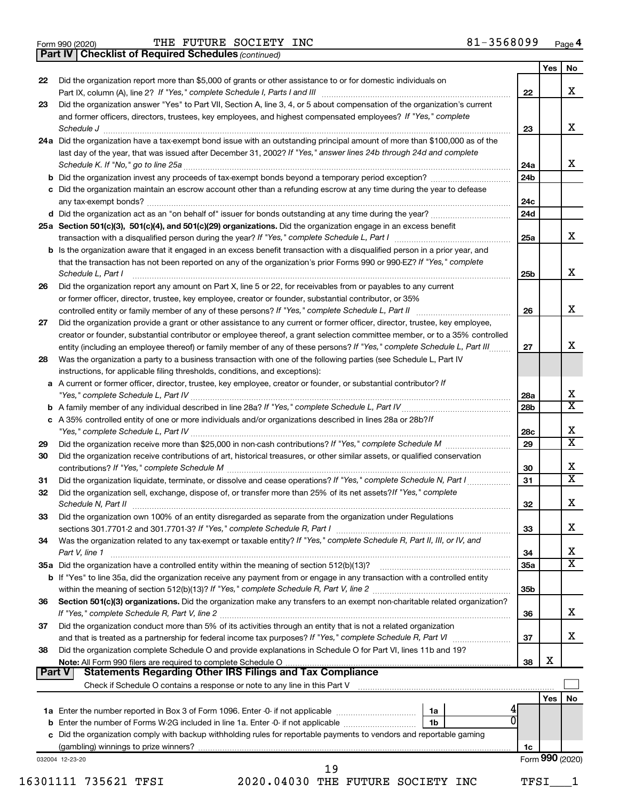|  | Form 990 (2020) |
|--|-----------------|
|  |                 |

*(continued)* **Part IV Checklist of Required Schedules**

|        |                                                                                                                                                                                                                                                                                                                                                         |                 | Yes             | No                      |
|--------|---------------------------------------------------------------------------------------------------------------------------------------------------------------------------------------------------------------------------------------------------------------------------------------------------------------------------------------------------------|-----------------|-----------------|-------------------------|
| 22     | Did the organization report more than \$5,000 of grants or other assistance to or for domestic individuals on                                                                                                                                                                                                                                           |                 |                 |                         |
|        |                                                                                                                                                                                                                                                                                                                                                         | 22              |                 | x                       |
| 23     | Did the organization answer "Yes" to Part VII, Section A, line 3, 4, or 5 about compensation of the organization's current                                                                                                                                                                                                                              |                 |                 |                         |
|        | and former officers, directors, trustees, key employees, and highest compensated employees? If "Yes," complete<br>Schedule J <b>Execute Schedule J Execute Schedule J</b>                                                                                                                                                                               | 23              |                 | X                       |
|        | 24a Did the organization have a tax-exempt bond issue with an outstanding principal amount of more than \$100,000 as of the                                                                                                                                                                                                                             |                 |                 |                         |
|        | last day of the year, that was issued after December 31, 2002? If "Yes," answer lines 24b through 24d and complete                                                                                                                                                                                                                                      |                 |                 |                         |
|        |                                                                                                                                                                                                                                                                                                                                                         | 24a             |                 | x                       |
|        |                                                                                                                                                                                                                                                                                                                                                         | 24 <sub>b</sub> |                 |                         |
|        | c Did the organization maintain an escrow account other than a refunding escrow at any time during the year to defease                                                                                                                                                                                                                                  |                 |                 |                         |
|        |                                                                                                                                                                                                                                                                                                                                                         | 24c             |                 |                         |
|        |                                                                                                                                                                                                                                                                                                                                                         | 24d             |                 |                         |
|        | 25a Section 501(c)(3), 501(c)(4), and 501(c)(29) organizations. Did the organization engage in an excess benefit                                                                                                                                                                                                                                        |                 |                 |                         |
|        |                                                                                                                                                                                                                                                                                                                                                         | 25a             |                 | x                       |
|        | <b>b</b> Is the organization aware that it engaged in an excess benefit transaction with a disqualified person in a prior year, and<br>that the transaction has not been reported on any of the organization's prior Forms 990 or 990-EZ? If "Yes," complete<br>Schedule L, Part I                                                                      | 25b             |                 | x                       |
| 26     | Did the organization report any amount on Part X, line 5 or 22, for receivables from or payables to any current                                                                                                                                                                                                                                         |                 |                 |                         |
|        | or former officer, director, trustee, key employee, creator or founder, substantial contributor, or 35%                                                                                                                                                                                                                                                 |                 |                 |                         |
|        |                                                                                                                                                                                                                                                                                                                                                         | 26              |                 | X                       |
| 27     | Did the organization provide a grant or other assistance to any current or former officer, director, trustee, key employee,                                                                                                                                                                                                                             |                 |                 |                         |
|        | creator or founder, substantial contributor or employee thereof, a grant selection committee member, or to a 35% controlled                                                                                                                                                                                                                             |                 |                 |                         |
|        | entity (including an employee thereof) or family member of any of these persons? If "Yes," complete Schedule L, Part III                                                                                                                                                                                                                                | 27              |                 | X                       |
| 28     | Was the organization a party to a business transaction with one of the following parties (see Schedule L, Part IV                                                                                                                                                                                                                                       |                 |                 |                         |
|        | instructions, for applicable filing thresholds, conditions, and exceptions):                                                                                                                                                                                                                                                                            |                 |                 |                         |
|        | a A current or former officer, director, trustee, key employee, creator or founder, or substantial contributor? If                                                                                                                                                                                                                                      |                 |                 |                         |
|        |                                                                                                                                                                                                                                                                                                                                                         | 28a             |                 | х                       |
|        |                                                                                                                                                                                                                                                                                                                                                         | 28 <sub>b</sub> |                 | $\overline{\mathtt{x}}$ |
|        | c A 35% controlled entity of one or more individuals and/or organizations described in lines 28a or 28b? If                                                                                                                                                                                                                                             |                 |                 |                         |
|        |                                                                                                                                                                                                                                                                                                                                                         | 28c             |                 | Χ                       |
| 29     |                                                                                                                                                                                                                                                                                                                                                         | 29              |                 | $\overline{\mathtt{x}}$ |
| 30     | Did the organization receive contributions of art, historical treasures, or other similar assets, or qualified conservation                                                                                                                                                                                                                             | 30              |                 | x                       |
| 31     | Did the organization liquidate, terminate, or dissolve and cease operations? If "Yes," complete Schedule N, Part I                                                                                                                                                                                                                                      | 31              |                 | $\overline{\mathtt{x}}$ |
| 32     | Did the organization sell, exchange, dispose of, or transfer more than 25% of its net assets? If "Yes," complete<br>Schedule N, Part II <b>Markov Markov Alexander Schedule N, Part II</b> Markov Markov Markov Markov Markov Markov Markov Markov Markov Markov Markov Markov Markov Markov Markov Markov Markov Markov Markov Markov Markov Markov Ma | 32              |                 | X                       |
| 33     | Did the organization own 100% of an entity disregarded as separate from the organization under Regulations                                                                                                                                                                                                                                              |                 |                 |                         |
|        |                                                                                                                                                                                                                                                                                                                                                         | 33              |                 | x                       |
| 34     | Was the organization related to any tax-exempt or taxable entity? If "Yes," complete Schedule R, Part II, III, or IV, and                                                                                                                                                                                                                               |                 |                 |                         |
|        | Part V, line 1                                                                                                                                                                                                                                                                                                                                          | 34              |                 | х                       |
|        |                                                                                                                                                                                                                                                                                                                                                         | <b>35a</b>      |                 | $\overline{\mathtt{x}}$ |
|        | <b>b</b> If "Yes" to line 35a, did the organization receive any payment from or engage in any transaction with a controlled entity                                                                                                                                                                                                                      |                 |                 |                         |
|        |                                                                                                                                                                                                                                                                                                                                                         | 35 <sub>b</sub> |                 |                         |
| 36     | Section 501(c)(3) organizations. Did the organization make any transfers to an exempt non-charitable related organization?                                                                                                                                                                                                                              | 36              |                 | x                       |
| 37     | Did the organization conduct more than 5% of its activities through an entity that is not a related organization                                                                                                                                                                                                                                        |                 |                 |                         |
|        |                                                                                                                                                                                                                                                                                                                                                         | 37              |                 | x                       |
| 38     | Did the organization complete Schedule O and provide explanations in Schedule O for Part VI, lines 11b and 19?                                                                                                                                                                                                                                          |                 |                 |                         |
| Part V |                                                                                                                                                                                                                                                                                                                                                         | 38              | х               |                         |
|        |                                                                                                                                                                                                                                                                                                                                                         |                 |                 |                         |
|        |                                                                                                                                                                                                                                                                                                                                                         |                 | Yes             | No                      |
|        | 1a                                                                                                                                                                                                                                                                                                                                                      |                 |                 |                         |
|        | 1b                                                                                                                                                                                                                                                                                                                                                      |                 |                 |                         |
|        | c Did the organization comply with backup withholding rules for reportable payments to vendors and reportable gaming                                                                                                                                                                                                                                    |                 |                 |                         |
|        |                                                                                                                                                                                                                                                                                                                                                         | 1c              |                 |                         |
|        | 032004 12-23-20                                                                                                                                                                                                                                                                                                                                         |                 | Form 990 (2020) |                         |
|        | 19                                                                                                                                                                                                                                                                                                                                                      |                 |                 |                         |
|        | 16301111 735621 TFSI<br>2020.04030 THE FUTURE SOCIETY INC                                                                                                                                                                                                                                                                                               | TFSI            |                 |                         |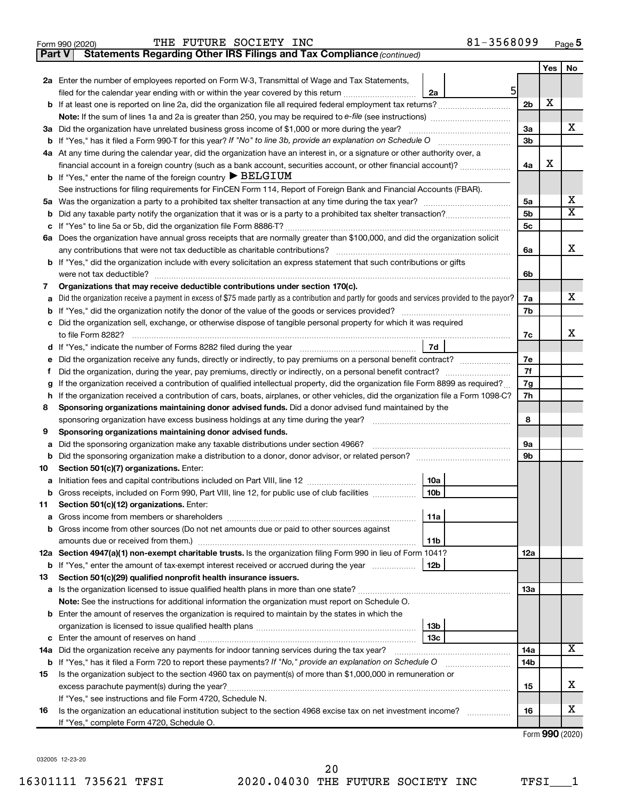|        | 81-3568099<br>THE FUTURE SOCIETY INC<br>Form 990 (2020)                                                                                                                                                                                                                                                                                                                                                                                                                      |                |     | Page 5                  |
|--------|------------------------------------------------------------------------------------------------------------------------------------------------------------------------------------------------------------------------------------------------------------------------------------------------------------------------------------------------------------------------------------------------------------------------------------------------------------------------------|----------------|-----|-------------------------|
| Part V | Statements Regarding Other IRS Filings and Tax Compliance (continued)                                                                                                                                                                                                                                                                                                                                                                                                        |                |     |                         |
|        |                                                                                                                                                                                                                                                                                                                                                                                                                                                                              |                | Yes | No                      |
|        | 2a Enter the number of employees reported on Form W-3, Transmittal of Wage and Tax Statements,                                                                                                                                                                                                                                                                                                                                                                               |                |     |                         |
|        | $5 \mid$<br>filed for the calendar year ending with or within the year covered by this return<br>2a                                                                                                                                                                                                                                                                                                                                                                          |                |     |                         |
| b      |                                                                                                                                                                                                                                                                                                                                                                                                                                                                              | 2 <sub>b</sub> | х   |                         |
|        |                                                                                                                                                                                                                                                                                                                                                                                                                                                                              |                |     |                         |
| За     | Did the organization have unrelated business gross income of \$1,000 or more during the year?                                                                                                                                                                                                                                                                                                                                                                                | 3a             |     | х                       |
| b      | If "Yes," has it filed a Form 990-T for this year? If "No" to line 3b, provide an explanation on Schedule O<br>$\mathcal{L} = \{1, 2, \ldots, 2, \ldots, 2, \ldots, 2, \ldots, 2, \ldots, 2, \ldots, 2, \ldots, 2, \ldots, 2, \ldots, 2, \ldots, 2, \ldots, 2, \ldots, 2, \ldots, 2, \ldots, 2, \ldots, 2, \ldots, 2, \ldots, 2, \ldots, 2, \ldots, 2, \ldots, 2, \ldots, 2, \ldots, 2, \ldots, 2, \ldots, 2, \ldots, 2, \ldots, 2, \ldots, 2, \ldots, 2, \ldots, 2, \ldots$ | 3 <sub>b</sub> |     |                         |
|        | 4a At any time during the calendar year, did the organization have an interest in, or a signature or other authority over, a                                                                                                                                                                                                                                                                                                                                                 |                | х   |                         |
|        | financial account in a foreign country (such as a bank account, securities account, or other financial account)?<br><b>b</b> If "Yes," enter the name of the foreign country $\blacktriangleright$ BELGIUM                                                                                                                                                                                                                                                                   | 4a             |     |                         |
|        | See instructions for filing requirements for FinCEN Form 114, Report of Foreign Bank and Financial Accounts (FBAR).                                                                                                                                                                                                                                                                                                                                                          |                |     |                         |
| 5a     |                                                                                                                                                                                                                                                                                                                                                                                                                                                                              | 5a             |     | x                       |
| b      |                                                                                                                                                                                                                                                                                                                                                                                                                                                                              | 5b             |     | $\overline{\mathtt{x}}$ |
| с      |                                                                                                                                                                                                                                                                                                                                                                                                                                                                              | 5c             |     |                         |
| 6a     | Does the organization have annual gross receipts that are normally greater than \$100,000, and did the organization solicit                                                                                                                                                                                                                                                                                                                                                  |                |     |                         |
|        |                                                                                                                                                                                                                                                                                                                                                                                                                                                                              | 6a             |     | х                       |
| b      | If "Yes," did the organization include with every solicitation an express statement that such contributions or gifts                                                                                                                                                                                                                                                                                                                                                         |                |     |                         |
|        | were not tax deductible?                                                                                                                                                                                                                                                                                                                                                                                                                                                     | 6b             |     |                         |
| 7      | Organizations that may receive deductible contributions under section 170(c).                                                                                                                                                                                                                                                                                                                                                                                                |                |     |                         |
| a      | Did the organization receive a payment in excess of \$75 made partly as a contribution and partly for goods and services provided to the payor?                                                                                                                                                                                                                                                                                                                              | 7a             |     | x                       |
| b      |                                                                                                                                                                                                                                                                                                                                                                                                                                                                              | 7b             |     |                         |
| с      | Did the organization sell, exchange, or otherwise dispose of tangible personal property for which it was required                                                                                                                                                                                                                                                                                                                                                            |                |     |                         |
|        | to file Form 8282?                                                                                                                                                                                                                                                                                                                                                                                                                                                           | 7c             |     | x                       |
| d      | 7d                                                                                                                                                                                                                                                                                                                                                                                                                                                                           |                |     |                         |
| е      | Did the organization receive any funds, directly or indirectly, to pay premiums on a personal benefit contract?                                                                                                                                                                                                                                                                                                                                                              | 7е             |     |                         |
| f      | Did the organization, during the year, pay premiums, directly or indirectly, on a personal benefit contract?                                                                                                                                                                                                                                                                                                                                                                 | 7f             |     |                         |
| g      | If the organization received a contribution of qualified intellectual property, did the organization file Form 8899 as required?                                                                                                                                                                                                                                                                                                                                             | 7g             |     |                         |
| h      | If the organization received a contribution of cars, boats, airplanes, or other vehicles, did the organization file a Form 1098-C?                                                                                                                                                                                                                                                                                                                                           | 7h             |     |                         |
| 8      | Sponsoring organizations maintaining donor advised funds. Did a donor advised fund maintained by the                                                                                                                                                                                                                                                                                                                                                                         |                |     |                         |
|        | sponsoring organization have excess business holdings at any time during the year?                                                                                                                                                                                                                                                                                                                                                                                           | 8              |     |                         |
| 9      | Sponsoring organizations maintaining donor advised funds.                                                                                                                                                                                                                                                                                                                                                                                                                    |                |     |                         |
| a      | Did the sponsoring organization make any taxable distributions under section 4966?                                                                                                                                                                                                                                                                                                                                                                                           | <b>9a</b>      |     |                         |
| b      |                                                                                                                                                                                                                                                                                                                                                                                                                                                                              | 9b             |     |                         |
| 10     | Section 501(c)(7) organizations. Enter:                                                                                                                                                                                                                                                                                                                                                                                                                                      |                |     |                         |
|        | 10a  <br>Initiation fees and capital contributions included on Part VIII, line 12 [111] [11] [12] [11] [12] [11] [12] [                                                                                                                                                                                                                                                                                                                                                      |                |     |                         |
| b      | 10 <sub>b</sub><br>Gross receipts, included on Form 990, Part VIII, line 12, for public use of club facilities                                                                                                                                                                                                                                                                                                                                                               |                |     |                         |
| 11     | Section 501(c)(12) organizations. Enter:<br>11a                                                                                                                                                                                                                                                                                                                                                                                                                              |                |     |                         |
| a      | Gross income from other sources (Do not net amounts due or paid to other sources against                                                                                                                                                                                                                                                                                                                                                                                     |                |     |                         |
| b      | 11 <sub>b</sub>                                                                                                                                                                                                                                                                                                                                                                                                                                                              |                |     |                         |
|        | 12a Section 4947(a)(1) non-exempt charitable trusts. Is the organization filing Form 990 in lieu of Form 1041?                                                                                                                                                                                                                                                                                                                                                               | 12a            |     |                         |
| b      | 12 <sub>b</sub><br>If "Yes," enter the amount of tax-exempt interest received or accrued during the year                                                                                                                                                                                                                                                                                                                                                                     |                |     |                         |
| 13     | Section 501(c)(29) qualified nonprofit health insurance issuers.                                                                                                                                                                                                                                                                                                                                                                                                             |                |     |                         |
| а      |                                                                                                                                                                                                                                                                                                                                                                                                                                                                              | 13a            |     |                         |
|        | Note: See the instructions for additional information the organization must report on Schedule O.                                                                                                                                                                                                                                                                                                                                                                            |                |     |                         |
| b      | Enter the amount of reserves the organization is required to maintain by the states in which the                                                                                                                                                                                                                                                                                                                                                                             |                |     |                         |
|        | 13 <sub>b</sub>                                                                                                                                                                                                                                                                                                                                                                                                                                                              |                |     |                         |
| с      | 13 <sub>c</sub>                                                                                                                                                                                                                                                                                                                                                                                                                                                              |                |     |                         |
| 14a    | Did the organization receive any payments for indoor tanning services during the tax year?                                                                                                                                                                                                                                                                                                                                                                                   | 14a            |     | х                       |
| b      | If "Yes," has it filed a Form 720 to report these payments? If "No," provide an explanation on Schedule O                                                                                                                                                                                                                                                                                                                                                                    | 14b            |     |                         |
| 15     | Is the organization subject to the section 4960 tax on payment(s) of more than \$1,000,000 in remuneration or                                                                                                                                                                                                                                                                                                                                                                |                |     |                         |
|        |                                                                                                                                                                                                                                                                                                                                                                                                                                                                              |                |     |                         |

| If "Yes." see instructions and file Form 4720, Schedule N.                                                      |    |  |
|-----------------------------------------------------------------------------------------------------------------|----|--|
| Is the organization an educational institution subject to the section 4968 excise tax on net investment income? | 16 |  |
| If "Yes." complete Form 4720, Schedule O.                                                                       |    |  |

Form (2020) **990**

X

X

**15**

032005 12-23-20

~~~~~~~~~~~~~~~~~~~~~~~~~~~~~~~~~~~~~~~

excess parachute payment(s) during the year?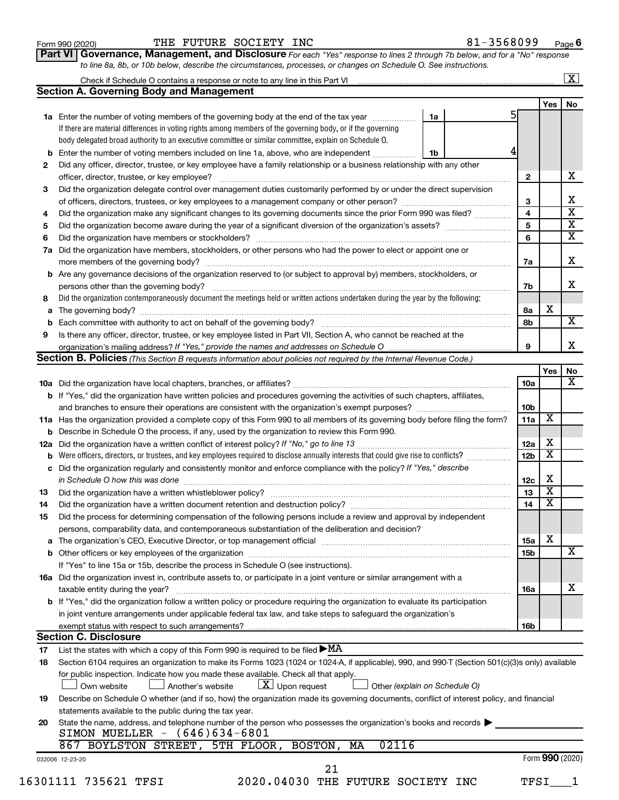| Form 990 (2020) |  |
|-----------------|--|
|-----------------|--|

#### Form 990 (2020) Page THE FUTURE SOCIETY INC 81-3568099

**Part VI** Governance, Management, and Disclosure For each "Yes" response to lines 2 through 7b below, and for a "No" response *to line 8a, 8b, or 10b below, describe the circumstances, processes, or changes on Schedule O. See instructions.*

| 1a Enter the number of voting members of the governing body at the end of the tax year<br>1a<br>If there are material differences in voting rights among members of the governing body, or if the governing<br>body delegated broad authority to an executive committee or similar committee, explain on Schedule O.<br>Enter the number of voting members included on line 1a, above, who are independent<br>1b<br>b<br>Did any officer, director, trustee, or key employee have a family relationship or a business relationship with any other<br>$\mathbf{2}$<br>officer, director, trustee, or key employee?<br>Did the organization delegate control over management duties customarily performed by or under the direct supervision<br>3<br>4<br>Did the organization make any significant changes to its governing documents since the prior Form 990 was filed?<br>5<br>6<br>Did the organization have members, stockholders, or other persons who had the power to elect or appoint one or<br>7a<br>Are any governance decisions of the organization reserved to (or subject to approval by) members, stockholders, or<br>b<br>7b<br>Did the organization contemporaneously document the meetings held or written actions undertaken during the year by the following:<br>8<br>х<br>8а<br>а<br>8b<br>b<br>Is there any officer, director, trustee, or key employee listed in Part VII, Section A, who cannot be reached at the<br>9<br><b>Section B. Policies</b> (This Section B requests information about policies not required by the Internal Revenue Code.)<br>Yes<br>10a<br><b>b</b> If "Yes," did the organization have written policies and procedures governing the activities of such chapters, affiliates,<br>10 <sub>b</sub><br>х<br>11a<br>11a Has the organization provided a complete copy of this Form 990 to all members of its governing body before filing the form?<br><b>b</b> Describe in Schedule O the process, if any, used by the organization to review this Form 990.<br>х<br>12a<br>х<br>Were officers, directors, or trustees, and key employees required to disclose annually interests that could give rise to conflicts?<br>12 <sub>b</sub><br>b<br>Did the organization regularly and consistently monitor and enforce compliance with the policy? If "Yes," describe<br>с<br>X<br>12c<br>$\overline{\textbf{x}}$<br>13<br>$\overline{\mathbf{X}}$<br>14<br>Did the organization have a written document retention and destruction policy? [11] manufaction model of the organization have a written document retention and destruction policy?<br>Did the process for determining compensation of the following persons include a review and approval by independent<br>persons, comparability data, and contemporaneous substantiation of the deliberation and decision?<br>х<br>The organization's CEO, Executive Director, or top management official manufactured content of the organization's CEO, Executive Director, or top management official manufactured content of the organization's CEO, Executiv<br>15a<br>а<br><b>15b</b><br>If "Yes" to line 15a or 15b, describe the process in Schedule O (see instructions).<br>16a Did the organization invest in, contribute assets to, or participate in a joint venture or similar arrangement with a<br>taxable entity during the year?<br>16a<br>b If "Yes," did the organization follow a written policy or procedure requiring the organization to evaluate its participation<br>in joint venture arrangements under applicable federal tax law, and take steps to safeguard the organization's<br>exempt status with respect to such arrangements?<br>16b<br><b>Section C. Disclosure</b><br>List the states with which a copy of this Form 990 is required to be filed $\blacktriangleright$ MA<br>Section 6104 requires an organization to make its Forms 1023 (1024 or 1024-A, if applicable), 990, and 990-T (Section 501(c)(3)s only) available<br>for public inspection. Indicate how you made these available. Check all that apply.<br>$\lfloor x \rfloor$ Upon request<br>Another's website<br>Other (explain on Schedule O)<br>Own website<br>Describe on Schedule O whether (and if so, how) the organization made its governing documents, conflict of interest policy, and financial<br>statements available to the public during the tax year.<br>State the name, address, and telephone number of the person who possesses the organization's books and records<br>SIMON MUELLER - (646)634-6801<br>02116<br>867 BOYLSTON STREET, 5TH FLOOR, BOSTON,<br>MA<br>Form 990 (2020)<br>032006 12-23-20<br>21<br>2020.04030 THE FUTURE SOCIETY INC<br>16301111 735621 TFSI<br>TFSI |     | Check if Schedule O contains a response or note to any line in this Part VI [1] [1] [1] [1] [1] [1] [1] [1] [1 |  |  |     | $\mathbf{X}$            |
|--------------------------------------------------------------------------------------------------------------------------------------------------------------------------------------------------------------------------------------------------------------------------------------------------------------------------------------------------------------------------------------------------------------------------------------------------------------------------------------------------------------------------------------------------------------------------------------------------------------------------------------------------------------------------------------------------------------------------------------------------------------------------------------------------------------------------------------------------------------------------------------------------------------------------------------------------------------------------------------------------------------------------------------------------------------------------------------------------------------------------------------------------------------------------------------------------------------------------------------------------------------------------------------------------------------------------------------------------------------------------------------------------------------------------------------------------------------------------------------------------------------------------------------------------------------------------------------------------------------------------------------------------------------------------------------------------------------------------------------------------------------------------------------------------------------------------------------------------------------------------------------------------------------------------------------------------------------------------------------------------------------------------------------------------------------------------------------------------------------------------------------------------------------------------------------------------------------------------------------------------------------------------------------------------------------------------------------------------------------------------------------------------------------------------------------------------------------------------------------------------------------------------------------------------------------------------------------------------------------------------------------------------------------------------------------------------------------------------------------------------------------------------------------------------------------------------------------------------------------------------------------------------------------------------------------------------------------------------------------------------------------------------------------------------------------------------------------------------------------------------------------------------------------------------------------------------------------------------------------------------------------------------------------------------------------------------------------------------------------------------------------------------------------------------------------------------------------------------------------------------------------------------------------------------------------------------------------------------------------------------------------------------------------------------------------------------------------------------------------------------------------------------------------------------------------------------------------------------------------------------------------------------------------------------------------------------------------------------------------------------------------------------------------------------------------------------------------------------------------------------------------------------------------------------------------------------------------------------------------------------------------------------------------------------------------------------------------------------------------------------------------------------------------------------------------------------------------------------------------------------------------------------------------------------------------------------------------------------------------------------------------------------------------------------------------------------------|-----|----------------------------------------------------------------------------------------------------------------|--|--|-----|-------------------------|
|                                                                                                                                                                                                                                                                                                                                                                                                                                                                                                                                                                                                                                                                                                                                                                                                                                                                                                                                                                                                                                                                                                                                                                                                                                                                                                                                                                                                                                                                                                                                                                                                                                                                                                                                                                                                                                                                                                                                                                                                                                                                                                                                                                                                                                                                                                                                                                                                                                                                                                                                                                                                                                                                                                                                                                                                                                                                                                                                                                                                                                                                                                                                                                                                                                                                                                                                                                                                                                                                                                                                                                                                                                                                                                                                                                                                                                                                                                                                                                                                                                                                                                                                                                                                                                                                                                                                                                                                                                                                                                                                                                                                                                                                                                        |     | <b>Section A. Governing Body and Management</b>                                                                |  |  |     |                         |
|                                                                                                                                                                                                                                                                                                                                                                                                                                                                                                                                                                                                                                                                                                                                                                                                                                                                                                                                                                                                                                                                                                                                                                                                                                                                                                                                                                                                                                                                                                                                                                                                                                                                                                                                                                                                                                                                                                                                                                                                                                                                                                                                                                                                                                                                                                                                                                                                                                                                                                                                                                                                                                                                                                                                                                                                                                                                                                                                                                                                                                                                                                                                                                                                                                                                                                                                                                                                                                                                                                                                                                                                                                                                                                                                                                                                                                                                                                                                                                                                                                                                                                                                                                                                                                                                                                                                                                                                                                                                                                                                                                                                                                                                                                        |     |                                                                                                                |  |  | Yes | No                      |
|                                                                                                                                                                                                                                                                                                                                                                                                                                                                                                                                                                                                                                                                                                                                                                                                                                                                                                                                                                                                                                                                                                                                                                                                                                                                                                                                                                                                                                                                                                                                                                                                                                                                                                                                                                                                                                                                                                                                                                                                                                                                                                                                                                                                                                                                                                                                                                                                                                                                                                                                                                                                                                                                                                                                                                                                                                                                                                                                                                                                                                                                                                                                                                                                                                                                                                                                                                                                                                                                                                                                                                                                                                                                                                                                                                                                                                                                                                                                                                                                                                                                                                                                                                                                                                                                                                                                                                                                                                                                                                                                                                                                                                                                                                        |     |                                                                                                                |  |  |     |                         |
|                                                                                                                                                                                                                                                                                                                                                                                                                                                                                                                                                                                                                                                                                                                                                                                                                                                                                                                                                                                                                                                                                                                                                                                                                                                                                                                                                                                                                                                                                                                                                                                                                                                                                                                                                                                                                                                                                                                                                                                                                                                                                                                                                                                                                                                                                                                                                                                                                                                                                                                                                                                                                                                                                                                                                                                                                                                                                                                                                                                                                                                                                                                                                                                                                                                                                                                                                                                                                                                                                                                                                                                                                                                                                                                                                                                                                                                                                                                                                                                                                                                                                                                                                                                                                                                                                                                                                                                                                                                                                                                                                                                                                                                                                                        |     |                                                                                                                |  |  |     |                         |
|                                                                                                                                                                                                                                                                                                                                                                                                                                                                                                                                                                                                                                                                                                                                                                                                                                                                                                                                                                                                                                                                                                                                                                                                                                                                                                                                                                                                                                                                                                                                                                                                                                                                                                                                                                                                                                                                                                                                                                                                                                                                                                                                                                                                                                                                                                                                                                                                                                                                                                                                                                                                                                                                                                                                                                                                                                                                                                                                                                                                                                                                                                                                                                                                                                                                                                                                                                                                                                                                                                                                                                                                                                                                                                                                                                                                                                                                                                                                                                                                                                                                                                                                                                                                                                                                                                                                                                                                                                                                                                                                                                                                                                                                                                        |     |                                                                                                                |  |  |     |                         |
|                                                                                                                                                                                                                                                                                                                                                                                                                                                                                                                                                                                                                                                                                                                                                                                                                                                                                                                                                                                                                                                                                                                                                                                                                                                                                                                                                                                                                                                                                                                                                                                                                                                                                                                                                                                                                                                                                                                                                                                                                                                                                                                                                                                                                                                                                                                                                                                                                                                                                                                                                                                                                                                                                                                                                                                                                                                                                                                                                                                                                                                                                                                                                                                                                                                                                                                                                                                                                                                                                                                                                                                                                                                                                                                                                                                                                                                                                                                                                                                                                                                                                                                                                                                                                                                                                                                                                                                                                                                                                                                                                                                                                                                                                                        |     |                                                                                                                |  |  |     |                         |
|                                                                                                                                                                                                                                                                                                                                                                                                                                                                                                                                                                                                                                                                                                                                                                                                                                                                                                                                                                                                                                                                                                                                                                                                                                                                                                                                                                                                                                                                                                                                                                                                                                                                                                                                                                                                                                                                                                                                                                                                                                                                                                                                                                                                                                                                                                                                                                                                                                                                                                                                                                                                                                                                                                                                                                                                                                                                                                                                                                                                                                                                                                                                                                                                                                                                                                                                                                                                                                                                                                                                                                                                                                                                                                                                                                                                                                                                                                                                                                                                                                                                                                                                                                                                                                                                                                                                                                                                                                                                                                                                                                                                                                                                                                        | 2   |                                                                                                                |  |  |     |                         |
|                                                                                                                                                                                                                                                                                                                                                                                                                                                                                                                                                                                                                                                                                                                                                                                                                                                                                                                                                                                                                                                                                                                                                                                                                                                                                                                                                                                                                                                                                                                                                                                                                                                                                                                                                                                                                                                                                                                                                                                                                                                                                                                                                                                                                                                                                                                                                                                                                                                                                                                                                                                                                                                                                                                                                                                                                                                                                                                                                                                                                                                                                                                                                                                                                                                                                                                                                                                                                                                                                                                                                                                                                                                                                                                                                                                                                                                                                                                                                                                                                                                                                                                                                                                                                                                                                                                                                                                                                                                                                                                                                                                                                                                                                                        |     |                                                                                                                |  |  |     | x                       |
|                                                                                                                                                                                                                                                                                                                                                                                                                                                                                                                                                                                                                                                                                                                                                                                                                                                                                                                                                                                                                                                                                                                                                                                                                                                                                                                                                                                                                                                                                                                                                                                                                                                                                                                                                                                                                                                                                                                                                                                                                                                                                                                                                                                                                                                                                                                                                                                                                                                                                                                                                                                                                                                                                                                                                                                                                                                                                                                                                                                                                                                                                                                                                                                                                                                                                                                                                                                                                                                                                                                                                                                                                                                                                                                                                                                                                                                                                                                                                                                                                                                                                                                                                                                                                                                                                                                                                                                                                                                                                                                                                                                                                                                                                                        | 3   |                                                                                                                |  |  |     |                         |
|                                                                                                                                                                                                                                                                                                                                                                                                                                                                                                                                                                                                                                                                                                                                                                                                                                                                                                                                                                                                                                                                                                                                                                                                                                                                                                                                                                                                                                                                                                                                                                                                                                                                                                                                                                                                                                                                                                                                                                                                                                                                                                                                                                                                                                                                                                                                                                                                                                                                                                                                                                                                                                                                                                                                                                                                                                                                                                                                                                                                                                                                                                                                                                                                                                                                                                                                                                                                                                                                                                                                                                                                                                                                                                                                                                                                                                                                                                                                                                                                                                                                                                                                                                                                                                                                                                                                                                                                                                                                                                                                                                                                                                                                                                        |     |                                                                                                                |  |  |     | х                       |
|                                                                                                                                                                                                                                                                                                                                                                                                                                                                                                                                                                                                                                                                                                                                                                                                                                                                                                                                                                                                                                                                                                                                                                                                                                                                                                                                                                                                                                                                                                                                                                                                                                                                                                                                                                                                                                                                                                                                                                                                                                                                                                                                                                                                                                                                                                                                                                                                                                                                                                                                                                                                                                                                                                                                                                                                                                                                                                                                                                                                                                                                                                                                                                                                                                                                                                                                                                                                                                                                                                                                                                                                                                                                                                                                                                                                                                                                                                                                                                                                                                                                                                                                                                                                                                                                                                                                                                                                                                                                                                                                                                                                                                                                                                        | 4   |                                                                                                                |  |  |     | $\overline{\textbf{x}}$ |
|                                                                                                                                                                                                                                                                                                                                                                                                                                                                                                                                                                                                                                                                                                                                                                                                                                                                                                                                                                                                                                                                                                                                                                                                                                                                                                                                                                                                                                                                                                                                                                                                                                                                                                                                                                                                                                                                                                                                                                                                                                                                                                                                                                                                                                                                                                                                                                                                                                                                                                                                                                                                                                                                                                                                                                                                                                                                                                                                                                                                                                                                                                                                                                                                                                                                                                                                                                                                                                                                                                                                                                                                                                                                                                                                                                                                                                                                                                                                                                                                                                                                                                                                                                                                                                                                                                                                                                                                                                                                                                                                                                                                                                                                                                        | 5   |                                                                                                                |  |  |     | $\overline{\textbf{X}}$ |
|                                                                                                                                                                                                                                                                                                                                                                                                                                                                                                                                                                                                                                                                                                                                                                                                                                                                                                                                                                                                                                                                                                                                                                                                                                                                                                                                                                                                                                                                                                                                                                                                                                                                                                                                                                                                                                                                                                                                                                                                                                                                                                                                                                                                                                                                                                                                                                                                                                                                                                                                                                                                                                                                                                                                                                                                                                                                                                                                                                                                                                                                                                                                                                                                                                                                                                                                                                                                                                                                                                                                                                                                                                                                                                                                                                                                                                                                                                                                                                                                                                                                                                                                                                                                                                                                                                                                                                                                                                                                                                                                                                                                                                                                                                        | 6   |                                                                                                                |  |  |     | $\overline{\textbf{x}}$ |
|                                                                                                                                                                                                                                                                                                                                                                                                                                                                                                                                                                                                                                                                                                                                                                                                                                                                                                                                                                                                                                                                                                                                                                                                                                                                                                                                                                                                                                                                                                                                                                                                                                                                                                                                                                                                                                                                                                                                                                                                                                                                                                                                                                                                                                                                                                                                                                                                                                                                                                                                                                                                                                                                                                                                                                                                                                                                                                                                                                                                                                                                                                                                                                                                                                                                                                                                                                                                                                                                                                                                                                                                                                                                                                                                                                                                                                                                                                                                                                                                                                                                                                                                                                                                                                                                                                                                                                                                                                                                                                                                                                                                                                                                                                        | 7a  |                                                                                                                |  |  |     |                         |
|                                                                                                                                                                                                                                                                                                                                                                                                                                                                                                                                                                                                                                                                                                                                                                                                                                                                                                                                                                                                                                                                                                                                                                                                                                                                                                                                                                                                                                                                                                                                                                                                                                                                                                                                                                                                                                                                                                                                                                                                                                                                                                                                                                                                                                                                                                                                                                                                                                                                                                                                                                                                                                                                                                                                                                                                                                                                                                                                                                                                                                                                                                                                                                                                                                                                                                                                                                                                                                                                                                                                                                                                                                                                                                                                                                                                                                                                                                                                                                                                                                                                                                                                                                                                                                                                                                                                                                                                                                                                                                                                                                                                                                                                                                        |     |                                                                                                                |  |  |     | x                       |
|                                                                                                                                                                                                                                                                                                                                                                                                                                                                                                                                                                                                                                                                                                                                                                                                                                                                                                                                                                                                                                                                                                                                                                                                                                                                                                                                                                                                                                                                                                                                                                                                                                                                                                                                                                                                                                                                                                                                                                                                                                                                                                                                                                                                                                                                                                                                                                                                                                                                                                                                                                                                                                                                                                                                                                                                                                                                                                                                                                                                                                                                                                                                                                                                                                                                                                                                                                                                                                                                                                                                                                                                                                                                                                                                                                                                                                                                                                                                                                                                                                                                                                                                                                                                                                                                                                                                                                                                                                                                                                                                                                                                                                                                                                        |     |                                                                                                                |  |  |     |                         |
|                                                                                                                                                                                                                                                                                                                                                                                                                                                                                                                                                                                                                                                                                                                                                                                                                                                                                                                                                                                                                                                                                                                                                                                                                                                                                                                                                                                                                                                                                                                                                                                                                                                                                                                                                                                                                                                                                                                                                                                                                                                                                                                                                                                                                                                                                                                                                                                                                                                                                                                                                                                                                                                                                                                                                                                                                                                                                                                                                                                                                                                                                                                                                                                                                                                                                                                                                                                                                                                                                                                                                                                                                                                                                                                                                                                                                                                                                                                                                                                                                                                                                                                                                                                                                                                                                                                                                                                                                                                                                                                                                                                                                                                                                                        |     |                                                                                                                |  |  |     | X                       |
|                                                                                                                                                                                                                                                                                                                                                                                                                                                                                                                                                                                                                                                                                                                                                                                                                                                                                                                                                                                                                                                                                                                                                                                                                                                                                                                                                                                                                                                                                                                                                                                                                                                                                                                                                                                                                                                                                                                                                                                                                                                                                                                                                                                                                                                                                                                                                                                                                                                                                                                                                                                                                                                                                                                                                                                                                                                                                                                                                                                                                                                                                                                                                                                                                                                                                                                                                                                                                                                                                                                                                                                                                                                                                                                                                                                                                                                                                                                                                                                                                                                                                                                                                                                                                                                                                                                                                                                                                                                                                                                                                                                                                                                                                                        |     |                                                                                                                |  |  |     |                         |
|                                                                                                                                                                                                                                                                                                                                                                                                                                                                                                                                                                                                                                                                                                                                                                                                                                                                                                                                                                                                                                                                                                                                                                                                                                                                                                                                                                                                                                                                                                                                                                                                                                                                                                                                                                                                                                                                                                                                                                                                                                                                                                                                                                                                                                                                                                                                                                                                                                                                                                                                                                                                                                                                                                                                                                                                                                                                                                                                                                                                                                                                                                                                                                                                                                                                                                                                                                                                                                                                                                                                                                                                                                                                                                                                                                                                                                                                                                                                                                                                                                                                                                                                                                                                                                                                                                                                                                                                                                                                                                                                                                                                                                                                                                        |     |                                                                                                                |  |  |     |                         |
|                                                                                                                                                                                                                                                                                                                                                                                                                                                                                                                                                                                                                                                                                                                                                                                                                                                                                                                                                                                                                                                                                                                                                                                                                                                                                                                                                                                                                                                                                                                                                                                                                                                                                                                                                                                                                                                                                                                                                                                                                                                                                                                                                                                                                                                                                                                                                                                                                                                                                                                                                                                                                                                                                                                                                                                                                                                                                                                                                                                                                                                                                                                                                                                                                                                                                                                                                                                                                                                                                                                                                                                                                                                                                                                                                                                                                                                                                                                                                                                                                                                                                                                                                                                                                                                                                                                                                                                                                                                                                                                                                                                                                                                                                                        |     |                                                                                                                |  |  |     | $\overline{\mathbf{X}}$ |
|                                                                                                                                                                                                                                                                                                                                                                                                                                                                                                                                                                                                                                                                                                                                                                                                                                                                                                                                                                                                                                                                                                                                                                                                                                                                                                                                                                                                                                                                                                                                                                                                                                                                                                                                                                                                                                                                                                                                                                                                                                                                                                                                                                                                                                                                                                                                                                                                                                                                                                                                                                                                                                                                                                                                                                                                                                                                                                                                                                                                                                                                                                                                                                                                                                                                                                                                                                                                                                                                                                                                                                                                                                                                                                                                                                                                                                                                                                                                                                                                                                                                                                                                                                                                                                                                                                                                                                                                                                                                                                                                                                                                                                                                                                        |     |                                                                                                                |  |  |     |                         |
|                                                                                                                                                                                                                                                                                                                                                                                                                                                                                                                                                                                                                                                                                                                                                                                                                                                                                                                                                                                                                                                                                                                                                                                                                                                                                                                                                                                                                                                                                                                                                                                                                                                                                                                                                                                                                                                                                                                                                                                                                                                                                                                                                                                                                                                                                                                                                                                                                                                                                                                                                                                                                                                                                                                                                                                                                                                                                                                                                                                                                                                                                                                                                                                                                                                                                                                                                                                                                                                                                                                                                                                                                                                                                                                                                                                                                                                                                                                                                                                                                                                                                                                                                                                                                                                                                                                                                                                                                                                                                                                                                                                                                                                                                                        | 9   |                                                                                                                |  |  |     |                         |
|                                                                                                                                                                                                                                                                                                                                                                                                                                                                                                                                                                                                                                                                                                                                                                                                                                                                                                                                                                                                                                                                                                                                                                                                                                                                                                                                                                                                                                                                                                                                                                                                                                                                                                                                                                                                                                                                                                                                                                                                                                                                                                                                                                                                                                                                                                                                                                                                                                                                                                                                                                                                                                                                                                                                                                                                                                                                                                                                                                                                                                                                                                                                                                                                                                                                                                                                                                                                                                                                                                                                                                                                                                                                                                                                                                                                                                                                                                                                                                                                                                                                                                                                                                                                                                                                                                                                                                                                                                                                                                                                                                                                                                                                                                        |     |                                                                                                                |  |  |     |                         |
|                                                                                                                                                                                                                                                                                                                                                                                                                                                                                                                                                                                                                                                                                                                                                                                                                                                                                                                                                                                                                                                                                                                                                                                                                                                                                                                                                                                                                                                                                                                                                                                                                                                                                                                                                                                                                                                                                                                                                                                                                                                                                                                                                                                                                                                                                                                                                                                                                                                                                                                                                                                                                                                                                                                                                                                                                                                                                                                                                                                                                                                                                                                                                                                                                                                                                                                                                                                                                                                                                                                                                                                                                                                                                                                                                                                                                                                                                                                                                                                                                                                                                                                                                                                                                                                                                                                                                                                                                                                                                                                                                                                                                                                                                                        |     |                                                                                                                |  |  |     |                         |
|                                                                                                                                                                                                                                                                                                                                                                                                                                                                                                                                                                                                                                                                                                                                                                                                                                                                                                                                                                                                                                                                                                                                                                                                                                                                                                                                                                                                                                                                                                                                                                                                                                                                                                                                                                                                                                                                                                                                                                                                                                                                                                                                                                                                                                                                                                                                                                                                                                                                                                                                                                                                                                                                                                                                                                                                                                                                                                                                                                                                                                                                                                                                                                                                                                                                                                                                                                                                                                                                                                                                                                                                                                                                                                                                                                                                                                                                                                                                                                                                                                                                                                                                                                                                                                                                                                                                                                                                                                                                                                                                                                                                                                                                                                        |     |                                                                                                                |  |  |     | No                      |
|                                                                                                                                                                                                                                                                                                                                                                                                                                                                                                                                                                                                                                                                                                                                                                                                                                                                                                                                                                                                                                                                                                                                                                                                                                                                                                                                                                                                                                                                                                                                                                                                                                                                                                                                                                                                                                                                                                                                                                                                                                                                                                                                                                                                                                                                                                                                                                                                                                                                                                                                                                                                                                                                                                                                                                                                                                                                                                                                                                                                                                                                                                                                                                                                                                                                                                                                                                                                                                                                                                                                                                                                                                                                                                                                                                                                                                                                                                                                                                                                                                                                                                                                                                                                                                                                                                                                                                                                                                                                                                                                                                                                                                                                                                        |     |                                                                                                                |  |  |     |                         |
|                                                                                                                                                                                                                                                                                                                                                                                                                                                                                                                                                                                                                                                                                                                                                                                                                                                                                                                                                                                                                                                                                                                                                                                                                                                                                                                                                                                                                                                                                                                                                                                                                                                                                                                                                                                                                                                                                                                                                                                                                                                                                                                                                                                                                                                                                                                                                                                                                                                                                                                                                                                                                                                                                                                                                                                                                                                                                                                                                                                                                                                                                                                                                                                                                                                                                                                                                                                                                                                                                                                                                                                                                                                                                                                                                                                                                                                                                                                                                                                                                                                                                                                                                                                                                                                                                                                                                                                                                                                                                                                                                                                                                                                                                                        |     |                                                                                                                |  |  |     |                         |
|                                                                                                                                                                                                                                                                                                                                                                                                                                                                                                                                                                                                                                                                                                                                                                                                                                                                                                                                                                                                                                                                                                                                                                                                                                                                                                                                                                                                                                                                                                                                                                                                                                                                                                                                                                                                                                                                                                                                                                                                                                                                                                                                                                                                                                                                                                                                                                                                                                                                                                                                                                                                                                                                                                                                                                                                                                                                                                                                                                                                                                                                                                                                                                                                                                                                                                                                                                                                                                                                                                                                                                                                                                                                                                                                                                                                                                                                                                                                                                                                                                                                                                                                                                                                                                                                                                                                                                                                                                                                                                                                                                                                                                                                                                        |     |                                                                                                                |  |  |     |                         |
|                                                                                                                                                                                                                                                                                                                                                                                                                                                                                                                                                                                                                                                                                                                                                                                                                                                                                                                                                                                                                                                                                                                                                                                                                                                                                                                                                                                                                                                                                                                                                                                                                                                                                                                                                                                                                                                                                                                                                                                                                                                                                                                                                                                                                                                                                                                                                                                                                                                                                                                                                                                                                                                                                                                                                                                                                                                                                                                                                                                                                                                                                                                                                                                                                                                                                                                                                                                                                                                                                                                                                                                                                                                                                                                                                                                                                                                                                                                                                                                                                                                                                                                                                                                                                                                                                                                                                                                                                                                                                                                                                                                                                                                                                                        |     |                                                                                                                |  |  |     |                         |
|                                                                                                                                                                                                                                                                                                                                                                                                                                                                                                                                                                                                                                                                                                                                                                                                                                                                                                                                                                                                                                                                                                                                                                                                                                                                                                                                                                                                                                                                                                                                                                                                                                                                                                                                                                                                                                                                                                                                                                                                                                                                                                                                                                                                                                                                                                                                                                                                                                                                                                                                                                                                                                                                                                                                                                                                                                                                                                                                                                                                                                                                                                                                                                                                                                                                                                                                                                                                                                                                                                                                                                                                                                                                                                                                                                                                                                                                                                                                                                                                                                                                                                                                                                                                                                                                                                                                                                                                                                                                                                                                                                                                                                                                                                        |     |                                                                                                                |  |  |     |                         |
|                                                                                                                                                                                                                                                                                                                                                                                                                                                                                                                                                                                                                                                                                                                                                                                                                                                                                                                                                                                                                                                                                                                                                                                                                                                                                                                                                                                                                                                                                                                                                                                                                                                                                                                                                                                                                                                                                                                                                                                                                                                                                                                                                                                                                                                                                                                                                                                                                                                                                                                                                                                                                                                                                                                                                                                                                                                                                                                                                                                                                                                                                                                                                                                                                                                                                                                                                                                                                                                                                                                                                                                                                                                                                                                                                                                                                                                                                                                                                                                                                                                                                                                                                                                                                                                                                                                                                                                                                                                                                                                                                                                                                                                                                                        | 12a |                                                                                                                |  |  |     |                         |
|                                                                                                                                                                                                                                                                                                                                                                                                                                                                                                                                                                                                                                                                                                                                                                                                                                                                                                                                                                                                                                                                                                                                                                                                                                                                                                                                                                                                                                                                                                                                                                                                                                                                                                                                                                                                                                                                                                                                                                                                                                                                                                                                                                                                                                                                                                                                                                                                                                                                                                                                                                                                                                                                                                                                                                                                                                                                                                                                                                                                                                                                                                                                                                                                                                                                                                                                                                                                                                                                                                                                                                                                                                                                                                                                                                                                                                                                                                                                                                                                                                                                                                                                                                                                                                                                                                                                                                                                                                                                                                                                                                                                                                                                                                        |     |                                                                                                                |  |  |     |                         |
|                                                                                                                                                                                                                                                                                                                                                                                                                                                                                                                                                                                                                                                                                                                                                                                                                                                                                                                                                                                                                                                                                                                                                                                                                                                                                                                                                                                                                                                                                                                                                                                                                                                                                                                                                                                                                                                                                                                                                                                                                                                                                                                                                                                                                                                                                                                                                                                                                                                                                                                                                                                                                                                                                                                                                                                                                                                                                                                                                                                                                                                                                                                                                                                                                                                                                                                                                                                                                                                                                                                                                                                                                                                                                                                                                                                                                                                                                                                                                                                                                                                                                                                                                                                                                                                                                                                                                                                                                                                                                                                                                                                                                                                                                                        |     |                                                                                                                |  |  |     |                         |
|                                                                                                                                                                                                                                                                                                                                                                                                                                                                                                                                                                                                                                                                                                                                                                                                                                                                                                                                                                                                                                                                                                                                                                                                                                                                                                                                                                                                                                                                                                                                                                                                                                                                                                                                                                                                                                                                                                                                                                                                                                                                                                                                                                                                                                                                                                                                                                                                                                                                                                                                                                                                                                                                                                                                                                                                                                                                                                                                                                                                                                                                                                                                                                                                                                                                                                                                                                                                                                                                                                                                                                                                                                                                                                                                                                                                                                                                                                                                                                                                                                                                                                                                                                                                                                                                                                                                                                                                                                                                                                                                                                                                                                                                                                        |     |                                                                                                                |  |  |     |                         |
|                                                                                                                                                                                                                                                                                                                                                                                                                                                                                                                                                                                                                                                                                                                                                                                                                                                                                                                                                                                                                                                                                                                                                                                                                                                                                                                                                                                                                                                                                                                                                                                                                                                                                                                                                                                                                                                                                                                                                                                                                                                                                                                                                                                                                                                                                                                                                                                                                                                                                                                                                                                                                                                                                                                                                                                                                                                                                                                                                                                                                                                                                                                                                                                                                                                                                                                                                                                                                                                                                                                                                                                                                                                                                                                                                                                                                                                                                                                                                                                                                                                                                                                                                                                                                                                                                                                                                                                                                                                                                                                                                                                                                                                                                                        | 13  |                                                                                                                |  |  |     |                         |
|                                                                                                                                                                                                                                                                                                                                                                                                                                                                                                                                                                                                                                                                                                                                                                                                                                                                                                                                                                                                                                                                                                                                                                                                                                                                                                                                                                                                                                                                                                                                                                                                                                                                                                                                                                                                                                                                                                                                                                                                                                                                                                                                                                                                                                                                                                                                                                                                                                                                                                                                                                                                                                                                                                                                                                                                                                                                                                                                                                                                                                                                                                                                                                                                                                                                                                                                                                                                                                                                                                                                                                                                                                                                                                                                                                                                                                                                                                                                                                                                                                                                                                                                                                                                                                                                                                                                                                                                                                                                                                                                                                                                                                                                                                        | 14  |                                                                                                                |  |  |     |                         |
|                                                                                                                                                                                                                                                                                                                                                                                                                                                                                                                                                                                                                                                                                                                                                                                                                                                                                                                                                                                                                                                                                                                                                                                                                                                                                                                                                                                                                                                                                                                                                                                                                                                                                                                                                                                                                                                                                                                                                                                                                                                                                                                                                                                                                                                                                                                                                                                                                                                                                                                                                                                                                                                                                                                                                                                                                                                                                                                                                                                                                                                                                                                                                                                                                                                                                                                                                                                                                                                                                                                                                                                                                                                                                                                                                                                                                                                                                                                                                                                                                                                                                                                                                                                                                                                                                                                                                                                                                                                                                                                                                                                                                                                                                                        | 15  |                                                                                                                |  |  |     |                         |
|                                                                                                                                                                                                                                                                                                                                                                                                                                                                                                                                                                                                                                                                                                                                                                                                                                                                                                                                                                                                                                                                                                                                                                                                                                                                                                                                                                                                                                                                                                                                                                                                                                                                                                                                                                                                                                                                                                                                                                                                                                                                                                                                                                                                                                                                                                                                                                                                                                                                                                                                                                                                                                                                                                                                                                                                                                                                                                                                                                                                                                                                                                                                                                                                                                                                                                                                                                                                                                                                                                                                                                                                                                                                                                                                                                                                                                                                                                                                                                                                                                                                                                                                                                                                                                                                                                                                                                                                                                                                                                                                                                                                                                                                                                        |     |                                                                                                                |  |  |     |                         |
|                                                                                                                                                                                                                                                                                                                                                                                                                                                                                                                                                                                                                                                                                                                                                                                                                                                                                                                                                                                                                                                                                                                                                                                                                                                                                                                                                                                                                                                                                                                                                                                                                                                                                                                                                                                                                                                                                                                                                                                                                                                                                                                                                                                                                                                                                                                                                                                                                                                                                                                                                                                                                                                                                                                                                                                                                                                                                                                                                                                                                                                                                                                                                                                                                                                                                                                                                                                                                                                                                                                                                                                                                                                                                                                                                                                                                                                                                                                                                                                                                                                                                                                                                                                                                                                                                                                                                                                                                                                                                                                                                                                                                                                                                                        |     |                                                                                                                |  |  |     |                         |
|                                                                                                                                                                                                                                                                                                                                                                                                                                                                                                                                                                                                                                                                                                                                                                                                                                                                                                                                                                                                                                                                                                                                                                                                                                                                                                                                                                                                                                                                                                                                                                                                                                                                                                                                                                                                                                                                                                                                                                                                                                                                                                                                                                                                                                                                                                                                                                                                                                                                                                                                                                                                                                                                                                                                                                                                                                                                                                                                                                                                                                                                                                                                                                                                                                                                                                                                                                                                                                                                                                                                                                                                                                                                                                                                                                                                                                                                                                                                                                                                                                                                                                                                                                                                                                                                                                                                                                                                                                                                                                                                                                                                                                                                                                        |     |                                                                                                                |  |  |     |                         |
|                                                                                                                                                                                                                                                                                                                                                                                                                                                                                                                                                                                                                                                                                                                                                                                                                                                                                                                                                                                                                                                                                                                                                                                                                                                                                                                                                                                                                                                                                                                                                                                                                                                                                                                                                                                                                                                                                                                                                                                                                                                                                                                                                                                                                                                                                                                                                                                                                                                                                                                                                                                                                                                                                                                                                                                                                                                                                                                                                                                                                                                                                                                                                                                                                                                                                                                                                                                                                                                                                                                                                                                                                                                                                                                                                                                                                                                                                                                                                                                                                                                                                                                                                                                                                                                                                                                                                                                                                                                                                                                                                                                                                                                                                                        |     |                                                                                                                |  |  |     | х                       |
|                                                                                                                                                                                                                                                                                                                                                                                                                                                                                                                                                                                                                                                                                                                                                                                                                                                                                                                                                                                                                                                                                                                                                                                                                                                                                                                                                                                                                                                                                                                                                                                                                                                                                                                                                                                                                                                                                                                                                                                                                                                                                                                                                                                                                                                                                                                                                                                                                                                                                                                                                                                                                                                                                                                                                                                                                                                                                                                                                                                                                                                                                                                                                                                                                                                                                                                                                                                                                                                                                                                                                                                                                                                                                                                                                                                                                                                                                                                                                                                                                                                                                                                                                                                                                                                                                                                                                                                                                                                                                                                                                                                                                                                                                                        |     |                                                                                                                |  |  |     |                         |
|                                                                                                                                                                                                                                                                                                                                                                                                                                                                                                                                                                                                                                                                                                                                                                                                                                                                                                                                                                                                                                                                                                                                                                                                                                                                                                                                                                                                                                                                                                                                                                                                                                                                                                                                                                                                                                                                                                                                                                                                                                                                                                                                                                                                                                                                                                                                                                                                                                                                                                                                                                                                                                                                                                                                                                                                                                                                                                                                                                                                                                                                                                                                                                                                                                                                                                                                                                                                                                                                                                                                                                                                                                                                                                                                                                                                                                                                                                                                                                                                                                                                                                                                                                                                                                                                                                                                                                                                                                                                                                                                                                                                                                                                                                        |     |                                                                                                                |  |  |     |                         |
|                                                                                                                                                                                                                                                                                                                                                                                                                                                                                                                                                                                                                                                                                                                                                                                                                                                                                                                                                                                                                                                                                                                                                                                                                                                                                                                                                                                                                                                                                                                                                                                                                                                                                                                                                                                                                                                                                                                                                                                                                                                                                                                                                                                                                                                                                                                                                                                                                                                                                                                                                                                                                                                                                                                                                                                                                                                                                                                                                                                                                                                                                                                                                                                                                                                                                                                                                                                                                                                                                                                                                                                                                                                                                                                                                                                                                                                                                                                                                                                                                                                                                                                                                                                                                                                                                                                                                                                                                                                                                                                                                                                                                                                                                                        |     |                                                                                                                |  |  |     |                         |
|                                                                                                                                                                                                                                                                                                                                                                                                                                                                                                                                                                                                                                                                                                                                                                                                                                                                                                                                                                                                                                                                                                                                                                                                                                                                                                                                                                                                                                                                                                                                                                                                                                                                                                                                                                                                                                                                                                                                                                                                                                                                                                                                                                                                                                                                                                                                                                                                                                                                                                                                                                                                                                                                                                                                                                                                                                                                                                                                                                                                                                                                                                                                                                                                                                                                                                                                                                                                                                                                                                                                                                                                                                                                                                                                                                                                                                                                                                                                                                                                                                                                                                                                                                                                                                                                                                                                                                                                                                                                                                                                                                                                                                                                                                        |     |                                                                                                                |  |  |     |                         |
|                                                                                                                                                                                                                                                                                                                                                                                                                                                                                                                                                                                                                                                                                                                                                                                                                                                                                                                                                                                                                                                                                                                                                                                                                                                                                                                                                                                                                                                                                                                                                                                                                                                                                                                                                                                                                                                                                                                                                                                                                                                                                                                                                                                                                                                                                                                                                                                                                                                                                                                                                                                                                                                                                                                                                                                                                                                                                                                                                                                                                                                                                                                                                                                                                                                                                                                                                                                                                                                                                                                                                                                                                                                                                                                                                                                                                                                                                                                                                                                                                                                                                                                                                                                                                                                                                                                                                                                                                                                                                                                                                                                                                                                                                                        |     |                                                                                                                |  |  |     |                         |
|                                                                                                                                                                                                                                                                                                                                                                                                                                                                                                                                                                                                                                                                                                                                                                                                                                                                                                                                                                                                                                                                                                                                                                                                                                                                                                                                                                                                                                                                                                                                                                                                                                                                                                                                                                                                                                                                                                                                                                                                                                                                                                                                                                                                                                                                                                                                                                                                                                                                                                                                                                                                                                                                                                                                                                                                                                                                                                                                                                                                                                                                                                                                                                                                                                                                                                                                                                                                                                                                                                                                                                                                                                                                                                                                                                                                                                                                                                                                                                                                                                                                                                                                                                                                                                                                                                                                                                                                                                                                                                                                                                                                                                                                                                        |     |                                                                                                                |  |  |     |                         |
|                                                                                                                                                                                                                                                                                                                                                                                                                                                                                                                                                                                                                                                                                                                                                                                                                                                                                                                                                                                                                                                                                                                                                                                                                                                                                                                                                                                                                                                                                                                                                                                                                                                                                                                                                                                                                                                                                                                                                                                                                                                                                                                                                                                                                                                                                                                                                                                                                                                                                                                                                                                                                                                                                                                                                                                                                                                                                                                                                                                                                                                                                                                                                                                                                                                                                                                                                                                                                                                                                                                                                                                                                                                                                                                                                                                                                                                                                                                                                                                                                                                                                                                                                                                                                                                                                                                                                                                                                                                                                                                                                                                                                                                                                                        |     |                                                                                                                |  |  |     |                         |
|                                                                                                                                                                                                                                                                                                                                                                                                                                                                                                                                                                                                                                                                                                                                                                                                                                                                                                                                                                                                                                                                                                                                                                                                                                                                                                                                                                                                                                                                                                                                                                                                                                                                                                                                                                                                                                                                                                                                                                                                                                                                                                                                                                                                                                                                                                                                                                                                                                                                                                                                                                                                                                                                                                                                                                                                                                                                                                                                                                                                                                                                                                                                                                                                                                                                                                                                                                                                                                                                                                                                                                                                                                                                                                                                                                                                                                                                                                                                                                                                                                                                                                                                                                                                                                                                                                                                                                                                                                                                                                                                                                                                                                                                                                        | 17  |                                                                                                                |  |  |     |                         |
|                                                                                                                                                                                                                                                                                                                                                                                                                                                                                                                                                                                                                                                                                                                                                                                                                                                                                                                                                                                                                                                                                                                                                                                                                                                                                                                                                                                                                                                                                                                                                                                                                                                                                                                                                                                                                                                                                                                                                                                                                                                                                                                                                                                                                                                                                                                                                                                                                                                                                                                                                                                                                                                                                                                                                                                                                                                                                                                                                                                                                                                                                                                                                                                                                                                                                                                                                                                                                                                                                                                                                                                                                                                                                                                                                                                                                                                                                                                                                                                                                                                                                                                                                                                                                                                                                                                                                                                                                                                                                                                                                                                                                                                                                                        | 18  |                                                                                                                |  |  |     |                         |
|                                                                                                                                                                                                                                                                                                                                                                                                                                                                                                                                                                                                                                                                                                                                                                                                                                                                                                                                                                                                                                                                                                                                                                                                                                                                                                                                                                                                                                                                                                                                                                                                                                                                                                                                                                                                                                                                                                                                                                                                                                                                                                                                                                                                                                                                                                                                                                                                                                                                                                                                                                                                                                                                                                                                                                                                                                                                                                                                                                                                                                                                                                                                                                                                                                                                                                                                                                                                                                                                                                                                                                                                                                                                                                                                                                                                                                                                                                                                                                                                                                                                                                                                                                                                                                                                                                                                                                                                                                                                                                                                                                                                                                                                                                        |     |                                                                                                                |  |  |     |                         |
|                                                                                                                                                                                                                                                                                                                                                                                                                                                                                                                                                                                                                                                                                                                                                                                                                                                                                                                                                                                                                                                                                                                                                                                                                                                                                                                                                                                                                                                                                                                                                                                                                                                                                                                                                                                                                                                                                                                                                                                                                                                                                                                                                                                                                                                                                                                                                                                                                                                                                                                                                                                                                                                                                                                                                                                                                                                                                                                                                                                                                                                                                                                                                                                                                                                                                                                                                                                                                                                                                                                                                                                                                                                                                                                                                                                                                                                                                                                                                                                                                                                                                                                                                                                                                                                                                                                                                                                                                                                                                                                                                                                                                                                                                                        |     |                                                                                                                |  |  |     |                         |
|                                                                                                                                                                                                                                                                                                                                                                                                                                                                                                                                                                                                                                                                                                                                                                                                                                                                                                                                                                                                                                                                                                                                                                                                                                                                                                                                                                                                                                                                                                                                                                                                                                                                                                                                                                                                                                                                                                                                                                                                                                                                                                                                                                                                                                                                                                                                                                                                                                                                                                                                                                                                                                                                                                                                                                                                                                                                                                                                                                                                                                                                                                                                                                                                                                                                                                                                                                                                                                                                                                                                                                                                                                                                                                                                                                                                                                                                                                                                                                                                                                                                                                                                                                                                                                                                                                                                                                                                                                                                                                                                                                                                                                                                                                        | 19  |                                                                                                                |  |  |     |                         |
|                                                                                                                                                                                                                                                                                                                                                                                                                                                                                                                                                                                                                                                                                                                                                                                                                                                                                                                                                                                                                                                                                                                                                                                                                                                                                                                                                                                                                                                                                                                                                                                                                                                                                                                                                                                                                                                                                                                                                                                                                                                                                                                                                                                                                                                                                                                                                                                                                                                                                                                                                                                                                                                                                                                                                                                                                                                                                                                                                                                                                                                                                                                                                                                                                                                                                                                                                                                                                                                                                                                                                                                                                                                                                                                                                                                                                                                                                                                                                                                                                                                                                                                                                                                                                                                                                                                                                                                                                                                                                                                                                                                                                                                                                                        |     |                                                                                                                |  |  |     |                         |
|                                                                                                                                                                                                                                                                                                                                                                                                                                                                                                                                                                                                                                                                                                                                                                                                                                                                                                                                                                                                                                                                                                                                                                                                                                                                                                                                                                                                                                                                                                                                                                                                                                                                                                                                                                                                                                                                                                                                                                                                                                                                                                                                                                                                                                                                                                                                                                                                                                                                                                                                                                                                                                                                                                                                                                                                                                                                                                                                                                                                                                                                                                                                                                                                                                                                                                                                                                                                                                                                                                                                                                                                                                                                                                                                                                                                                                                                                                                                                                                                                                                                                                                                                                                                                                                                                                                                                                                                                                                                                                                                                                                                                                                                                                        | 20  |                                                                                                                |  |  |     |                         |
|                                                                                                                                                                                                                                                                                                                                                                                                                                                                                                                                                                                                                                                                                                                                                                                                                                                                                                                                                                                                                                                                                                                                                                                                                                                                                                                                                                                                                                                                                                                                                                                                                                                                                                                                                                                                                                                                                                                                                                                                                                                                                                                                                                                                                                                                                                                                                                                                                                                                                                                                                                                                                                                                                                                                                                                                                                                                                                                                                                                                                                                                                                                                                                                                                                                                                                                                                                                                                                                                                                                                                                                                                                                                                                                                                                                                                                                                                                                                                                                                                                                                                                                                                                                                                                                                                                                                                                                                                                                                                                                                                                                                                                                                                                        |     |                                                                                                                |  |  |     |                         |
|                                                                                                                                                                                                                                                                                                                                                                                                                                                                                                                                                                                                                                                                                                                                                                                                                                                                                                                                                                                                                                                                                                                                                                                                                                                                                                                                                                                                                                                                                                                                                                                                                                                                                                                                                                                                                                                                                                                                                                                                                                                                                                                                                                                                                                                                                                                                                                                                                                                                                                                                                                                                                                                                                                                                                                                                                                                                                                                                                                                                                                                                                                                                                                                                                                                                                                                                                                                                                                                                                                                                                                                                                                                                                                                                                                                                                                                                                                                                                                                                                                                                                                                                                                                                                                                                                                                                                                                                                                                                                                                                                                                                                                                                                                        |     |                                                                                                                |  |  |     |                         |
|                                                                                                                                                                                                                                                                                                                                                                                                                                                                                                                                                                                                                                                                                                                                                                                                                                                                                                                                                                                                                                                                                                                                                                                                                                                                                                                                                                                                                                                                                                                                                                                                                                                                                                                                                                                                                                                                                                                                                                                                                                                                                                                                                                                                                                                                                                                                                                                                                                                                                                                                                                                                                                                                                                                                                                                                                                                                                                                                                                                                                                                                                                                                                                                                                                                                                                                                                                                                                                                                                                                                                                                                                                                                                                                                                                                                                                                                                                                                                                                                                                                                                                                                                                                                                                                                                                                                                                                                                                                                                                                                                                                                                                                                                                        |     |                                                                                                                |  |  |     |                         |
|                                                                                                                                                                                                                                                                                                                                                                                                                                                                                                                                                                                                                                                                                                                                                                                                                                                                                                                                                                                                                                                                                                                                                                                                                                                                                                                                                                                                                                                                                                                                                                                                                                                                                                                                                                                                                                                                                                                                                                                                                                                                                                                                                                                                                                                                                                                                                                                                                                                                                                                                                                                                                                                                                                                                                                                                                                                                                                                                                                                                                                                                                                                                                                                                                                                                                                                                                                                                                                                                                                                                                                                                                                                                                                                                                                                                                                                                                                                                                                                                                                                                                                                                                                                                                                                                                                                                                                                                                                                                                                                                                                                                                                                                                                        |     |                                                                                                                |  |  |     |                         |
|                                                                                                                                                                                                                                                                                                                                                                                                                                                                                                                                                                                                                                                                                                                                                                                                                                                                                                                                                                                                                                                                                                                                                                                                                                                                                                                                                                                                                                                                                                                                                                                                                                                                                                                                                                                                                                                                                                                                                                                                                                                                                                                                                                                                                                                                                                                                                                                                                                                                                                                                                                                                                                                                                                                                                                                                                                                                                                                                                                                                                                                                                                                                                                                                                                                                                                                                                                                                                                                                                                                                                                                                                                                                                                                                                                                                                                                                                                                                                                                                                                                                                                                                                                                                                                                                                                                                                                                                                                                                                                                                                                                                                                                                                                        |     |                                                                                                                |  |  |     |                         |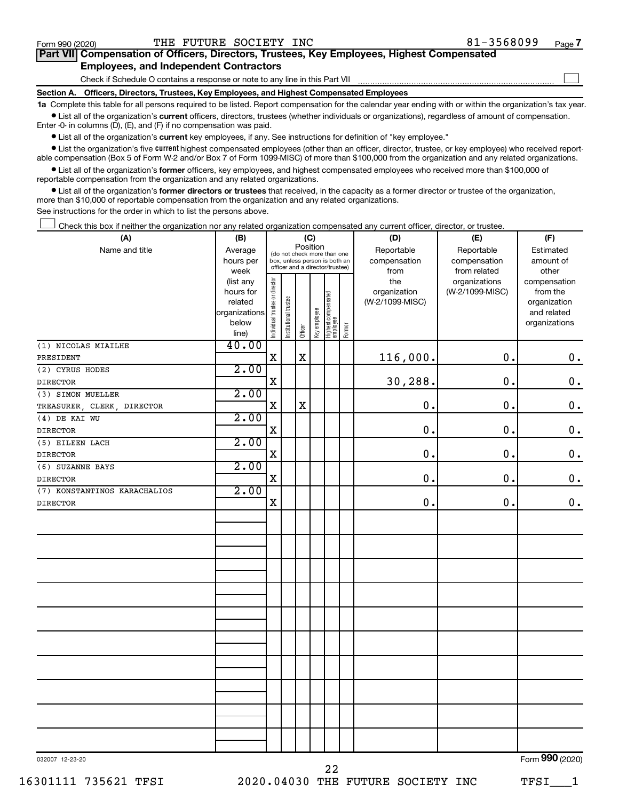$\Box$ 

| Part VII Compensation of Officers, Directors, Trustees, Key Employees, Highest Compensated |  |
|--------------------------------------------------------------------------------------------|--|
| <b>Employees, and Independent Contractors</b>                                              |  |

Check if Schedule O contains a response or note to any line in this Part VII

**Section A. Officers, Directors, Trustees, Key Employees, and Highest Compensated Employees**

**1a**  Complete this table for all persons required to be listed. Report compensation for the calendar year ending with or within the organization's tax year.  $\bullet$  List all of the organization's current officers, directors, trustees (whether individuals or organizations), regardless of amount of compensation.

Enter -0- in columns (D), (E), and (F) if no compensation was paid.

**•** List all of the organization's current key employees, if any. See instructions for definition of "key employee."

• List the organization's five *current* highest compensated employees (other than an officer, director, trustee, or key employee) who received reportable compensation (Box 5 of Form W-2 and/or Box 7 of Form 1099-MISC) of more than \$100,000 from the organization and any related organizations.

 $\bullet$  List all of the organization's former officers, key employees, and highest compensated employees who received more than \$100,000 of reportable compensation from the organization and any related organizations.

**•** List all of the organization's former directors or trustees that received, in the capacity as a former director or trustee of the organization, more than \$10,000 of reportable compensation from the organization and any related organizations.

See instructions for the order in which to list the persons above.

Check this box if neither the organization nor any related organization compensated any current officer, director, or trustee.  $\Box$ 

| (A)                          | (B)                    | (C)                            |                                                                  |             |              |                                   |        | (D)                 | (E)             | (F)                      |
|------------------------------|------------------------|--------------------------------|------------------------------------------------------------------|-------------|--------------|-----------------------------------|--------|---------------------|-----------------|--------------------------|
| Name and title               | Average                |                                | (do not check more than one                                      | Position    |              |                                   |        | Reportable          | Reportable      | Estimated                |
|                              | hours per              |                                | box, unless person is both an<br>officer and a director/trustee) |             |              |                                   |        | compensation        | compensation    | amount of                |
|                              | week                   |                                |                                                                  |             |              |                                   |        | from                | from related    | other                    |
|                              | (list any<br>hours for |                                |                                                                  |             |              |                                   |        | the<br>organization | organizations   | compensation             |
|                              | related                |                                |                                                                  |             |              |                                   |        | (W-2/1099-MISC)     | (W-2/1099-MISC) | from the<br>organization |
|                              | organizations          |                                |                                                                  |             |              |                                   |        |                     |                 | and related              |
|                              | below                  | Individual trustee or director | Institutional trustee                                            |             | Key employee |                                   |        |                     |                 | organizations            |
|                              | line)                  |                                |                                                                  | Officer     |              | Highest compensated<br>  employee | Former |                     |                 |                          |
| (1) NICOLAS MIAILHE          | 40.00                  |                                |                                                                  |             |              |                                   |        |                     |                 |                          |
| PRESIDENT                    |                        | $\mathbf X$                    |                                                                  | $\mathbf X$ |              |                                   |        | 116,000.            | 0.              | $\mathbf 0$ .            |
| (2) CYRUS HODES              | 2.00                   |                                |                                                                  |             |              |                                   |        |                     |                 |                          |
| <b>DIRECTOR</b>              |                        | $\mathbf X$                    |                                                                  |             |              |                                   |        | 30,288.             | 0.              | $\mathbf 0$ .            |
| (3) SIMON MUELLER            | 2.00                   |                                |                                                                  |             |              |                                   |        |                     |                 |                          |
| TREASURER, CLERK, DIRECTOR   |                        | X                              |                                                                  | $\mathbf X$ |              |                                   |        | $\mathbf 0$ .       | 0.              | $\mathbf 0$ .            |
| (4) DE KAI WU                | 2.00                   |                                |                                                                  |             |              |                                   |        |                     |                 |                          |
| <b>DIRECTOR</b>              |                        | X                              |                                                                  |             |              |                                   |        | $\mathbf 0$ .       | 0.              | $\mathbf 0$ .            |
| (5) EILEEN LACH              | 2.00                   |                                |                                                                  |             |              |                                   |        |                     |                 |                          |
| <b>DIRECTOR</b>              |                        | $\mathbf X$                    |                                                                  |             |              |                                   |        | $\mathbf 0$ .       | $\mathbf 0$ .   | $\mathbf 0$ .            |
| (6) SUZANNE BAYS             | 2.00                   |                                |                                                                  |             |              |                                   |        |                     |                 |                          |
| <b>DIRECTOR</b>              |                        | $\mathbf X$                    |                                                                  |             |              |                                   |        | $\mathbf 0$ .       | $\mathbf 0$ .   | $\boldsymbol{0}$ .       |
| (7) KONSTANTINOS KARACHALIOS | 2.00                   |                                |                                                                  |             |              |                                   |        |                     |                 |                          |
| <b>DIRECTOR</b>              |                        | $\mathbf X$                    |                                                                  |             |              |                                   |        | $\mathbf 0$ .       | 0.              | $0$ .                    |
|                              |                        |                                |                                                                  |             |              |                                   |        |                     |                 |                          |
|                              |                        |                                |                                                                  |             |              |                                   |        |                     |                 |                          |
|                              |                        |                                |                                                                  |             |              |                                   |        |                     |                 |                          |
|                              |                        |                                |                                                                  |             |              |                                   |        |                     |                 |                          |
|                              |                        |                                |                                                                  |             |              |                                   |        |                     |                 |                          |
|                              |                        |                                |                                                                  |             |              |                                   |        |                     |                 |                          |
|                              |                        |                                |                                                                  |             |              |                                   |        |                     |                 |                          |
|                              |                        |                                |                                                                  |             |              |                                   |        |                     |                 |                          |
|                              |                        |                                |                                                                  |             |              |                                   |        |                     |                 |                          |
|                              |                        |                                |                                                                  |             |              |                                   |        |                     |                 |                          |
|                              |                        |                                |                                                                  |             |              |                                   |        |                     |                 |                          |
|                              |                        |                                |                                                                  |             |              |                                   |        |                     |                 |                          |
|                              |                        |                                |                                                                  |             |              |                                   |        |                     |                 |                          |
|                              |                        |                                |                                                                  |             |              |                                   |        |                     |                 |                          |
|                              |                        |                                |                                                                  |             |              |                                   |        |                     |                 |                          |
|                              |                        |                                |                                                                  |             |              |                                   |        |                     |                 |                          |
|                              |                        |                                |                                                                  |             |              |                                   |        |                     |                 |                          |
|                              |                        |                                |                                                                  |             |              |                                   |        |                     |                 |                          |
|                              |                        |                                |                                                                  |             |              |                                   |        |                     |                 |                          |
|                              |                        |                                |                                                                  |             |              |                                   |        |                     |                 |                          |
| 032007 12-23-20              |                        |                                |                                                                  |             |              |                                   |        |                     |                 | Form 990 (2020)          |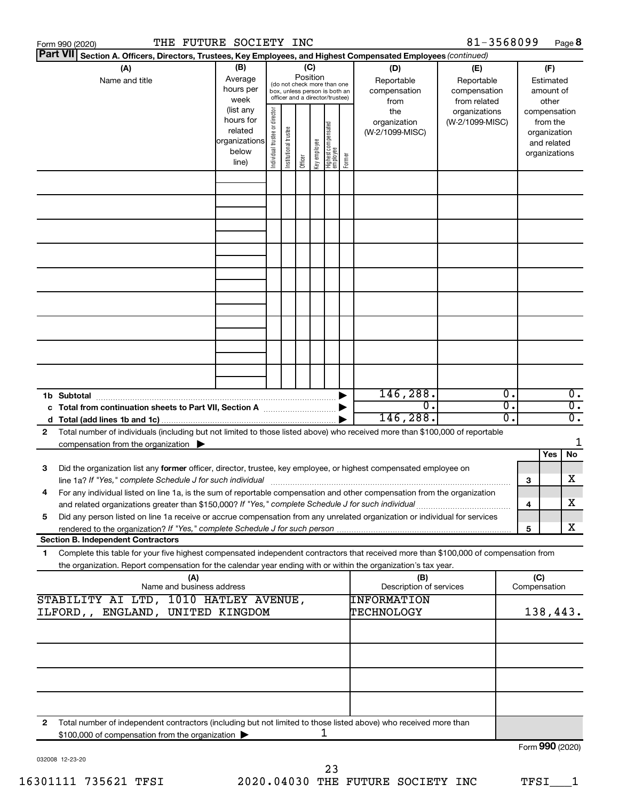|    | Form 990 (2020)                                                                                                                                                                                                                                        |                                  | THE FUTURE SOCIETY INC                                               |                                                                                                                    |                       |         |              |                                   |        |                                           | 81-3568099                                        |          |                     |                                                                          | Page 8                               |
|----|--------------------------------------------------------------------------------------------------------------------------------------------------------------------------------------------------------------------------------------------------------|----------------------------------|----------------------------------------------------------------------|--------------------------------------------------------------------------------------------------------------------|-----------------------|---------|--------------|-----------------------------------|--------|-------------------------------------------|---------------------------------------------------|----------|---------------------|--------------------------------------------------------------------------|--------------------------------------|
|    | <b>Part VII</b><br>Section A. Officers, Directors, Trustees, Key Employees, and Highest Compensated Employees (continued)                                                                                                                              |                                  |                                                                      |                                                                                                                    |                       |         |              |                                   |        |                                           |                                                   |          |                     |                                                                          |                                      |
|    | (A)<br>Name and title                                                                                                                                                                                                                                  |                                  | (B)<br>Average<br>hours per<br>week                                  | (C)<br>Position<br>(do not check more than one<br>box, unless person is both an<br>officer and a director/trustee) |                       |         |              |                                   |        | (D)<br>Reportable<br>compensation<br>from | (E)<br>Reportable<br>compensation<br>from related |          |                     | (F)<br>Estimated<br>amount of<br>other                                   |                                      |
|    |                                                                                                                                                                                                                                                        |                                  | (list any<br>hours for<br>related<br>organizations<br>below<br>line) | Individual trustee or director                                                                                     | Institutional trustee | Officer | Key employee | Highest compensated<br>  employee | Former | the<br>organization<br>(W-2/1099-MISC)    | organizations<br>(W-2/1099-MISC)                  |          |                     | compensation<br>from the<br>organization<br>and related<br>organizations |                                      |
|    |                                                                                                                                                                                                                                                        |                                  |                                                                      |                                                                                                                    |                       |         |              |                                   |        |                                           |                                                   |          |                     |                                                                          |                                      |
|    |                                                                                                                                                                                                                                                        |                                  |                                                                      |                                                                                                                    |                       |         |              |                                   |        |                                           |                                                   |          |                     |                                                                          |                                      |
|    |                                                                                                                                                                                                                                                        |                                  |                                                                      |                                                                                                                    |                       |         |              |                                   |        |                                           |                                                   |          |                     |                                                                          |                                      |
|    |                                                                                                                                                                                                                                                        |                                  |                                                                      |                                                                                                                    |                       |         |              |                                   |        |                                           |                                                   |          |                     |                                                                          |                                      |
|    |                                                                                                                                                                                                                                                        |                                  |                                                                      |                                                                                                                    |                       |         |              |                                   |        |                                           |                                                   |          |                     |                                                                          |                                      |
|    |                                                                                                                                                                                                                                                        |                                  |                                                                      |                                                                                                                    |                       |         |              |                                   |        |                                           |                                                   |          |                     |                                                                          |                                      |
|    |                                                                                                                                                                                                                                                        |                                  |                                                                      |                                                                                                                    |                       |         |              |                                   |        |                                           |                                                   |          |                     |                                                                          |                                      |
|    | 1b Subtotal                                                                                                                                                                                                                                            |                                  |                                                                      |                                                                                                                    |                       |         |              |                                   |        | 146, 288.<br>$\overline{0}$ .             |                                                   | 0.<br>σ. |                     |                                                                          | $\overline{0}$ .                     |
| 2  | c Total from continuation sheets to Part VII, Section A manufactured by<br>Total number of individuals (including but not limited to those listed above) who received more than \$100,000 of reportable                                                |                                  |                                                                      |                                                                                                                    |                       |         |              |                                   |        | 146,288.                                  |                                                   | о.       |                     |                                                                          | $\overline{0}$ .<br>$\overline{0}$ . |
|    | compensation from the organization $\blacktriangleright$                                                                                                                                                                                               |                                  |                                                                      |                                                                                                                    |                       |         |              |                                   |        |                                           |                                                   |          |                     | Yes                                                                      | 1<br>No                              |
| 3  | Did the organization list any former officer, director, trustee, key employee, or highest compensated employee on<br>line 1a? If "Yes," complete Schedule J for such individual manufactured content to the set of the set of the s                    |                                  |                                                                      |                                                                                                                    |                       |         |              |                                   |        |                                           |                                                   |          | 3                   |                                                                          | х                                    |
|    | For any individual listed on line 1a, is the sum of reportable compensation and other compensation from the organization<br>and related organizations greater than \$150,000? If "Yes," complete Schedule J for such individual                        |                                  |                                                                      |                                                                                                                    |                       |         |              |                                   |        |                                           |                                                   |          | 4                   |                                                                          | х                                    |
| 5  | Did any person listed on line 1a receive or accrue compensation from any unrelated organization or individual for services<br><b>Section B. Independent Contractors</b>                                                                                |                                  |                                                                      |                                                                                                                    |                       |         |              |                                   |        |                                           |                                                   |          | 5                   |                                                                          | х                                    |
| 1. | Complete this table for your five highest compensated independent contractors that received more than \$100,000 of compensation from<br>the organization. Report compensation for the calendar year ending with or within the organization's tax year. |                                  |                                                                      |                                                                                                                    |                       |         |              |                                   |        |                                           |                                                   |          |                     |                                                                          |                                      |
|    |                                                                                                                                                                                                                                                        | (A)<br>Name and business address |                                                                      |                                                                                                                    |                       |         |              |                                   |        | (B)<br>Description of services            |                                                   |          | (C)<br>Compensation |                                                                          |                                      |
|    | STABILITY AI LTD, 1010 HATLEY AVENUE,<br>ILFORD,, ENGLAND, UNITED KINGDOM                                                                                                                                                                              |                                  |                                                                      |                                                                                                                    |                       |         |              |                                   |        | INFORMATION<br>TECHNOLOGY                 |                                                   |          |                     | 138,443.                                                                 |                                      |
|    |                                                                                                                                                                                                                                                        |                                  |                                                                      |                                                                                                                    |                       |         |              |                                   |        |                                           |                                                   |          |                     |                                                                          |                                      |
|    |                                                                                                                                                                                                                                                        |                                  |                                                                      |                                                                                                                    |                       |         |              |                                   |        |                                           |                                                   |          |                     |                                                                          |                                      |
|    |                                                                                                                                                                                                                                                        |                                  |                                                                      |                                                                                                                    |                       |         |              |                                   |        |                                           |                                                   |          |                     |                                                                          |                                      |
| 2  | Total number of independent contractors (including but not limited to those listed above) who received more than<br>\$100,000 of compensation from the organization >                                                                                  |                                  |                                                                      |                                                                                                                    |                       |         |              | ı                                 |        |                                           |                                                   |          | Form 990 (2020)     |                                                                          |                                      |

032008 12-23-20

Form (2020) **990**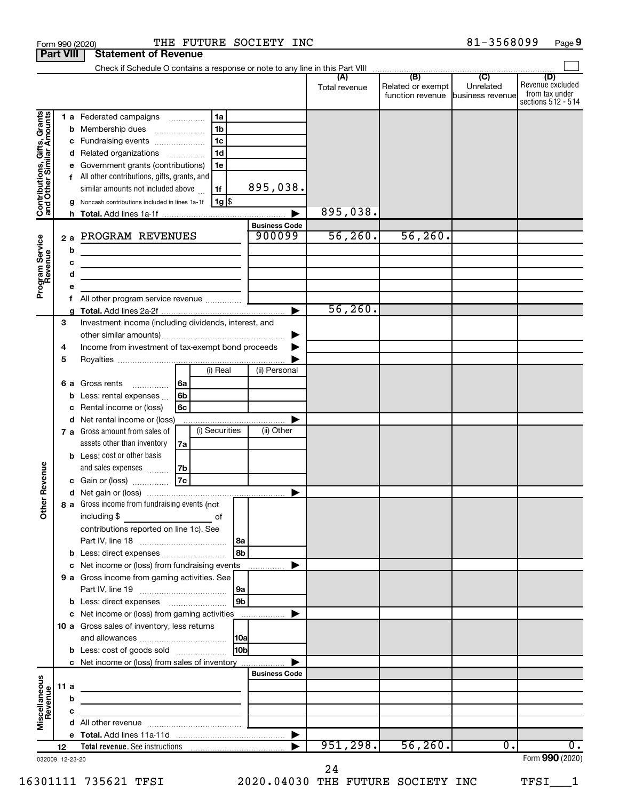|                                                           | <b>Part VIII</b>            | <b>Statement of Revenue</b>                                                                                                                                                                                                                                                                                                                                         |                                  |                      |                                                        |                |                                                                 |
|-----------------------------------------------------------|-----------------------------|---------------------------------------------------------------------------------------------------------------------------------------------------------------------------------------------------------------------------------------------------------------------------------------------------------------------------------------------------------------------|----------------------------------|----------------------|--------------------------------------------------------|----------------|-----------------------------------------------------------------|
|                                                           |                             | Check if Schedule O contains a response or note to any line in this Part VIII                                                                                                                                                                                                                                                                                       |                                  |                      | (B)                                                    | $\overline{C}$ |                                                                 |
|                                                           |                             |                                                                                                                                                                                                                                                                                                                                                                     |                                  | (A)<br>Total revenue | Related or exempt<br>function revenue business revenue | Unrelated      | (D)<br>Revenue excluded<br>from tax under<br>sections 512 - 514 |
| Contributions, Gifts, Grants<br>and Other Similar Amounts | b<br>с<br>d<br>f<br>h.      | 1 a Federated campaigns<br>1a<br>1 <sub>b</sub><br>Membership dues<br>1 <sub>c</sub><br>Fundraising events<br>1 <sub>d</sub><br>Related organizations<br>$\cdots$<br>Government grants (contributions)<br>1e<br>All other contributions, gifts, grants, and<br>similar amounts not included above<br>1f<br>$1g$ \$<br>Noncash contributions included in lines 1a-1f | 895,038.<br><b>Business Code</b> | 895,038.             |                                                        |                |                                                                 |
| Program Service<br>Revenue                                | 2a<br>b<br>c<br>d<br>е<br>f | PROGRAM REVENUES<br>the control of the control of the control of the control of the control of<br><u> 1980 - Johann Barbara, martin amerikan basal dan berasal dalam basal dalam basal dalam basal dalam basal dala</u>                                                                                                                                             | 900099                           | 56, 260.             | 56, 260.                                               |                |                                                                 |
|                                                           |                             |                                                                                                                                                                                                                                                                                                                                                                     | ►                                | 56, 260.             |                                                        |                |                                                                 |
|                                                           | 3<br>4<br>5                 | Investment income (including dividends, interest, and<br>Income from investment of tax-exempt bond proceeds<br>(i) Real                                                                                                                                                                                                                                             | (ii) Personal                    |                      |                                                        |                |                                                                 |
|                                                           | 6а<br>b<br>с                | Gross rents<br> 6a<br>$\overline{\phantom{a}}$<br>6 <sub>b</sub><br>Less: rental expenses<br>6c<br>Rental income or (loss)<br>d Net rental income or (loss)                                                                                                                                                                                                         |                                  |                      |                                                        |                |                                                                 |
|                                                           |                             | (i) Securities<br>7 a Gross amount from sales of<br>assets other than inventory<br>7a<br><b>b</b> Less: cost or other basis<br>and sales expenses<br>7b                                                                                                                                                                                                             | (ii) Other                       |                      |                                                        |                |                                                                 |
| Revenue<br>৯<br>$\check{\epsilon}$                        |                             | 7c<br>Gain or (loss)<br>8 a Gross income from fundraising events (not<br>including \$<br>of                                                                                                                                                                                                                                                                         |                                  |                      |                                                        |                |                                                                 |
|                                                           |                             | contributions reported on line 1c). See<br>l 8a<br>l 8b<br><b>b</b> Less: direct expenses<br>c Net income or (loss) from fundraising events<br>9 a Gross income from gaming activities. See                                                                                                                                                                         | $\ldots \ldots \ldots$           |                      |                                                        |                |                                                                 |
|                                                           |                             | 9a<br>9 <sub>b</sub><br><b>b</b> Less: direct expenses <b>manually</b><br>c Net income or (loss) from gaming activities                                                                                                                                                                                                                                             |                                  |                      |                                                        |                |                                                                 |
|                                                           |                             | 10 a Gross sales of inventory, less returns<br> 10a<br>10bl<br><b>b</b> Less: cost of goods sold<br>c Net income or (loss) from sales of inventory                                                                                                                                                                                                                  |                                  |                      |                                                        |                |                                                                 |
| Miscellaneous<br>Revenue                                  | 11 a<br>b                   | the control of the control of the control of the control of the control of                                                                                                                                                                                                                                                                                          | <b>Business Code</b>             |                      |                                                        |                |                                                                 |
|                                                           | с<br>12                     | the control of the control of the control of the                                                                                                                                                                                                                                                                                                                    |                                  | 951, 298.            | 56, 260.                                               | 0.             | $\overline{0}$ .                                                |
|                                                           | 032009 12-23-20             |                                                                                                                                                                                                                                                                                                                                                                     |                                  |                      |                                                        |                | Form 990 (2020)                                                 |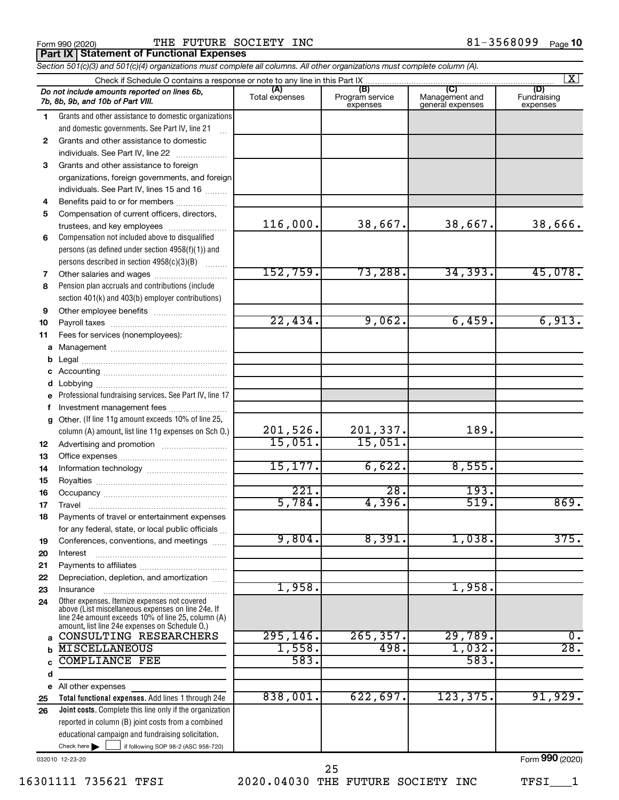Form 990 (2020) Page THE FUTURE SOCIETY INC 81-3568099 **Part IX Statement of Functional Expenses**

*Section 501(c)(3) and 501(c)(4) organizations must complete all columns. All other organizations must complete column (A).*

| $\mathbf{X}$ |                                                                                                    |                       |                                    |                                           |                                |  |  |  |
|--------------|----------------------------------------------------------------------------------------------------|-----------------------|------------------------------------|-------------------------------------------|--------------------------------|--|--|--|
|              | Do not include amounts reported on lines 6b,<br>7b, 8b, 9b, and 10b of Part VIII.                  | (A)<br>Total expenses | (B)<br>Program service<br>expenses | (C)<br>Management and<br>general expenses | (D)<br>Fundraising<br>expenses |  |  |  |
| 1.           | Grants and other assistance to domestic organizations                                              |                       |                                    |                                           |                                |  |  |  |
|              | and domestic governments. See Part IV, line 21                                                     |                       |                                    |                                           |                                |  |  |  |
| 2            | Grants and other assistance to domestic                                                            |                       |                                    |                                           |                                |  |  |  |
|              | individuals. See Part IV, line 22                                                                  |                       |                                    |                                           |                                |  |  |  |
| 3            | Grants and other assistance to foreign                                                             |                       |                                    |                                           |                                |  |  |  |
|              | organizations, foreign governments, and foreign                                                    |                       |                                    |                                           |                                |  |  |  |
|              | individuals. See Part IV, lines 15 and 16                                                          |                       |                                    |                                           |                                |  |  |  |
| 4            | Benefits paid to or for members                                                                    |                       |                                    |                                           |                                |  |  |  |
| 5            | Compensation of current officers, directors,                                                       |                       |                                    |                                           |                                |  |  |  |
|              | trustees, and key employees                                                                        | 116,000.              | 38,667.                            | 38,667.                                   | 38,666.                        |  |  |  |
| 6            | Compensation not included above to disqualified                                                    |                       |                                    |                                           |                                |  |  |  |
|              | persons (as defined under section $4958(f)(1)$ ) and                                               |                       |                                    |                                           |                                |  |  |  |
|              | persons described in section 4958(c)(3)(B)                                                         |                       |                                    |                                           |                                |  |  |  |
| 7            | Other salaries and wages                                                                           | 152,759.              | 73,288.                            | 34, 393.                                  | 45,078.                        |  |  |  |
| 8            | Pension plan accruals and contributions (include                                                   |                       |                                    |                                           |                                |  |  |  |
|              | section 401(k) and 403(b) employer contributions)                                                  |                       |                                    |                                           |                                |  |  |  |
| 9            |                                                                                                    |                       |                                    |                                           |                                |  |  |  |
| 10           |                                                                                                    | 22,434.               | 9,062.                             | 6,459.                                    | 6,913.                         |  |  |  |
| 11           | Fees for services (nonemployees):                                                                  |                       |                                    |                                           |                                |  |  |  |
|              |                                                                                                    |                       |                                    |                                           |                                |  |  |  |
| b            |                                                                                                    |                       |                                    |                                           |                                |  |  |  |
|              |                                                                                                    |                       |                                    |                                           |                                |  |  |  |
| d            |                                                                                                    |                       |                                    |                                           |                                |  |  |  |
| e            | Professional fundraising services. See Part IV, line 17                                            |                       |                                    |                                           |                                |  |  |  |
| f            | Investment management fees                                                                         |                       |                                    |                                           |                                |  |  |  |
| g            | Other. (If line 11g amount exceeds 10% of line 25,                                                 |                       |                                    |                                           |                                |  |  |  |
|              | column (A) amount, list line 11g expenses on Sch O.)                                               | 201,526.              | 201,337.                           | 189.                                      |                                |  |  |  |
| 12           |                                                                                                    | 15,051.               | 15,051.                            |                                           |                                |  |  |  |
| 13           |                                                                                                    |                       |                                    |                                           |                                |  |  |  |
| 14           |                                                                                                    | 15, 177.              | 6,622.                             | 8,555.                                    |                                |  |  |  |
| 15           |                                                                                                    |                       |                                    |                                           |                                |  |  |  |
| 16           |                                                                                                    | 221.                  | 28.                                | 193.                                      |                                |  |  |  |
| 17           | Travel                                                                                             | 5,784.                | 4,396.                             | 519.                                      | 869.                           |  |  |  |
| 18           | Payments of travel or entertainment expenses                                                       |                       |                                    |                                           |                                |  |  |  |
|              | for any federal, state, or local public officials                                                  |                       | 8,391.                             |                                           |                                |  |  |  |
| 19           | Conferences, conventions, and meetings                                                             | 9,804.                |                                    | 1,038.                                    | 375.                           |  |  |  |
| 20           | Interest                                                                                           |                       |                                    |                                           |                                |  |  |  |
| 21           |                                                                                                    |                       |                                    |                                           |                                |  |  |  |
| 22           | Depreciation, depletion, and amortization                                                          | 1,958.                |                                    | 1,958.                                    |                                |  |  |  |
| 23           | Insurance                                                                                          |                       |                                    |                                           |                                |  |  |  |
| 24           | Other expenses. Itemize expenses not covered<br>above (List miscellaneous expenses on line 24e. If |                       |                                    |                                           |                                |  |  |  |
|              | line 24e amount exceeds 10% of line 25, column (A)                                                 |                       |                                    |                                           |                                |  |  |  |
| a            | amount, list line 24e expenses on Schedule O.)<br>CONSULTING RESEARCHERS                           | 295, 146.             | 265, 357.                          | 29,789.                                   | $\overline{0}$ .               |  |  |  |
|              | <b>MISCELLANEOUS</b>                                                                               | 1,558.                | 498.                               | 1,032.                                    | 28.                            |  |  |  |
| b<br>C       | <b>COMPLIANCE FEE</b>                                                                              | 583.                  |                                    | 583.                                      |                                |  |  |  |
| d            |                                                                                                    |                       |                                    |                                           |                                |  |  |  |
|              | e All other expenses                                                                               |                       |                                    |                                           |                                |  |  |  |
| 25           | Total functional expenses. Add lines 1 through 24e                                                 | 838,001.              | 622,697.                           | 123,375.                                  | 91,929.                        |  |  |  |
| 26           | Joint costs. Complete this line only if the organization                                           |                       |                                    |                                           |                                |  |  |  |
|              | reported in column (B) joint costs from a combined                                                 |                       |                                    |                                           |                                |  |  |  |
|              | educational campaign and fundraising solicitation.                                                 |                       |                                    |                                           |                                |  |  |  |
|              | Check here $\blacktriangleright$<br>if following SOP 98-2 (ASC 958-720)                            |                       |                                    |                                           |                                |  |  |  |

032010 12-23-20

16301111 735621 TFSI 2020.04030 THE FUTURE SOCIETY INC TFSI\_\_\_1

Form (2020) **990**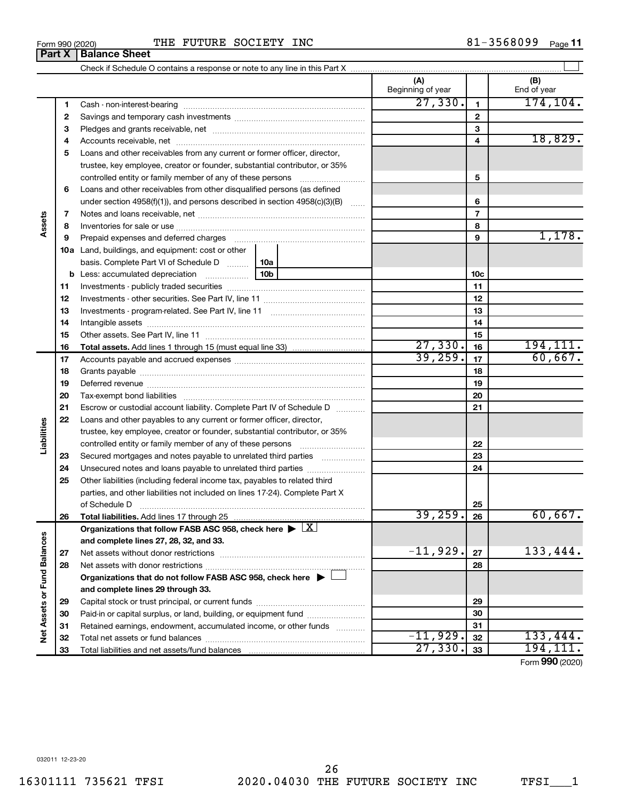|  | THE FUTURE SOCIETY INC |  |
|--|------------------------|--|

 $\frac{1}{100}$   $\frac{1}{100}$   $\frac{1}{100}$   $\frac{1}{100}$   $\frac{1}{100}$   $\frac{1}{100}$   $\frac{1}{100}$   $\frac{1}{100}$   $\frac{1}{100}$   $\frac{1}{100}$   $\frac{1}{100}$   $\frac{1}{100}$   $\frac{1}{100}$   $\frac{1}{100}$   $\frac{1}{100}$   $\frac{1}{100}$   $\frac{1}{100}$   $\frac{1}{100}$   $\frac{1$ THE FUTURE SOCIETY INC **81-3568099** Page 11

|                             | Part X | <b>Balance Sheet</b>                                                                                                                                 |     |                          |                |                    |
|-----------------------------|--------|------------------------------------------------------------------------------------------------------------------------------------------------------|-----|--------------------------|----------------|--------------------|
|                             |        |                                                                                                                                                      |     |                          |                |                    |
|                             |        |                                                                                                                                                      |     | (A)<br>Beginning of year |                | (B)<br>End of year |
|                             | 1      |                                                                                                                                                      |     | 27,330.                  | $\mathbf{1}$   | 174, 104.          |
|                             | 2      |                                                                                                                                                      |     |                          | $\mathbf{2}$   |                    |
|                             | 3      |                                                                                                                                                      |     |                          | 3              |                    |
|                             | 4      |                                                                                                                                                      |     |                          | 4              | 18,829.            |
|                             | 5      | Loans and other receivables from any current or former officer, director,                                                                            |     |                          |                |                    |
|                             |        | trustee, key employee, creator or founder, substantial contributor, or 35%                                                                           |     |                          |                |                    |
|                             |        | controlled entity or family member of any of these persons                                                                                           |     |                          | 5              |                    |
|                             | 6      | Loans and other receivables from other disqualified persons (as defined                                                                              |     |                          |                |                    |
|                             |        | under section 4958(f)(1)), and persons described in section 4958(c)(3)(B)                                                                            |     |                          | 6              |                    |
|                             | 7      |                                                                                                                                                      |     |                          | $\overline{7}$ |                    |
| Assets                      | 8      |                                                                                                                                                      |     |                          | 8              |                    |
|                             | 9      | Prepaid expenses and deferred charges                                                                                                                |     |                          | 9              | 1,178.             |
|                             |        | <b>10a</b> Land, buildings, and equipment: cost or other                                                                                             |     |                          |                |                    |
|                             |        | basis. Complete Part VI of Schedule D    10a                                                                                                         |     |                          |                |                    |
|                             |        | <b>b</b> Less: accumulated depreciation <i></i>                                                                                                      | 10b |                          | 10c            |                    |
|                             | 11     |                                                                                                                                                      |     |                          | 11             |                    |
|                             | 12     |                                                                                                                                                      |     | 12                       |                |                    |
|                             | 13     |                                                                                                                                                      |     | 13                       |                |                    |
|                             | 14     |                                                                                                                                                      |     |                          | 14             |                    |
|                             | 15     |                                                                                                                                                      |     |                          | 15             |                    |
|                             | 16     |                                                                                                                                                      |     | 27,330.                  | 16             | 194, 111.          |
|                             | 17     |                                                                                                                                                      |     | 39, 259.                 | 17             | 60,667.            |
|                             | 18     |                                                                                                                                                      |     |                          | 18             |                    |
|                             | 19     |                                                                                                                                                      |     |                          | 19             |                    |
|                             | 20     |                                                                                                                                                      |     |                          | 20             |                    |
|                             | 21     | Escrow or custodial account liability. Complete Part IV of Schedule D                                                                                |     |                          | 21             |                    |
|                             | 22     | Loans and other payables to any current or former officer, director,                                                                                 |     |                          |                |                    |
| Liabilities                 |        | trustee, key employee, creator or founder, substantial contributor, or 35%                                                                           |     |                          |                |                    |
|                             |        | controlled entity or family member of any of these persons                                                                                           |     |                          | 22             |                    |
|                             | 23     | Secured mortgages and notes payable to unrelated third parties                                                                                       |     |                          | 23             |                    |
|                             | 24     | Unsecured notes and loans payable to unrelated third parties                                                                                         |     |                          | 24             |                    |
|                             | 25     | Other liabilities (including federal income tax, payables to related third                                                                           |     |                          |                |                    |
|                             |        | parties, and other liabilities not included on lines 17-24). Complete Part X                                                                         |     |                          |                |                    |
|                             |        | of Schedule D                                                                                                                                        |     | 39, 259.                 | 25<br>26       | 60,667.            |
|                             | 26     | Total liabilities. Add lines 17 through 25<br>Organizations that follow FASB ASC 958, check here $\blacktriangleright \lfloor \underline{X} \rfloor$ |     |                          |                |                    |
|                             |        | and complete lines 27, 28, 32, and 33.                                                                                                               |     |                          |                |                    |
|                             | 27     |                                                                                                                                                      |     | $-11,929.$               | 27             | 133,444.           |
|                             | 28     |                                                                                                                                                      |     |                          | 28             |                    |
|                             |        | Organizations that do not follow FASB ASC 958, check here $\blacktriangleright \bot$                                                                 |     |                          |                |                    |
|                             |        | and complete lines 29 through 33.                                                                                                                    |     |                          |                |                    |
|                             | 29     |                                                                                                                                                      |     |                          | 29             |                    |
|                             | 30     | Paid-in or capital surplus, or land, building, or equipment fund                                                                                     |     |                          | 30             |                    |
|                             | 31     | Retained earnings, endowment, accumulated income, or other funds                                                                                     |     |                          | 31             |                    |
| Net Assets or Fund Balances | 32     |                                                                                                                                                      |     | $-11,929.$               | 32             | 133,444.           |
|                             | 33     |                                                                                                                                                      |     | 27,330.                  | 33             | 194, 111.          |
|                             |        |                                                                                                                                                      |     |                          |                | Form 990 (2020)    |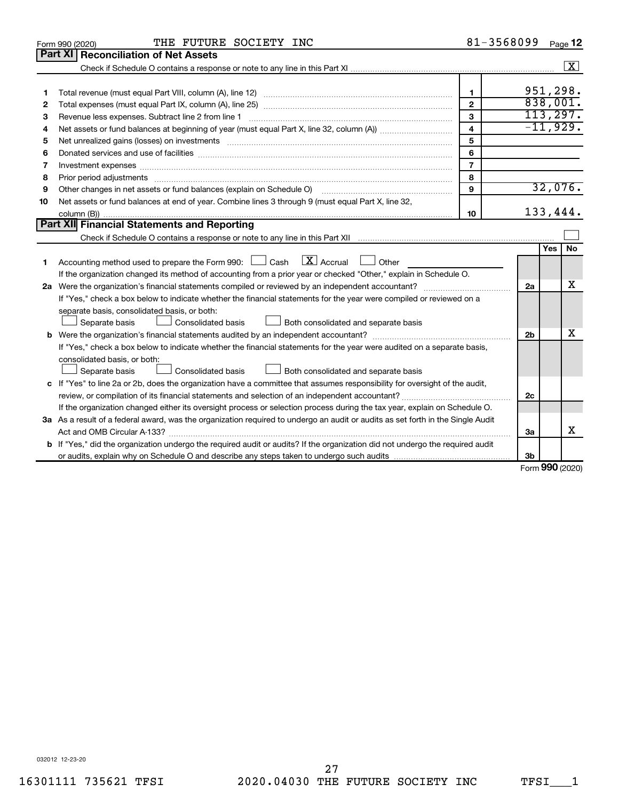|    | THE FUTURE SOCIETY INC<br>Form 990 (2020)                                                                                       | 81-3568099     |                |     | Page 12                 |  |  |  |
|----|---------------------------------------------------------------------------------------------------------------------------------|----------------|----------------|-----|-------------------------|--|--|--|
|    | <b>Part XI</b><br><b>Reconciliation of Net Assets</b>                                                                           |                |                |     |                         |  |  |  |
|    |                                                                                                                                 |                |                |     | $\boxed{\text{X}}$      |  |  |  |
|    |                                                                                                                                 |                |                |     |                         |  |  |  |
| 1  |                                                                                                                                 | $\mathbf{1}$   |                |     | 951,298.                |  |  |  |
| 2  |                                                                                                                                 | $\overline{2}$ | 838,001.       |     |                         |  |  |  |
| З  | Revenue less expenses. Subtract line 2 from line 1                                                                              | 3              |                |     | 113, 297.<br>$-11,929.$ |  |  |  |
| 4  | $\overline{\mathbf{4}}$                                                                                                         |                |                |     |                         |  |  |  |
| 5  |                                                                                                                                 | 5              |                |     |                         |  |  |  |
| 6  |                                                                                                                                 | 6              |                |     |                         |  |  |  |
| 7  | Investment expenses www.communication.com/www.communication.com/www.communication.com/www.com                                   | $\overline{7}$ |                |     |                         |  |  |  |
| 8  | Prior period adjustments www.communication.communication.communication.com/news-managements                                     | 8              |                |     |                         |  |  |  |
| 9  | Other changes in net assets or fund balances (explain on Schedule O)                                                            | $\mathbf{Q}$   |                |     | 32,076.                 |  |  |  |
| 10 | Net assets or fund balances at end of year. Combine lines 3 through 9 (must equal Part X, line 32,                              |                |                |     |                         |  |  |  |
|    |                                                                                                                                 | 10             |                |     | 133,444.                |  |  |  |
|    | Part XII Financial Statements and Reporting                                                                                     |                |                |     |                         |  |  |  |
|    |                                                                                                                                 |                |                |     |                         |  |  |  |
|    |                                                                                                                                 |                |                | Yes | No                      |  |  |  |
| 1  | Accounting method used to prepare the Form 990: $\Box$ Cash $\Box X$ Accrual<br>Other                                           |                |                |     |                         |  |  |  |
|    | If the organization changed its method of accounting from a prior year or checked "Other," explain in Schedule O.               |                |                |     |                         |  |  |  |
|    |                                                                                                                                 |                | 2a             |     | x                       |  |  |  |
|    | If "Yes," check a box below to indicate whether the financial statements for the year were compiled or reviewed on a            |                |                |     |                         |  |  |  |
|    | separate basis, consolidated basis, or both:                                                                                    |                |                |     |                         |  |  |  |
|    | Both consolidated and separate basis<br>Separate basis<br>Consolidated basis                                                    |                |                |     |                         |  |  |  |
|    |                                                                                                                                 |                | 2 <sub>b</sub> |     | х                       |  |  |  |
|    | If "Yes," check a box below to indicate whether the financial statements for the year were audited on a separate basis,         |                |                |     |                         |  |  |  |
|    | consolidated basis, or both:                                                                                                    |                |                |     |                         |  |  |  |
|    | Separate basis<br>Consolidated basis<br>Both consolidated and separate basis                                                    |                |                |     |                         |  |  |  |
|    | c If "Yes" to line 2a or 2b, does the organization have a committee that assumes responsibility for oversight of the audit,     |                | 2c             |     |                         |  |  |  |
|    | review, or compilation of its financial statements and selection of an independent accountant?                                  |                |                |     |                         |  |  |  |
|    | If the organization changed either its oversight process or selection process during the tax year, explain on Schedule O.       |                |                |     |                         |  |  |  |
|    | 3a As a result of a federal award, was the organization required to undergo an audit or audits as set forth in the Single Audit |                |                |     |                         |  |  |  |
|    |                                                                                                                                 |                | За             |     | x                       |  |  |  |
|    | b If "Yes," did the organization undergo the required audit or audits? If the organization did not undergo the required audit   |                |                |     |                         |  |  |  |
|    |                                                                                                                                 |                | 3b             |     |                         |  |  |  |

Form (2020) **990**

032012 12-23-20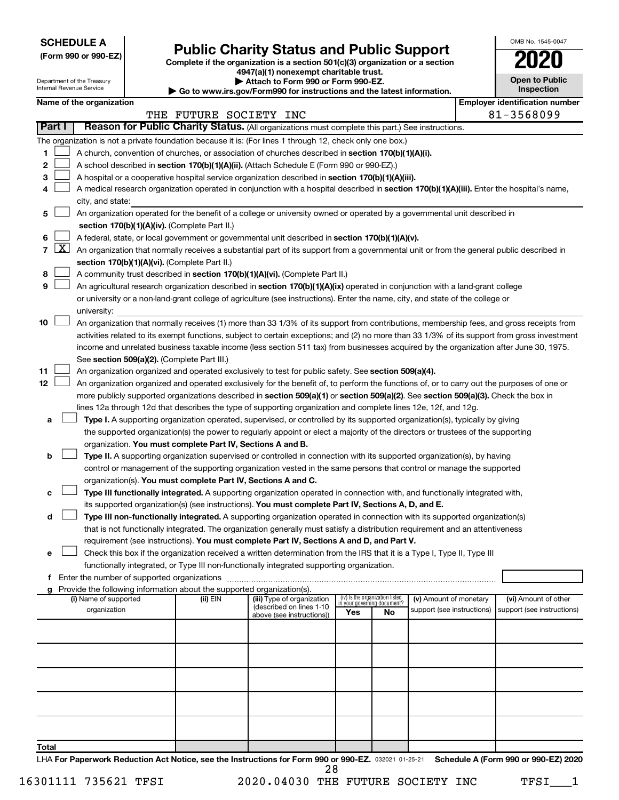**SCHEDULE A**

Department of the Treasury

| (Form 990 or 990-EZ) |  |  |  |  |
|----------------------|--|--|--|--|
|----------------------|--|--|--|--|

## Form 990 or 990-EZ) **Public Charity Status and Public Support**<br>
Complete if the organization is a section 501(c)(3) organization or a section<br> **2020**

**4947(a)(1) nonexempt charitable trust. | Attach to Form 990 or Form 990-EZ.** 

| <b>Open to Public</b><br>Inspection |
|-------------------------------------|
| er identification numbe             |

OMB No. 1545-0047

|        | Internal Revenue Service<br>Go to www.irs.gov/Form990 for instructions and the latest information. |                                                                                                                           |                          |                                             |                                                                        |                                                                                                                                              |                                 |                             |                                                      | Inspection |                                                     |
|--------|----------------------------------------------------------------------------------------------------|---------------------------------------------------------------------------------------------------------------------------|--------------------------|---------------------------------------------|------------------------------------------------------------------------|----------------------------------------------------------------------------------------------------------------------------------------------|---------------------------------|-----------------------------|------------------------------------------------------|------------|-----------------------------------------------------|
|        |                                                                                                    |                                                                                                                           | Name of the organization |                                             | THE FUTURE SOCIETY INC                                                 |                                                                                                                                              |                                 |                             |                                                      |            | <b>Employer identification number</b><br>81-3568099 |
| Part I |                                                                                                    |                                                                                                                           |                          |                                             |                                                                        | Reason for Public Charity Status. (All organizations must complete this part.) See instructions.                                             |                                 |                             |                                                      |            |                                                     |
|        |                                                                                                    |                                                                                                                           |                          |                                             |                                                                        | The organization is not a private foundation because it is: (For lines 1 through 12, check only one box.)                                    |                                 |                             |                                                      |            |                                                     |
| 1      |                                                                                                    |                                                                                                                           |                          |                                             |                                                                        | A church, convention of churches, or association of churches described in section 170(b)(1)(A)(i).                                           |                                 |                             |                                                      |            |                                                     |
| 2      |                                                                                                    |                                                                                                                           |                          |                                             |                                                                        | A school described in section 170(b)(1)(A)(ii). (Attach Schedule E (Form 990 or 990-EZ).)                                                    |                                 |                             |                                                      |            |                                                     |
| З      |                                                                                                    |                                                                                                                           |                          |                                             |                                                                        | A hospital or a cooperative hospital service organization described in section 170(b)(1)(A)(iii).                                            |                                 |                             |                                                      |            |                                                     |
| 4      |                                                                                                    |                                                                                                                           |                          |                                             |                                                                        | A medical research organization operated in conjunction with a hospital described in section 170(b)(1)(A)(iii). Enter the hospital's name,   |                                 |                             |                                                      |            |                                                     |
|        |                                                                                                    |                                                                                                                           | city, and state:         |                                             |                                                                        |                                                                                                                                              |                                 |                             |                                                      |            |                                                     |
| 5      |                                                                                                    | An organization operated for the benefit of a college or university owned or operated by a governmental unit described in |                          |                                             |                                                                        |                                                                                                                                              |                                 |                             |                                                      |            |                                                     |
|        |                                                                                                    | section $170(b)(1)(A)(iv)$ . (Complete Part II.)                                                                          |                          |                                             |                                                                        |                                                                                                                                              |                                 |                             |                                                      |            |                                                     |
| 6      |                                                                                                    | A federal, state, or local government or governmental unit described in section 170(b)(1)(A)(v).                          |                          |                                             |                                                                        |                                                                                                                                              |                                 |                             |                                                      |            |                                                     |
| 7      | $\lfloor x \rfloor$                                                                                |                                                                                                                           |                          |                                             |                                                                        | An organization that normally receives a substantial part of its support from a governmental unit or from the general public described in    |                                 |                             |                                                      |            |                                                     |
|        |                                                                                                    |                                                                                                                           |                          |                                             | section 170(b)(1)(A)(vi). (Complete Part II.)                          |                                                                                                                                              |                                 |                             |                                                      |            |                                                     |
| 8      |                                                                                                    |                                                                                                                           |                          |                                             |                                                                        | A community trust described in section 170(b)(1)(A)(vi). (Complete Part II.)                                                                 |                                 |                             |                                                      |            |                                                     |
| 9      |                                                                                                    |                                                                                                                           |                          |                                             |                                                                        | An agricultural research organization described in section 170(b)(1)(A)(ix) operated in conjunction with a land-grant college                |                                 |                             |                                                      |            |                                                     |
|        |                                                                                                    |                                                                                                                           |                          |                                             |                                                                        | or university or a non-land-grant college of agriculture (see instructions). Enter the name, city, and state of the college or               |                                 |                             |                                                      |            |                                                     |
|        |                                                                                                    |                                                                                                                           | university:              |                                             |                                                                        |                                                                                                                                              |                                 |                             |                                                      |            |                                                     |
| 10     |                                                                                                    |                                                                                                                           |                          |                                             |                                                                        | An organization that normally receives (1) more than 33 1/3% of its support from contributions, membership fees, and gross receipts from     |                                 |                             |                                                      |            |                                                     |
|        |                                                                                                    |                                                                                                                           |                          |                                             |                                                                        | activities related to its exempt functions, subject to certain exceptions; and (2) no more than 33 1/3% of its support from gross investment |                                 |                             |                                                      |            |                                                     |
|        |                                                                                                    |                                                                                                                           |                          |                                             |                                                                        | income and unrelated business taxable income (less section 511 tax) from businesses acquired by the organization after June 30, 1975.        |                                 |                             |                                                      |            |                                                     |
| 11     |                                                                                                    |                                                                                                                           |                          |                                             | See section 509(a)(2). (Complete Part III.)                            | An organization organized and operated exclusively to test for public safety. See section 509(a)(4).                                         |                                 |                             |                                                      |            |                                                     |
| 12     |                                                                                                    |                                                                                                                           |                          |                                             |                                                                        | An organization organized and operated exclusively for the benefit of, to perform the functions of, or to carry out the purposes of one or   |                                 |                             |                                                      |            |                                                     |
|        |                                                                                                    |                                                                                                                           |                          |                                             |                                                                        | more publicly supported organizations described in section 509(a)(1) or section 509(a)(2). See section 509(a)(3). Check the box in           |                                 |                             |                                                      |            |                                                     |
|        |                                                                                                    |                                                                                                                           |                          |                                             |                                                                        | lines 12a through 12d that describes the type of supporting organization and complete lines 12e, 12f, and 12g.                               |                                 |                             |                                                      |            |                                                     |
| а      |                                                                                                    |                                                                                                                           |                          |                                             |                                                                        | Type I. A supporting organization operated, supervised, or controlled by its supported organization(s), typically by giving                  |                                 |                             |                                                      |            |                                                     |
|        |                                                                                                    |                                                                                                                           |                          |                                             |                                                                        | the supported organization(s) the power to regularly appoint or elect a majority of the directors or trustees of the supporting              |                                 |                             |                                                      |            |                                                     |
|        |                                                                                                    |                                                                                                                           |                          |                                             | organization. You must complete Part IV, Sections A and B.             |                                                                                                                                              |                                 |                             |                                                      |            |                                                     |
| b      |                                                                                                    |                                                                                                                           |                          |                                             |                                                                        | Type II. A supporting organization supervised or controlled in connection with its supported organization(s), by having                      |                                 |                             |                                                      |            |                                                     |
|        |                                                                                                    |                                                                                                                           |                          |                                             |                                                                        | control or management of the supporting organization vested in the same persons that control or manage the supported                         |                                 |                             |                                                      |            |                                                     |
|        |                                                                                                    |                                                                                                                           |                          |                                             | organization(s). You must complete Part IV, Sections A and C.          |                                                                                                                                              |                                 |                             |                                                      |            |                                                     |
| с      |                                                                                                    |                                                                                                                           |                          |                                             |                                                                        | Type III functionally integrated. A supporting organization operated in connection with, and functionally integrated with,                   |                                 |                             |                                                      |            |                                                     |
|        |                                                                                                    |                                                                                                                           |                          |                                             |                                                                        | its supported organization(s) (see instructions). You must complete Part IV, Sections A, D, and E.                                           |                                 |                             |                                                      |            |                                                     |
| d      |                                                                                                    |                                                                                                                           |                          |                                             |                                                                        | Type III non-functionally integrated. A supporting organization operated in connection with its supported organization(s)                    |                                 |                             |                                                      |            |                                                     |
|        |                                                                                                    |                                                                                                                           |                          |                                             |                                                                        | that is not functionally integrated. The organization generally must satisfy a distribution requirement and an attentiveness                 |                                 |                             |                                                      |            |                                                     |
|        |                                                                                                    |                                                                                                                           |                          |                                             |                                                                        | requirement (see instructions). You must complete Part IV, Sections A and D, and Part V.                                                     |                                 |                             |                                                      |            |                                                     |
| е      |                                                                                                    |                                                                                                                           |                          |                                             |                                                                        | Check this box if the organization received a written determination from the IRS that it is a Type I, Type II, Type III                      |                                 |                             |                                                      |            |                                                     |
|        |                                                                                                    |                                                                                                                           |                          |                                             |                                                                        | functionally integrated, or Type III non-functionally integrated supporting organization.                                                    |                                 |                             |                                                      |            |                                                     |
| f      |                                                                                                    |                                                                                                                           |                          | Enter the number of supported organizations |                                                                        |                                                                                                                                              |                                 |                             |                                                      |            |                                                     |
|        |                                                                                                    |                                                                                                                           | (i) Name of supported    |                                             | Provide the following information about the supported organization(s). |                                                                                                                                              | (iv) Is the organization listed |                             |                                                      |            |                                                     |
|        |                                                                                                    |                                                                                                                           | organization             |                                             | (ii) EIN                                                               | (iii) Type of organization<br>(described on lines 1-10                                                                                       |                                 | in your governing document? | (v) Amount of monetary<br>support (see instructions) |            | (vi) Amount of other<br>support (see instructions)  |
|        |                                                                                                    |                                                                                                                           |                          |                                             |                                                                        | above (see instructions))                                                                                                                    | Yes                             | No                          |                                                      |            |                                                     |
|        |                                                                                                    |                                                                                                                           |                          |                                             |                                                                        |                                                                                                                                              |                                 |                             |                                                      |            |                                                     |
|        |                                                                                                    |                                                                                                                           |                          |                                             |                                                                        |                                                                                                                                              |                                 |                             |                                                      |            |                                                     |
|        |                                                                                                    |                                                                                                                           |                          |                                             |                                                                        |                                                                                                                                              |                                 |                             |                                                      |            |                                                     |
|        |                                                                                                    |                                                                                                                           |                          |                                             |                                                                        |                                                                                                                                              |                                 |                             |                                                      |            |                                                     |
|        |                                                                                                    |                                                                                                                           |                          |                                             |                                                                        |                                                                                                                                              |                                 |                             |                                                      |            |                                                     |
|        |                                                                                                    |                                                                                                                           |                          |                                             |                                                                        |                                                                                                                                              |                                 |                             |                                                      |            |                                                     |

**Total**

LHA For Paperwork Reduction Act Notice, see the Instructions for Form 990 or 990-EZ. 032021 01-25-21 Schedule A (Form 990 or 990-EZ) 2020 28

16301111 735621 TFSI 2020.04030 THE FUTURE SOCIETY INC TFSI 1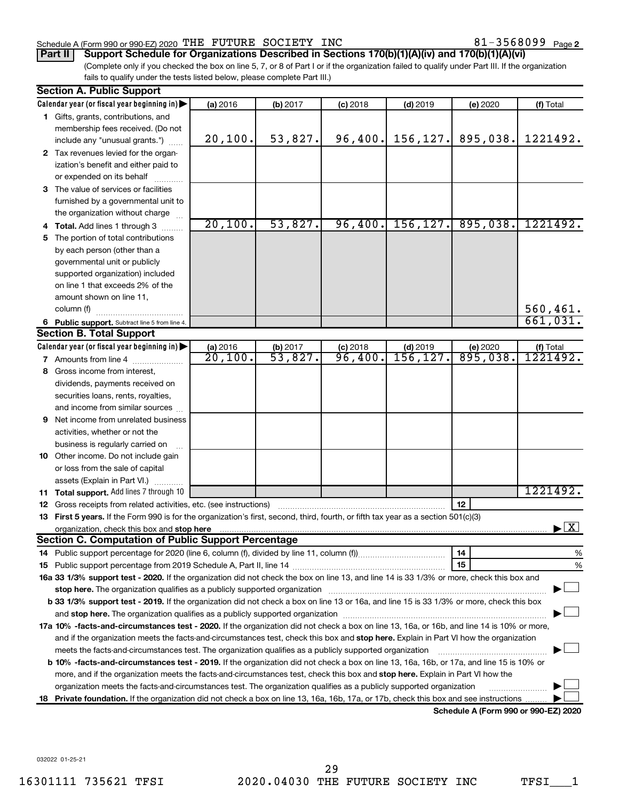#### Schedule A (Form 990 or 990-EZ) 2020 THE FUTURE SOCIETY INC  $81-3568099$  Page

(Complete only if you checked the box on line 5, 7, or 8 of Part I or if the organization failed to qualify under Part III. If the organization **Part II Support Schedule for Organizations Described in Sections 170(b)(1)(A)(iv) and 170(b)(1)(A)(vi)**

fails to qualify under the tests listed below, please complete Part III.)

| Calendar year (or fiscal year beginning in)<br>(a) 2016<br>(f) Total<br>(b) 2017<br>$(c)$ 2018<br>$(d)$ 2019<br>(e) 2020<br>1 Gifts, grants, contributions, and<br>membership fees received. (Do not<br>53,827.<br>96,400.<br>156, 127.<br>895,038.<br>1221492.<br>20,100.<br>include any "unusual grants.")<br>2 Tax revenues levied for the organ-<br>ization's benefit and either paid to<br>or expended on its behalf<br>3 The value of services or facilities<br>furnished by a governmental unit to<br>the organization without charge<br>20,100.<br>53,827.<br>96,400.<br>156, 127.<br>895,038.<br>1221492.<br>4 Total. Add lines 1 through 3<br>The portion of total contributions<br>5<br>by each person (other than a<br>governmental unit or publicly<br>supported organization) included<br>on line 1 that exceeds 2% of the<br>amount shown on line 11,<br>560,461.<br>column (f)<br>661,031.<br>6 Public support. Subtract line 5 from line 4.<br><b>Section B. Total Support</b><br>Calendar year (or fiscal year beginning in)<br>(a) 2016<br>(b) 2017<br>$(c)$ 2018<br>$(d)$ 2019<br>(e) 2020<br>(f) Total<br>$\overline{53,827}$<br>895,038.<br>20,100.<br>96,400.<br>156,127<br>1221492.<br><b>7</b> Amounts from line 4<br>8 Gross income from interest,<br>dividends, payments received on<br>securities loans, rents, royalties,<br>and income from similar sources<br>9 Net income from unrelated business<br>activities, whether or not the<br>business is regularly carried on<br>10 Other income. Do not include gain<br>or loss from the sale of capital<br>assets (Explain in Part VI.)<br>1221492.<br>11 Total support. Add lines 7 through 10<br>12<br><b>12</b> Gross receipts from related activities, etc. (see instructions)<br>13 First 5 years. If the Form 990 is for the organization's first, second, third, fourth, or fifth tax year as a section 501(c)(3)<br>$\blacktriangleright$ $\boxed{\text{X}}$<br>organization, check this box and stop here <b>construction and construction</b> construction of the state of the state of the state of the state of the state of the state of the state of the state of the state of the state of t<br><b>Section C. Computation of Public Support Percentage</b><br>14<br>%<br>15<br>%<br>16a 33 1/3% support test - 2020. If the organization did not check the box on line 13, and line 14 is 33 1/3% or more, check this box and<br>stop here. The organization qualifies as a publicly supported organization manufaction manufacture or the organization<br>b 33 1/3% support test - 2019. If the organization did not check a box on line 13 or 16a, and line 15 is 33 1/3% or more, check this box | <b>Section A. Public Support</b> |  |  |  |
|------------------------------------------------------------------------------------------------------------------------------------------------------------------------------------------------------------------------------------------------------------------------------------------------------------------------------------------------------------------------------------------------------------------------------------------------------------------------------------------------------------------------------------------------------------------------------------------------------------------------------------------------------------------------------------------------------------------------------------------------------------------------------------------------------------------------------------------------------------------------------------------------------------------------------------------------------------------------------------------------------------------------------------------------------------------------------------------------------------------------------------------------------------------------------------------------------------------------------------------------------------------------------------------------------------------------------------------------------------------------------------------------------------------------------------------------------------------------------------------------------------------------------------------------------------------------------------------------------------------------------------------------------------------------------------------------------------------------------------------------------------------------------------------------------------------------------------------------------------------------------------------------------------------------------------------------------------------------------------------------------------------------------------------------------------------------------------------------------------------------------------------------------------------------------------------------------------------------------------------------------------------------------------------------------------------------------------------------------------------------------------------------------------------------------------------------------------------------------------------------------------------------------------------------------------------------------------------------------------------------------------------------------------------------------------------------|----------------------------------|--|--|--|
|                                                                                                                                                                                                                                                                                                                                                                                                                                                                                                                                                                                                                                                                                                                                                                                                                                                                                                                                                                                                                                                                                                                                                                                                                                                                                                                                                                                                                                                                                                                                                                                                                                                                                                                                                                                                                                                                                                                                                                                                                                                                                                                                                                                                                                                                                                                                                                                                                                                                                                                                                                                                                                                                                                |                                  |  |  |  |
|                                                                                                                                                                                                                                                                                                                                                                                                                                                                                                                                                                                                                                                                                                                                                                                                                                                                                                                                                                                                                                                                                                                                                                                                                                                                                                                                                                                                                                                                                                                                                                                                                                                                                                                                                                                                                                                                                                                                                                                                                                                                                                                                                                                                                                                                                                                                                                                                                                                                                                                                                                                                                                                                                                |                                  |  |  |  |
|                                                                                                                                                                                                                                                                                                                                                                                                                                                                                                                                                                                                                                                                                                                                                                                                                                                                                                                                                                                                                                                                                                                                                                                                                                                                                                                                                                                                                                                                                                                                                                                                                                                                                                                                                                                                                                                                                                                                                                                                                                                                                                                                                                                                                                                                                                                                                                                                                                                                                                                                                                                                                                                                                                |                                  |  |  |  |
|                                                                                                                                                                                                                                                                                                                                                                                                                                                                                                                                                                                                                                                                                                                                                                                                                                                                                                                                                                                                                                                                                                                                                                                                                                                                                                                                                                                                                                                                                                                                                                                                                                                                                                                                                                                                                                                                                                                                                                                                                                                                                                                                                                                                                                                                                                                                                                                                                                                                                                                                                                                                                                                                                                |                                  |  |  |  |
|                                                                                                                                                                                                                                                                                                                                                                                                                                                                                                                                                                                                                                                                                                                                                                                                                                                                                                                                                                                                                                                                                                                                                                                                                                                                                                                                                                                                                                                                                                                                                                                                                                                                                                                                                                                                                                                                                                                                                                                                                                                                                                                                                                                                                                                                                                                                                                                                                                                                                                                                                                                                                                                                                                |                                  |  |  |  |
|                                                                                                                                                                                                                                                                                                                                                                                                                                                                                                                                                                                                                                                                                                                                                                                                                                                                                                                                                                                                                                                                                                                                                                                                                                                                                                                                                                                                                                                                                                                                                                                                                                                                                                                                                                                                                                                                                                                                                                                                                                                                                                                                                                                                                                                                                                                                                                                                                                                                                                                                                                                                                                                                                                |                                  |  |  |  |
|                                                                                                                                                                                                                                                                                                                                                                                                                                                                                                                                                                                                                                                                                                                                                                                                                                                                                                                                                                                                                                                                                                                                                                                                                                                                                                                                                                                                                                                                                                                                                                                                                                                                                                                                                                                                                                                                                                                                                                                                                                                                                                                                                                                                                                                                                                                                                                                                                                                                                                                                                                                                                                                                                                |                                  |  |  |  |
|                                                                                                                                                                                                                                                                                                                                                                                                                                                                                                                                                                                                                                                                                                                                                                                                                                                                                                                                                                                                                                                                                                                                                                                                                                                                                                                                                                                                                                                                                                                                                                                                                                                                                                                                                                                                                                                                                                                                                                                                                                                                                                                                                                                                                                                                                                                                                                                                                                                                                                                                                                                                                                                                                                |                                  |  |  |  |
|                                                                                                                                                                                                                                                                                                                                                                                                                                                                                                                                                                                                                                                                                                                                                                                                                                                                                                                                                                                                                                                                                                                                                                                                                                                                                                                                                                                                                                                                                                                                                                                                                                                                                                                                                                                                                                                                                                                                                                                                                                                                                                                                                                                                                                                                                                                                                                                                                                                                                                                                                                                                                                                                                                |                                  |  |  |  |
|                                                                                                                                                                                                                                                                                                                                                                                                                                                                                                                                                                                                                                                                                                                                                                                                                                                                                                                                                                                                                                                                                                                                                                                                                                                                                                                                                                                                                                                                                                                                                                                                                                                                                                                                                                                                                                                                                                                                                                                                                                                                                                                                                                                                                                                                                                                                                                                                                                                                                                                                                                                                                                                                                                |                                  |  |  |  |
|                                                                                                                                                                                                                                                                                                                                                                                                                                                                                                                                                                                                                                                                                                                                                                                                                                                                                                                                                                                                                                                                                                                                                                                                                                                                                                                                                                                                                                                                                                                                                                                                                                                                                                                                                                                                                                                                                                                                                                                                                                                                                                                                                                                                                                                                                                                                                                                                                                                                                                                                                                                                                                                                                                |                                  |  |  |  |
|                                                                                                                                                                                                                                                                                                                                                                                                                                                                                                                                                                                                                                                                                                                                                                                                                                                                                                                                                                                                                                                                                                                                                                                                                                                                                                                                                                                                                                                                                                                                                                                                                                                                                                                                                                                                                                                                                                                                                                                                                                                                                                                                                                                                                                                                                                                                                                                                                                                                                                                                                                                                                                                                                                |                                  |  |  |  |
|                                                                                                                                                                                                                                                                                                                                                                                                                                                                                                                                                                                                                                                                                                                                                                                                                                                                                                                                                                                                                                                                                                                                                                                                                                                                                                                                                                                                                                                                                                                                                                                                                                                                                                                                                                                                                                                                                                                                                                                                                                                                                                                                                                                                                                                                                                                                                                                                                                                                                                                                                                                                                                                                                                |                                  |  |  |  |
|                                                                                                                                                                                                                                                                                                                                                                                                                                                                                                                                                                                                                                                                                                                                                                                                                                                                                                                                                                                                                                                                                                                                                                                                                                                                                                                                                                                                                                                                                                                                                                                                                                                                                                                                                                                                                                                                                                                                                                                                                                                                                                                                                                                                                                                                                                                                                                                                                                                                                                                                                                                                                                                                                                |                                  |  |  |  |
|                                                                                                                                                                                                                                                                                                                                                                                                                                                                                                                                                                                                                                                                                                                                                                                                                                                                                                                                                                                                                                                                                                                                                                                                                                                                                                                                                                                                                                                                                                                                                                                                                                                                                                                                                                                                                                                                                                                                                                                                                                                                                                                                                                                                                                                                                                                                                                                                                                                                                                                                                                                                                                                                                                |                                  |  |  |  |
|                                                                                                                                                                                                                                                                                                                                                                                                                                                                                                                                                                                                                                                                                                                                                                                                                                                                                                                                                                                                                                                                                                                                                                                                                                                                                                                                                                                                                                                                                                                                                                                                                                                                                                                                                                                                                                                                                                                                                                                                                                                                                                                                                                                                                                                                                                                                                                                                                                                                                                                                                                                                                                                                                                |                                  |  |  |  |
|                                                                                                                                                                                                                                                                                                                                                                                                                                                                                                                                                                                                                                                                                                                                                                                                                                                                                                                                                                                                                                                                                                                                                                                                                                                                                                                                                                                                                                                                                                                                                                                                                                                                                                                                                                                                                                                                                                                                                                                                                                                                                                                                                                                                                                                                                                                                                                                                                                                                                                                                                                                                                                                                                                |                                  |  |  |  |
|                                                                                                                                                                                                                                                                                                                                                                                                                                                                                                                                                                                                                                                                                                                                                                                                                                                                                                                                                                                                                                                                                                                                                                                                                                                                                                                                                                                                                                                                                                                                                                                                                                                                                                                                                                                                                                                                                                                                                                                                                                                                                                                                                                                                                                                                                                                                                                                                                                                                                                                                                                                                                                                                                                |                                  |  |  |  |
|                                                                                                                                                                                                                                                                                                                                                                                                                                                                                                                                                                                                                                                                                                                                                                                                                                                                                                                                                                                                                                                                                                                                                                                                                                                                                                                                                                                                                                                                                                                                                                                                                                                                                                                                                                                                                                                                                                                                                                                                                                                                                                                                                                                                                                                                                                                                                                                                                                                                                                                                                                                                                                                                                                |                                  |  |  |  |
|                                                                                                                                                                                                                                                                                                                                                                                                                                                                                                                                                                                                                                                                                                                                                                                                                                                                                                                                                                                                                                                                                                                                                                                                                                                                                                                                                                                                                                                                                                                                                                                                                                                                                                                                                                                                                                                                                                                                                                                                                                                                                                                                                                                                                                                                                                                                                                                                                                                                                                                                                                                                                                                                                                |                                  |  |  |  |
|                                                                                                                                                                                                                                                                                                                                                                                                                                                                                                                                                                                                                                                                                                                                                                                                                                                                                                                                                                                                                                                                                                                                                                                                                                                                                                                                                                                                                                                                                                                                                                                                                                                                                                                                                                                                                                                                                                                                                                                                                                                                                                                                                                                                                                                                                                                                                                                                                                                                                                                                                                                                                                                                                                |                                  |  |  |  |
|                                                                                                                                                                                                                                                                                                                                                                                                                                                                                                                                                                                                                                                                                                                                                                                                                                                                                                                                                                                                                                                                                                                                                                                                                                                                                                                                                                                                                                                                                                                                                                                                                                                                                                                                                                                                                                                                                                                                                                                                                                                                                                                                                                                                                                                                                                                                                                                                                                                                                                                                                                                                                                                                                                |                                  |  |  |  |
|                                                                                                                                                                                                                                                                                                                                                                                                                                                                                                                                                                                                                                                                                                                                                                                                                                                                                                                                                                                                                                                                                                                                                                                                                                                                                                                                                                                                                                                                                                                                                                                                                                                                                                                                                                                                                                                                                                                                                                                                                                                                                                                                                                                                                                                                                                                                                                                                                                                                                                                                                                                                                                                                                                |                                  |  |  |  |
|                                                                                                                                                                                                                                                                                                                                                                                                                                                                                                                                                                                                                                                                                                                                                                                                                                                                                                                                                                                                                                                                                                                                                                                                                                                                                                                                                                                                                                                                                                                                                                                                                                                                                                                                                                                                                                                                                                                                                                                                                                                                                                                                                                                                                                                                                                                                                                                                                                                                                                                                                                                                                                                                                                |                                  |  |  |  |
|                                                                                                                                                                                                                                                                                                                                                                                                                                                                                                                                                                                                                                                                                                                                                                                                                                                                                                                                                                                                                                                                                                                                                                                                                                                                                                                                                                                                                                                                                                                                                                                                                                                                                                                                                                                                                                                                                                                                                                                                                                                                                                                                                                                                                                                                                                                                                                                                                                                                                                                                                                                                                                                                                                |                                  |  |  |  |
|                                                                                                                                                                                                                                                                                                                                                                                                                                                                                                                                                                                                                                                                                                                                                                                                                                                                                                                                                                                                                                                                                                                                                                                                                                                                                                                                                                                                                                                                                                                                                                                                                                                                                                                                                                                                                                                                                                                                                                                                                                                                                                                                                                                                                                                                                                                                                                                                                                                                                                                                                                                                                                                                                                |                                  |  |  |  |
|                                                                                                                                                                                                                                                                                                                                                                                                                                                                                                                                                                                                                                                                                                                                                                                                                                                                                                                                                                                                                                                                                                                                                                                                                                                                                                                                                                                                                                                                                                                                                                                                                                                                                                                                                                                                                                                                                                                                                                                                                                                                                                                                                                                                                                                                                                                                                                                                                                                                                                                                                                                                                                                                                                |                                  |  |  |  |
|                                                                                                                                                                                                                                                                                                                                                                                                                                                                                                                                                                                                                                                                                                                                                                                                                                                                                                                                                                                                                                                                                                                                                                                                                                                                                                                                                                                                                                                                                                                                                                                                                                                                                                                                                                                                                                                                                                                                                                                                                                                                                                                                                                                                                                                                                                                                                                                                                                                                                                                                                                                                                                                                                                |                                  |  |  |  |
|                                                                                                                                                                                                                                                                                                                                                                                                                                                                                                                                                                                                                                                                                                                                                                                                                                                                                                                                                                                                                                                                                                                                                                                                                                                                                                                                                                                                                                                                                                                                                                                                                                                                                                                                                                                                                                                                                                                                                                                                                                                                                                                                                                                                                                                                                                                                                                                                                                                                                                                                                                                                                                                                                                |                                  |  |  |  |
|                                                                                                                                                                                                                                                                                                                                                                                                                                                                                                                                                                                                                                                                                                                                                                                                                                                                                                                                                                                                                                                                                                                                                                                                                                                                                                                                                                                                                                                                                                                                                                                                                                                                                                                                                                                                                                                                                                                                                                                                                                                                                                                                                                                                                                                                                                                                                                                                                                                                                                                                                                                                                                                                                                |                                  |  |  |  |
|                                                                                                                                                                                                                                                                                                                                                                                                                                                                                                                                                                                                                                                                                                                                                                                                                                                                                                                                                                                                                                                                                                                                                                                                                                                                                                                                                                                                                                                                                                                                                                                                                                                                                                                                                                                                                                                                                                                                                                                                                                                                                                                                                                                                                                                                                                                                                                                                                                                                                                                                                                                                                                                                                                |                                  |  |  |  |
|                                                                                                                                                                                                                                                                                                                                                                                                                                                                                                                                                                                                                                                                                                                                                                                                                                                                                                                                                                                                                                                                                                                                                                                                                                                                                                                                                                                                                                                                                                                                                                                                                                                                                                                                                                                                                                                                                                                                                                                                                                                                                                                                                                                                                                                                                                                                                                                                                                                                                                                                                                                                                                                                                                |                                  |  |  |  |
|                                                                                                                                                                                                                                                                                                                                                                                                                                                                                                                                                                                                                                                                                                                                                                                                                                                                                                                                                                                                                                                                                                                                                                                                                                                                                                                                                                                                                                                                                                                                                                                                                                                                                                                                                                                                                                                                                                                                                                                                                                                                                                                                                                                                                                                                                                                                                                                                                                                                                                                                                                                                                                                                                                |                                  |  |  |  |
|                                                                                                                                                                                                                                                                                                                                                                                                                                                                                                                                                                                                                                                                                                                                                                                                                                                                                                                                                                                                                                                                                                                                                                                                                                                                                                                                                                                                                                                                                                                                                                                                                                                                                                                                                                                                                                                                                                                                                                                                                                                                                                                                                                                                                                                                                                                                                                                                                                                                                                                                                                                                                                                                                                |                                  |  |  |  |
|                                                                                                                                                                                                                                                                                                                                                                                                                                                                                                                                                                                                                                                                                                                                                                                                                                                                                                                                                                                                                                                                                                                                                                                                                                                                                                                                                                                                                                                                                                                                                                                                                                                                                                                                                                                                                                                                                                                                                                                                                                                                                                                                                                                                                                                                                                                                                                                                                                                                                                                                                                                                                                                                                                |                                  |  |  |  |
|                                                                                                                                                                                                                                                                                                                                                                                                                                                                                                                                                                                                                                                                                                                                                                                                                                                                                                                                                                                                                                                                                                                                                                                                                                                                                                                                                                                                                                                                                                                                                                                                                                                                                                                                                                                                                                                                                                                                                                                                                                                                                                                                                                                                                                                                                                                                                                                                                                                                                                                                                                                                                                                                                                |                                  |  |  |  |
|                                                                                                                                                                                                                                                                                                                                                                                                                                                                                                                                                                                                                                                                                                                                                                                                                                                                                                                                                                                                                                                                                                                                                                                                                                                                                                                                                                                                                                                                                                                                                                                                                                                                                                                                                                                                                                                                                                                                                                                                                                                                                                                                                                                                                                                                                                                                                                                                                                                                                                                                                                                                                                                                                                |                                  |  |  |  |
|                                                                                                                                                                                                                                                                                                                                                                                                                                                                                                                                                                                                                                                                                                                                                                                                                                                                                                                                                                                                                                                                                                                                                                                                                                                                                                                                                                                                                                                                                                                                                                                                                                                                                                                                                                                                                                                                                                                                                                                                                                                                                                                                                                                                                                                                                                                                                                                                                                                                                                                                                                                                                                                                                                |                                  |  |  |  |
|                                                                                                                                                                                                                                                                                                                                                                                                                                                                                                                                                                                                                                                                                                                                                                                                                                                                                                                                                                                                                                                                                                                                                                                                                                                                                                                                                                                                                                                                                                                                                                                                                                                                                                                                                                                                                                                                                                                                                                                                                                                                                                                                                                                                                                                                                                                                                                                                                                                                                                                                                                                                                                                                                                |                                  |  |  |  |
|                                                                                                                                                                                                                                                                                                                                                                                                                                                                                                                                                                                                                                                                                                                                                                                                                                                                                                                                                                                                                                                                                                                                                                                                                                                                                                                                                                                                                                                                                                                                                                                                                                                                                                                                                                                                                                                                                                                                                                                                                                                                                                                                                                                                                                                                                                                                                                                                                                                                                                                                                                                                                                                                                                |                                  |  |  |  |
|                                                                                                                                                                                                                                                                                                                                                                                                                                                                                                                                                                                                                                                                                                                                                                                                                                                                                                                                                                                                                                                                                                                                                                                                                                                                                                                                                                                                                                                                                                                                                                                                                                                                                                                                                                                                                                                                                                                                                                                                                                                                                                                                                                                                                                                                                                                                                                                                                                                                                                                                                                                                                                                                                                |                                  |  |  |  |
|                                                                                                                                                                                                                                                                                                                                                                                                                                                                                                                                                                                                                                                                                                                                                                                                                                                                                                                                                                                                                                                                                                                                                                                                                                                                                                                                                                                                                                                                                                                                                                                                                                                                                                                                                                                                                                                                                                                                                                                                                                                                                                                                                                                                                                                                                                                                                                                                                                                                                                                                                                                                                                                                                                |                                  |  |  |  |
|                                                                                                                                                                                                                                                                                                                                                                                                                                                                                                                                                                                                                                                                                                                                                                                                                                                                                                                                                                                                                                                                                                                                                                                                                                                                                                                                                                                                                                                                                                                                                                                                                                                                                                                                                                                                                                                                                                                                                                                                                                                                                                                                                                                                                                                                                                                                                                                                                                                                                                                                                                                                                                                                                                |                                  |  |  |  |
| 17a 10% -facts-and-circumstances test - 2020. If the organization did not check a box on line 13, 16a, or 16b, and line 14 is 10% or more,                                                                                                                                                                                                                                                                                                                                                                                                                                                                                                                                                                                                                                                                                                                                                                                                                                                                                                                                                                                                                                                                                                                                                                                                                                                                                                                                                                                                                                                                                                                                                                                                                                                                                                                                                                                                                                                                                                                                                                                                                                                                                                                                                                                                                                                                                                                                                                                                                                                                                                                                                     |                                  |  |  |  |
| and if the organization meets the facts-and-circumstances test, check this box and stop here. Explain in Part VI how the organization                                                                                                                                                                                                                                                                                                                                                                                                                                                                                                                                                                                                                                                                                                                                                                                                                                                                                                                                                                                                                                                                                                                                                                                                                                                                                                                                                                                                                                                                                                                                                                                                                                                                                                                                                                                                                                                                                                                                                                                                                                                                                                                                                                                                                                                                                                                                                                                                                                                                                                                                                          |                                  |  |  |  |
| meets the facts-and-circumstances test. The organization qualifies as a publicly supported organization                                                                                                                                                                                                                                                                                                                                                                                                                                                                                                                                                                                                                                                                                                                                                                                                                                                                                                                                                                                                                                                                                                                                                                                                                                                                                                                                                                                                                                                                                                                                                                                                                                                                                                                                                                                                                                                                                                                                                                                                                                                                                                                                                                                                                                                                                                                                                                                                                                                                                                                                                                                        |                                  |  |  |  |
| b 10% -facts-and-circumstances test - 2019. If the organization did not check a box on line 13, 16a, 16b, or 17a, and line 15 is 10% or                                                                                                                                                                                                                                                                                                                                                                                                                                                                                                                                                                                                                                                                                                                                                                                                                                                                                                                                                                                                                                                                                                                                                                                                                                                                                                                                                                                                                                                                                                                                                                                                                                                                                                                                                                                                                                                                                                                                                                                                                                                                                                                                                                                                                                                                                                                                                                                                                                                                                                                                                        |                                  |  |  |  |
| more, and if the organization meets the facts-and-circumstances test, check this box and stop here. Explain in Part VI how the                                                                                                                                                                                                                                                                                                                                                                                                                                                                                                                                                                                                                                                                                                                                                                                                                                                                                                                                                                                                                                                                                                                                                                                                                                                                                                                                                                                                                                                                                                                                                                                                                                                                                                                                                                                                                                                                                                                                                                                                                                                                                                                                                                                                                                                                                                                                                                                                                                                                                                                                                                 |                                  |  |  |  |
| organization meets the facts-and-circumstances test. The organization qualifies as a publicly supported organization                                                                                                                                                                                                                                                                                                                                                                                                                                                                                                                                                                                                                                                                                                                                                                                                                                                                                                                                                                                                                                                                                                                                                                                                                                                                                                                                                                                                                                                                                                                                                                                                                                                                                                                                                                                                                                                                                                                                                                                                                                                                                                                                                                                                                                                                                                                                                                                                                                                                                                                                                                           |                                  |  |  |  |
| Private foundation. If the organization did not check a box on line 13, 16a, 16b, 17a, or 17b, check this box and see instructions<br>18.<br>Schedule A (Form 990 or 990-EZ) 2020                                                                                                                                                                                                                                                                                                                                                                                                                                                                                                                                                                                                                                                                                                                                                                                                                                                                                                                                                                                                                                                                                                                                                                                                                                                                                                                                                                                                                                                                                                                                                                                                                                                                                                                                                                                                                                                                                                                                                                                                                                                                                                                                                                                                                                                                                                                                                                                                                                                                                                              |                                  |  |  |  |

**Schedule A (Form 990 or 990-EZ) 2020**

032022 01-25-21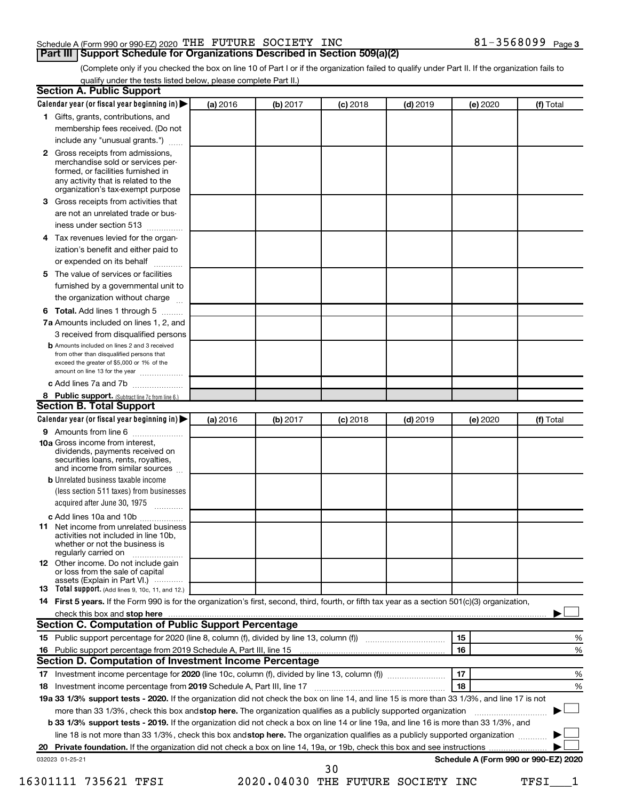### Schedule A (Form 990 or 990-EZ) 2020 THE FUTURE SOCIETY INC  $81-3568099$  Page

(Complete only if you checked the box on line 10 of Part I or if the organization failed to qualify under Part II. If the organization fails to qualify under the tests listed below, please complete Part II.)

|    | Calendar year (or fiscal year beginning in)                                                                                                                                                                                                                                                 | (a) 2016 | (b) 2017 | $(c)$ 2018                        | $(d)$ 2019 |    | (e) 2020 | (f) Total                            |
|----|---------------------------------------------------------------------------------------------------------------------------------------------------------------------------------------------------------------------------------------------------------------------------------------------|----------|----------|-----------------------------------|------------|----|----------|--------------------------------------|
|    | 1 Gifts, grants, contributions, and                                                                                                                                                                                                                                                         |          |          |                                   |            |    |          |                                      |
|    | membership fees received. (Do not                                                                                                                                                                                                                                                           |          |          |                                   |            |    |          |                                      |
|    | include any "unusual grants.")                                                                                                                                                                                                                                                              |          |          |                                   |            |    |          |                                      |
|    | 2 Gross receipts from admissions,                                                                                                                                                                                                                                                           |          |          |                                   |            |    |          |                                      |
|    | merchandise sold or services per-                                                                                                                                                                                                                                                           |          |          |                                   |            |    |          |                                      |
|    | formed, or facilities furnished in                                                                                                                                                                                                                                                          |          |          |                                   |            |    |          |                                      |
|    | any activity that is related to the<br>organization's tax-exempt purpose                                                                                                                                                                                                                    |          |          |                                   |            |    |          |                                      |
| з  | Gross receipts from activities that                                                                                                                                                                                                                                                         |          |          |                                   |            |    |          |                                      |
|    | are not an unrelated trade or bus-                                                                                                                                                                                                                                                          |          |          |                                   |            |    |          |                                      |
|    | iness under section 513                                                                                                                                                                                                                                                                     |          |          |                                   |            |    |          |                                      |
| 4  | Tax revenues levied for the organ-                                                                                                                                                                                                                                                          |          |          |                                   |            |    |          |                                      |
|    | ization's benefit and either paid to                                                                                                                                                                                                                                                        |          |          |                                   |            |    |          |                                      |
|    | or expended on its behalf<br>.                                                                                                                                                                                                                                                              |          |          |                                   |            |    |          |                                      |
| 5  | The value of services or facilities                                                                                                                                                                                                                                                         |          |          |                                   |            |    |          |                                      |
|    | furnished by a governmental unit to                                                                                                                                                                                                                                                         |          |          |                                   |            |    |          |                                      |
|    | the organization without charge                                                                                                                                                                                                                                                             |          |          |                                   |            |    |          |                                      |
| 6  | Total. Add lines 1 through 5                                                                                                                                                                                                                                                                |          |          |                                   |            |    |          |                                      |
|    | 7a Amounts included on lines 1, 2, and                                                                                                                                                                                                                                                      |          |          |                                   |            |    |          |                                      |
|    | 3 received from disqualified persons                                                                                                                                                                                                                                                        |          |          |                                   |            |    |          |                                      |
|    | <b>b</b> Amounts included on lines 2 and 3 received                                                                                                                                                                                                                                         |          |          |                                   |            |    |          |                                      |
|    | from other than disqualified persons that                                                                                                                                                                                                                                                   |          |          |                                   |            |    |          |                                      |
|    | exceed the greater of \$5,000 or 1% of the<br>amount on line 13 for the year                                                                                                                                                                                                                |          |          |                                   |            |    |          |                                      |
|    | c Add lines 7a and 7b                                                                                                                                                                                                                                                                       |          |          |                                   |            |    |          |                                      |
|    | 8 Public support. (Subtract line 7c from line 6.)                                                                                                                                                                                                                                           |          |          |                                   |            |    |          |                                      |
|    | <b>Section B. Total Support</b>                                                                                                                                                                                                                                                             |          |          |                                   |            |    |          |                                      |
|    | Calendar year (or fiscal year beginning in)                                                                                                                                                                                                                                                 | (a) 2016 | (b) 2017 | $(c)$ 2018                        | $(d)$ 2019 |    | (e) 2020 | (f) Total                            |
|    | 9 Amounts from line 6                                                                                                                                                                                                                                                                       |          |          |                                   |            |    |          |                                      |
|    | <b>10a</b> Gross income from interest,<br>dividends, payments received on<br>securities loans, rents, royalties,<br>and income from similar sources                                                                                                                                         |          |          |                                   |            |    |          |                                      |
|    | <b>b</b> Unrelated business taxable income                                                                                                                                                                                                                                                  |          |          |                                   |            |    |          |                                      |
|    | (less section 511 taxes) from businesses                                                                                                                                                                                                                                                    |          |          |                                   |            |    |          |                                      |
|    | acquired after June 30, 1975                                                                                                                                                                                                                                                                |          |          |                                   |            |    |          |                                      |
|    | c Add lines 10a and 10b                                                                                                                                                                                                                                                                     |          |          |                                   |            |    |          |                                      |
|    | <b>11</b> Net income from unrelated business<br>activities not included in line 10b.<br>whether or not the business is                                                                                                                                                                      |          |          |                                   |            |    |          |                                      |
|    | regularly carried on<br>12 Other income. Do not include gain                                                                                                                                                                                                                                |          |          |                                   |            |    |          |                                      |
|    | or loss from the sale of capital                                                                                                                                                                                                                                                            |          |          |                                   |            |    |          |                                      |
|    | assets (Explain in Part VI.)                                                                                                                                                                                                                                                                |          |          |                                   |            |    |          |                                      |
|    | 13 Total support. (Add lines 9, 10c, 11, and 12.)                                                                                                                                                                                                                                           |          |          |                                   |            |    |          |                                      |
|    | 14 First 5 years. If the Form 990 is for the organization's first, second, third, fourth, or fifth tax year as a section 501(c)(3) organization,                                                                                                                                            |          |          |                                   |            |    |          |                                      |
|    | check this box and stop here measurements and the contract of the state of the state of the state of the state of the state of the state of the state of the state of the state of the state of the state of the state of the<br><b>Section C. Computation of Public Support Percentage</b> |          |          |                                   |            |    |          |                                      |
|    |                                                                                                                                                                                                                                                                                             |          |          |                                   |            | 15 |          |                                      |
|    | Public support percentage from 2019 Schedule A, Part III, line 15 [11] manufacture in the support percentage from 2019 Schedule A, Part III, line 15                                                                                                                                        |          |          |                                   |            | 16 |          | %                                    |
| 16 | Section D. Computation of Investment Income Percentage                                                                                                                                                                                                                                      |          |          |                                   |            |    |          |                                      |
|    |                                                                                                                                                                                                                                                                                             |          |          |                                   |            | 17 |          |                                      |
|    |                                                                                                                                                                                                                                                                                             |          |          |                                   |            | 18 |          | %                                    |
| 18 |                                                                                                                                                                                                                                                                                             |          |          |                                   |            |    |          | %                                    |
|    | 19a 33 1/3% support tests - 2020. If the organization did not check the box on line 14, and line 15 is more than 33 1/3%, and line 17 is not                                                                                                                                                |          |          |                                   |            |    |          |                                      |
|    | more than 33 1/3%, check this box and stop here. The organization qualifies as a publicly supported organization                                                                                                                                                                            |          |          |                                   |            |    |          |                                      |
|    | <b>b 33 1/3% support tests - 2019.</b> If the organization did not check a box on line 14 or line 19a, and line 16 is more than 33 1/3%, and                                                                                                                                                |          |          |                                   |            |    |          |                                      |
|    | line 18 is not more than 33 1/3%, check this box and stop here. The organization qualifies as a publicly supported organization                                                                                                                                                             |          |          |                                   |            |    |          |                                      |
|    |                                                                                                                                                                                                                                                                                             |          |          |                                   |            |    |          |                                      |
|    | 032023 01-25-21                                                                                                                                                                                                                                                                             |          |          | 30                                |            |    |          | Schedule A (Form 990 or 990-EZ) 2020 |
|    | 16301111 735621 TFSI                                                                                                                                                                                                                                                                        |          |          | 2020.04030 THE FUTURE SOCIETY INC |            |    |          | TFSI                                 |
|    |                                                                                                                                                                                                                                                                                             |          |          |                                   |            |    |          |                                      |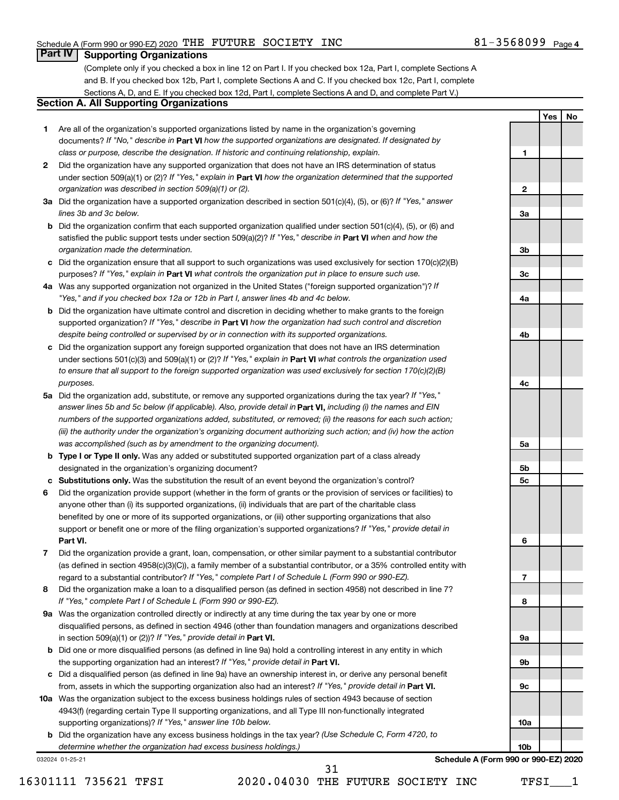**1**

**Yes No**

#### **Part IV Supporting Organizations**

(Complete only if you checked a box in line 12 on Part I. If you checked box 12a, Part I, complete Sections A and B. If you checked box 12b, Part I, complete Sections A and C. If you checked box 12c, Part I, complete Sections A, D, and E. If you checked box 12d, Part I, complete Sections A and D, and complete Part V.)

### **Section A. All Supporting Organizations**

- **1** Are all of the organization's supported organizations listed by name in the organization's governing documents? If "No," describe in Part VI how the supported organizations are designated. If designated by *class or purpose, describe the designation. If historic and continuing relationship, explain.*
- **2** Did the organization have any supported organization that does not have an IRS determination of status under section 509(a)(1) or (2)? If "Yes," explain in Part **VI** how the organization determined that the supported *organization was described in section 509(a)(1) or (2).*
- **3a** Did the organization have a supported organization described in section 501(c)(4), (5), or (6)? If "Yes," answer *lines 3b and 3c below.*
- **b** Did the organization confirm that each supported organization qualified under section 501(c)(4), (5), or (6) and satisfied the public support tests under section 509(a)(2)? If "Yes," describe in Part VI when and how the *organization made the determination.*
- **c** Did the organization ensure that all support to such organizations was used exclusively for section 170(c)(2)(B) purposes? If "Yes," explain in Part VI what controls the organization put in place to ensure such use.
- **4 a** *If* Was any supported organization not organized in the United States ("foreign supported organization")? *"Yes," and if you checked box 12a or 12b in Part I, answer lines 4b and 4c below.*
- **b** Did the organization have ultimate control and discretion in deciding whether to make grants to the foreign supported organization? If "Yes," describe in Part VI how the organization had such control and discretion *despite being controlled or supervised by or in connection with its supported organizations.*
- **c** Did the organization support any foreign supported organization that does not have an IRS determination under sections 501(c)(3) and 509(a)(1) or (2)? If "Yes," explain in Part VI what controls the organization used *to ensure that all support to the foreign supported organization was used exclusively for section 170(c)(2)(B) purposes.*
- **5a** Did the organization add, substitute, or remove any supported organizations during the tax year? If "Yes," answer lines 5b and 5c below (if applicable). Also, provide detail in **Part VI,** including (i) the names and EIN *numbers of the supported organizations added, substituted, or removed; (ii) the reasons for each such action; (iii) the authority under the organization's organizing document authorizing such action; and (iv) how the action was accomplished (such as by amendment to the organizing document).*
- **b Type I or Type II only.** Was any added or substituted supported organization part of a class already designated in the organization's organizing document?
- **c Substitutions only.**  Was the substitution the result of an event beyond the organization's control?
- **6** Did the organization provide support (whether in the form of grants or the provision of services or facilities) to **Part VI.** support or benefit one or more of the filing organization's supported organizations? If "Yes," provide detail in anyone other than (i) its supported organizations, (ii) individuals that are part of the charitable class benefited by one or more of its supported organizations, or (iii) other supporting organizations that also
- **7** Did the organization provide a grant, loan, compensation, or other similar payment to a substantial contributor regard to a substantial contributor? If "Yes," complete Part I of Schedule L (Form 990 or 990-EZ). (as defined in section 4958(c)(3)(C)), a family member of a substantial contributor, or a 35% controlled entity with
- **8** Did the organization make a loan to a disqualified person (as defined in section 4958) not described in line 7? *If "Yes," complete Part I of Schedule L (Form 990 or 990-EZ).*
- **9 a** Was the organization controlled directly or indirectly at any time during the tax year by one or more in section 509(a)(1) or (2))? If "Yes," provide detail in **Part VI.** disqualified persons, as defined in section 4946 (other than foundation managers and organizations described
- **b** Did one or more disqualified persons (as defined in line 9a) hold a controlling interest in any entity in which the supporting organization had an interest? If "Yes," provide detail in Part VI.
- **c** Did a disqualified person (as defined in line 9a) have an ownership interest in, or derive any personal benefit from, assets in which the supporting organization also had an interest? If "Yes," provide detail in Part VI.
- **10 a** Was the organization subject to the excess business holdings rules of section 4943 because of section supporting organizations)? If "Yes," answer line 10b below. 4943(f) (regarding certain Type II supporting organizations, and all Type III non-functionally integrated
	- **b** Did the organization have any excess business holdings in the tax year? (Use Schedule C, Form 4720, to *determine whether the organization had excess business holdings.)*

032024 01-25-21

31

**2 3a 3b 3c 4a 4b 4c 5a 5b 5c 6 7 8 9a 9b 9c 10a 10b Schedule A (Form 990 or 990-EZ) 2020**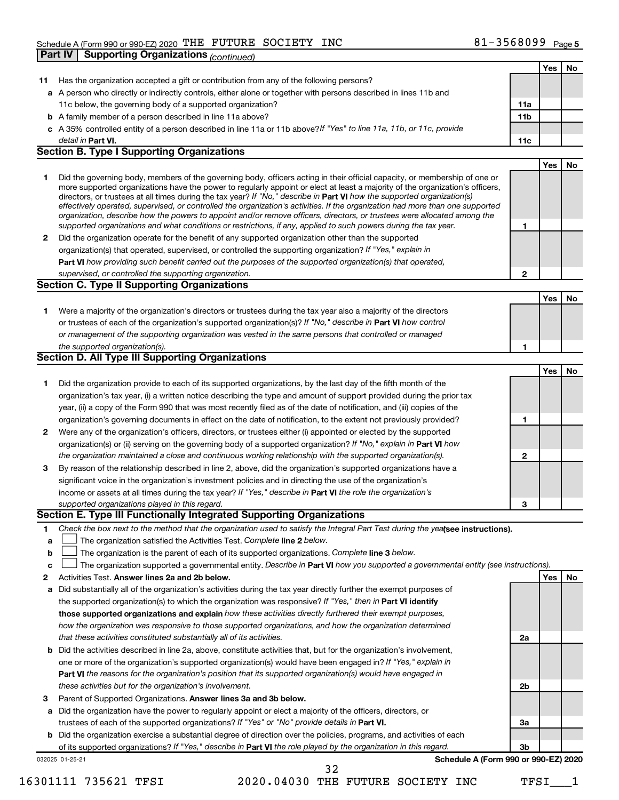| <b>Supporting Organizations (continued)</b><br>Yes<br>No<br>Has the organization accepted a gift or contribution from any of the following persons?<br>11<br>a A person who directly or indirectly controls, either alone or together with persons described in lines 11b and<br>11c below, the governing body of a supported organization?<br>11a<br>11 <sub>b</sub><br><b>b</b> A family member of a person described in line 11a above?<br>c A 35% controlled entity of a person described in line 11a or 11b above?If "Yes" to line 11a, 11b, or 11c, provide<br>detail in Part VI.<br>11c<br><b>Section B. Type I Supporting Organizations</b><br>Yes<br>No<br>1<br>Did the governing body, members of the governing body, officers acting in their official capacity, or membership of one or<br>more supported organizations have the power to regularly appoint or elect at least a majority of the organization's officers,<br>directors, or trustees at all times during the tax year? If "No," describe in Part VI how the supported organization(s)<br>effectively operated, supervised, or controlled the organization's activities. If the organization had more than one supported<br>organization, describe how the powers to appoint and/or remove officers, directors, or trustees were allocated among the<br>supported organizations and what conditions or restrictions, if any, applied to such powers during the tax year.<br>1<br>Did the organization operate for the benefit of any supported organization other than the supported<br>2<br>organization(s) that operated, supervised, or controlled the supporting organization? If "Yes," explain in<br>Part VI how providing such benefit carried out the purposes of the supported organization(s) that operated,<br>supervised, or controlled the supporting organization.<br>$\mathbf{2}$<br><b>Section C. Type II Supporting Organizations</b><br>Yes<br>No<br>1<br>Were a majority of the organization's directors or trustees during the tax year also a majority of the directors<br>or trustees of each of the organization's supported organization(s)? If "No," describe in Part VI how control<br>or management of the supporting organization was vested in the same persons that controlled or managed<br>the supported organization(s).<br>1<br><b>Section D. All Type III Supporting Organizations</b><br>Yes<br>No<br>Did the organization provide to each of its supported organizations, by the last day of the fifth month of the<br>1<br>organization's tax year, (i) a written notice describing the type and amount of support provided during the prior tax<br>year, (ii) a copy of the Form 990 that was most recently filed as of the date of notification, and (iii) copies of the<br>organization's governing documents in effect on the date of notification, to the extent not previously provided?<br>1<br>Were any of the organization's officers, directors, or trustees either (i) appointed or elected by the supported<br>2<br>organization(s) or (ii) serving on the governing body of a supported organization? If "No," explain in Part VI how<br>the organization maintained a close and continuous working relationship with the supported organization(s).<br>$\mathbf{2}$<br>By reason of the relationship described in line 2, above, did the organization's supported organizations have a<br>3<br>significant voice in the organization's investment policies and in directing the use of the organization's<br>income or assets at all times during the tax year? If "Yes," describe in Part VI the role the organization's<br>supported organizations played in this regard.<br>з<br>Section E. Type III Functionally Integrated Supporting Organizations<br>Check the box next to the method that the organization used to satisfy the Integral Part Test during the yealsee instructions).<br>1<br>The organization satisfied the Activities Test. Complete line 2 below.<br>a<br>The organization is the parent of each of its supported organizations. Complete line 3 below.<br>b<br>The organization supported a governmental entity. Describe in Part VI how you supported a governmental entity (see instructions).<br>c<br>Yes<br>Activities Test. Answer lines 2a and 2b below.<br>No<br>2<br>Did substantially all of the organization's activities during the tax year directly further the exempt purposes of<br>а<br>the supported organization(s) to which the organization was responsive? If "Yes," then in Part VI identify<br>those supported organizations and explain how these activities directly furthered their exempt purposes,<br>how the organization was responsive to those supported organizations, and how the organization determined<br>that these activities constituted substantially all of its activities.<br>2a<br>Did the activities described in line 2a, above, constitute activities that, but for the organization's involvement,<br>b<br>one or more of the organization's supported organization(s) would have been engaged in? If "Yes," explain in<br>Part VI the reasons for the organization's position that its supported organization(s) would have engaged in<br>these activities but for the organization's involvement.<br>2b<br>З<br>Parent of Supported Organizations. Answer lines 3a and 3b below. |
|-------------------------------------------------------------------------------------------------------------------------------------------------------------------------------------------------------------------------------------------------------------------------------------------------------------------------------------------------------------------------------------------------------------------------------------------------------------------------------------------------------------------------------------------------------------------------------------------------------------------------------------------------------------------------------------------------------------------------------------------------------------------------------------------------------------------------------------------------------------------------------------------------------------------------------------------------------------------------------------------------------------------------------------------------------------------------------------------------------------------------------------------------------------------------------------------------------------------------------------------------------------------------------------------------------------------------------------------------------------------------------------------------------------------------------------------------------------------------------------------------------------------------------------------------------------------------------------------------------------------------------------------------------------------------------------------------------------------------------------------------------------------------------------------------------------------------------------------------------------------------------------------------------------------------------------------------------------------------------------------------------------------------------------------------------------------------------------------------------------------------------------------------------------------------------------------------------------------------------------------------------------------------------------------------------------------------------------------------------------------------------------------------------------------------------------------------------------------------------------------------------------------------------------------------------------------------------------------------------------------------------------------------------------------------------------------------------------------------------------------------------------------------------------------------------------------------------------------------------------------------------------------------------------------------------------------------------------------------------------------------------------------------------------------------------------------------------------------------------------------------------------------------------------------------------------------------------------------------------------------------------------------------------------------------------------------------------------------------------------------------------------------------------------------------------------------------------------------------------------------------------------------------------------------------------------------------------------------------------------------------------------------------------------------------------------------------------------------------------------------------------------------------------------------------------------------------------------------------------------------------------------------------------------------------------------------------------------------------------------------------------------------------------------------------------------------------------------------------------------------------------------------------------------------------------------------------------------------------------------------------------------------------------------------------------------------------------------------------------------------------------------------------------------------------------------------------------------------------------------------------------------------------------------------------------------------------------------------------------------------------------------------------------------------------------------------------------------------------------------------------------------------------------------------------------------------------------------------------------------------------------------------------------------------------------------------------------------------------------------------------------------------------------------------------------------------------------------------------------------------------------------------------------------------------------------------------------------------------------------------------------------------------------------------------------------------------------------------------------------------------------------------|
|                                                                                                                                                                                                                                                                                                                                                                                                                                                                                                                                                                                                                                                                                                                                                                                                                                                                                                                                                                                                                                                                                                                                                                                                                                                                                                                                                                                                                                                                                                                                                                                                                                                                                                                                                                                                                                                                                                                                                                                                                                                                                                                                                                                                                                                                                                                                                                                                                                                                                                                                                                                                                                                                                                                                                                                                                                                                                                                                                                                                                                                                                                                                                                                                                                                                                                                                                                                                                                                                                                                                                                                                                                                                                                                                                                                                                                                                                                                                                                                                                                                                                                                                                                                                                                                                                                                                                                                                                                                                                                                                                                                                                                                                                                                                                                                                                                                                                                                                                                                                                                                                                                                                                                                                                                                                                                                                                                                           |
|                                                                                                                                                                                                                                                                                                                                                                                                                                                                                                                                                                                                                                                                                                                                                                                                                                                                                                                                                                                                                                                                                                                                                                                                                                                                                                                                                                                                                                                                                                                                                                                                                                                                                                                                                                                                                                                                                                                                                                                                                                                                                                                                                                                                                                                                                                                                                                                                                                                                                                                                                                                                                                                                                                                                                                                                                                                                                                                                                                                                                                                                                                                                                                                                                                                                                                                                                                                                                                                                                                                                                                                                                                                                                                                                                                                                                                                                                                                                                                                                                                                                                                                                                                                                                                                                                                                                                                                                                                                                                                                                                                                                                                                                                                                                                                                                                                                                                                                                                                                                                                                                                                                                                                                                                                                                                                                                                                                           |
|                                                                                                                                                                                                                                                                                                                                                                                                                                                                                                                                                                                                                                                                                                                                                                                                                                                                                                                                                                                                                                                                                                                                                                                                                                                                                                                                                                                                                                                                                                                                                                                                                                                                                                                                                                                                                                                                                                                                                                                                                                                                                                                                                                                                                                                                                                                                                                                                                                                                                                                                                                                                                                                                                                                                                                                                                                                                                                                                                                                                                                                                                                                                                                                                                                                                                                                                                                                                                                                                                                                                                                                                                                                                                                                                                                                                                                                                                                                                                                                                                                                                                                                                                                                                                                                                                                                                                                                                                                                                                                                                                                                                                                                                                                                                                                                                                                                                                                                                                                                                                                                                                                                                                                                                                                                                                                                                                                                           |
|                                                                                                                                                                                                                                                                                                                                                                                                                                                                                                                                                                                                                                                                                                                                                                                                                                                                                                                                                                                                                                                                                                                                                                                                                                                                                                                                                                                                                                                                                                                                                                                                                                                                                                                                                                                                                                                                                                                                                                                                                                                                                                                                                                                                                                                                                                                                                                                                                                                                                                                                                                                                                                                                                                                                                                                                                                                                                                                                                                                                                                                                                                                                                                                                                                                                                                                                                                                                                                                                                                                                                                                                                                                                                                                                                                                                                                                                                                                                                                                                                                                                                                                                                                                                                                                                                                                                                                                                                                                                                                                                                                                                                                                                                                                                                                                                                                                                                                                                                                                                                                                                                                                                                                                                                                                                                                                                                                                           |
|                                                                                                                                                                                                                                                                                                                                                                                                                                                                                                                                                                                                                                                                                                                                                                                                                                                                                                                                                                                                                                                                                                                                                                                                                                                                                                                                                                                                                                                                                                                                                                                                                                                                                                                                                                                                                                                                                                                                                                                                                                                                                                                                                                                                                                                                                                                                                                                                                                                                                                                                                                                                                                                                                                                                                                                                                                                                                                                                                                                                                                                                                                                                                                                                                                                                                                                                                                                                                                                                                                                                                                                                                                                                                                                                                                                                                                                                                                                                                                                                                                                                                                                                                                                                                                                                                                                                                                                                                                                                                                                                                                                                                                                                                                                                                                                                                                                                                                                                                                                                                                                                                                                                                                                                                                                                                                                                                                                           |
|                                                                                                                                                                                                                                                                                                                                                                                                                                                                                                                                                                                                                                                                                                                                                                                                                                                                                                                                                                                                                                                                                                                                                                                                                                                                                                                                                                                                                                                                                                                                                                                                                                                                                                                                                                                                                                                                                                                                                                                                                                                                                                                                                                                                                                                                                                                                                                                                                                                                                                                                                                                                                                                                                                                                                                                                                                                                                                                                                                                                                                                                                                                                                                                                                                                                                                                                                                                                                                                                                                                                                                                                                                                                                                                                                                                                                                                                                                                                                                                                                                                                                                                                                                                                                                                                                                                                                                                                                                                                                                                                                                                                                                                                                                                                                                                                                                                                                                                                                                                                                                                                                                                                                                                                                                                                                                                                                                                           |
|                                                                                                                                                                                                                                                                                                                                                                                                                                                                                                                                                                                                                                                                                                                                                                                                                                                                                                                                                                                                                                                                                                                                                                                                                                                                                                                                                                                                                                                                                                                                                                                                                                                                                                                                                                                                                                                                                                                                                                                                                                                                                                                                                                                                                                                                                                                                                                                                                                                                                                                                                                                                                                                                                                                                                                                                                                                                                                                                                                                                                                                                                                                                                                                                                                                                                                                                                                                                                                                                                                                                                                                                                                                                                                                                                                                                                                                                                                                                                                                                                                                                                                                                                                                                                                                                                                                                                                                                                                                                                                                                                                                                                                                                                                                                                                                                                                                                                                                                                                                                                                                                                                                                                                                                                                                                                                                                                                                           |
|                                                                                                                                                                                                                                                                                                                                                                                                                                                                                                                                                                                                                                                                                                                                                                                                                                                                                                                                                                                                                                                                                                                                                                                                                                                                                                                                                                                                                                                                                                                                                                                                                                                                                                                                                                                                                                                                                                                                                                                                                                                                                                                                                                                                                                                                                                                                                                                                                                                                                                                                                                                                                                                                                                                                                                                                                                                                                                                                                                                                                                                                                                                                                                                                                                                                                                                                                                                                                                                                                                                                                                                                                                                                                                                                                                                                                                                                                                                                                                                                                                                                                                                                                                                                                                                                                                                                                                                                                                                                                                                                                                                                                                                                                                                                                                                                                                                                                                                                                                                                                                                                                                                                                                                                                                                                                                                                                                                           |
|                                                                                                                                                                                                                                                                                                                                                                                                                                                                                                                                                                                                                                                                                                                                                                                                                                                                                                                                                                                                                                                                                                                                                                                                                                                                                                                                                                                                                                                                                                                                                                                                                                                                                                                                                                                                                                                                                                                                                                                                                                                                                                                                                                                                                                                                                                                                                                                                                                                                                                                                                                                                                                                                                                                                                                                                                                                                                                                                                                                                                                                                                                                                                                                                                                                                                                                                                                                                                                                                                                                                                                                                                                                                                                                                                                                                                                                                                                                                                                                                                                                                                                                                                                                                                                                                                                                                                                                                                                                                                                                                                                                                                                                                                                                                                                                                                                                                                                                                                                                                                                                                                                                                                                                                                                                                                                                                                                                           |
|                                                                                                                                                                                                                                                                                                                                                                                                                                                                                                                                                                                                                                                                                                                                                                                                                                                                                                                                                                                                                                                                                                                                                                                                                                                                                                                                                                                                                                                                                                                                                                                                                                                                                                                                                                                                                                                                                                                                                                                                                                                                                                                                                                                                                                                                                                                                                                                                                                                                                                                                                                                                                                                                                                                                                                                                                                                                                                                                                                                                                                                                                                                                                                                                                                                                                                                                                                                                                                                                                                                                                                                                                                                                                                                                                                                                                                                                                                                                                                                                                                                                                                                                                                                                                                                                                                                                                                                                                                                                                                                                                                                                                                                                                                                                                                                                                                                                                                                                                                                                                                                                                                                                                                                                                                                                                                                                                                                           |
|                                                                                                                                                                                                                                                                                                                                                                                                                                                                                                                                                                                                                                                                                                                                                                                                                                                                                                                                                                                                                                                                                                                                                                                                                                                                                                                                                                                                                                                                                                                                                                                                                                                                                                                                                                                                                                                                                                                                                                                                                                                                                                                                                                                                                                                                                                                                                                                                                                                                                                                                                                                                                                                                                                                                                                                                                                                                                                                                                                                                                                                                                                                                                                                                                                                                                                                                                                                                                                                                                                                                                                                                                                                                                                                                                                                                                                                                                                                                                                                                                                                                                                                                                                                                                                                                                                                                                                                                                                                                                                                                                                                                                                                                                                                                                                                                                                                                                                                                                                                                                                                                                                                                                                                                                                                                                                                                                                                           |
|                                                                                                                                                                                                                                                                                                                                                                                                                                                                                                                                                                                                                                                                                                                                                                                                                                                                                                                                                                                                                                                                                                                                                                                                                                                                                                                                                                                                                                                                                                                                                                                                                                                                                                                                                                                                                                                                                                                                                                                                                                                                                                                                                                                                                                                                                                                                                                                                                                                                                                                                                                                                                                                                                                                                                                                                                                                                                                                                                                                                                                                                                                                                                                                                                                                                                                                                                                                                                                                                                                                                                                                                                                                                                                                                                                                                                                                                                                                                                                                                                                                                                                                                                                                                                                                                                                                                                                                                                                                                                                                                                                                                                                                                                                                                                                                                                                                                                                                                                                                                                                                                                                                                                                                                                                                                                                                                                                                           |
|                                                                                                                                                                                                                                                                                                                                                                                                                                                                                                                                                                                                                                                                                                                                                                                                                                                                                                                                                                                                                                                                                                                                                                                                                                                                                                                                                                                                                                                                                                                                                                                                                                                                                                                                                                                                                                                                                                                                                                                                                                                                                                                                                                                                                                                                                                                                                                                                                                                                                                                                                                                                                                                                                                                                                                                                                                                                                                                                                                                                                                                                                                                                                                                                                                                                                                                                                                                                                                                                                                                                                                                                                                                                                                                                                                                                                                                                                                                                                                                                                                                                                                                                                                                                                                                                                                                                                                                                                                                                                                                                                                                                                                                                                                                                                                                                                                                                                                                                                                                                                                                                                                                                                                                                                                                                                                                                                                                           |
|                                                                                                                                                                                                                                                                                                                                                                                                                                                                                                                                                                                                                                                                                                                                                                                                                                                                                                                                                                                                                                                                                                                                                                                                                                                                                                                                                                                                                                                                                                                                                                                                                                                                                                                                                                                                                                                                                                                                                                                                                                                                                                                                                                                                                                                                                                                                                                                                                                                                                                                                                                                                                                                                                                                                                                                                                                                                                                                                                                                                                                                                                                                                                                                                                                                                                                                                                                                                                                                                                                                                                                                                                                                                                                                                                                                                                                                                                                                                                                                                                                                                                                                                                                                                                                                                                                                                                                                                                                                                                                                                                                                                                                                                                                                                                                                                                                                                                                                                                                                                                                                                                                                                                                                                                                                                                                                                                                                           |
|                                                                                                                                                                                                                                                                                                                                                                                                                                                                                                                                                                                                                                                                                                                                                                                                                                                                                                                                                                                                                                                                                                                                                                                                                                                                                                                                                                                                                                                                                                                                                                                                                                                                                                                                                                                                                                                                                                                                                                                                                                                                                                                                                                                                                                                                                                                                                                                                                                                                                                                                                                                                                                                                                                                                                                                                                                                                                                                                                                                                                                                                                                                                                                                                                                                                                                                                                                                                                                                                                                                                                                                                                                                                                                                                                                                                                                                                                                                                                                                                                                                                                                                                                                                                                                                                                                                                                                                                                                                                                                                                                                                                                                                                                                                                                                                                                                                                                                                                                                                                                                                                                                                                                                                                                                                                                                                                                                                           |
|                                                                                                                                                                                                                                                                                                                                                                                                                                                                                                                                                                                                                                                                                                                                                                                                                                                                                                                                                                                                                                                                                                                                                                                                                                                                                                                                                                                                                                                                                                                                                                                                                                                                                                                                                                                                                                                                                                                                                                                                                                                                                                                                                                                                                                                                                                                                                                                                                                                                                                                                                                                                                                                                                                                                                                                                                                                                                                                                                                                                                                                                                                                                                                                                                                                                                                                                                                                                                                                                                                                                                                                                                                                                                                                                                                                                                                                                                                                                                                                                                                                                                                                                                                                                                                                                                                                                                                                                                                                                                                                                                                                                                                                                                                                                                                                                                                                                                                                                                                                                                                                                                                                                                                                                                                                                                                                                                                                           |
|                                                                                                                                                                                                                                                                                                                                                                                                                                                                                                                                                                                                                                                                                                                                                                                                                                                                                                                                                                                                                                                                                                                                                                                                                                                                                                                                                                                                                                                                                                                                                                                                                                                                                                                                                                                                                                                                                                                                                                                                                                                                                                                                                                                                                                                                                                                                                                                                                                                                                                                                                                                                                                                                                                                                                                                                                                                                                                                                                                                                                                                                                                                                                                                                                                                                                                                                                                                                                                                                                                                                                                                                                                                                                                                                                                                                                                                                                                                                                                                                                                                                                                                                                                                                                                                                                                                                                                                                                                                                                                                                                                                                                                                                                                                                                                                                                                                                                                                                                                                                                                                                                                                                                                                                                                                                                                                                                                                           |
|                                                                                                                                                                                                                                                                                                                                                                                                                                                                                                                                                                                                                                                                                                                                                                                                                                                                                                                                                                                                                                                                                                                                                                                                                                                                                                                                                                                                                                                                                                                                                                                                                                                                                                                                                                                                                                                                                                                                                                                                                                                                                                                                                                                                                                                                                                                                                                                                                                                                                                                                                                                                                                                                                                                                                                                                                                                                                                                                                                                                                                                                                                                                                                                                                                                                                                                                                                                                                                                                                                                                                                                                                                                                                                                                                                                                                                                                                                                                                                                                                                                                                                                                                                                                                                                                                                                                                                                                                                                                                                                                                                                                                                                                                                                                                                                                                                                                                                                                                                                                                                                                                                                                                                                                                                                                                                                                                                                           |
|                                                                                                                                                                                                                                                                                                                                                                                                                                                                                                                                                                                                                                                                                                                                                                                                                                                                                                                                                                                                                                                                                                                                                                                                                                                                                                                                                                                                                                                                                                                                                                                                                                                                                                                                                                                                                                                                                                                                                                                                                                                                                                                                                                                                                                                                                                                                                                                                                                                                                                                                                                                                                                                                                                                                                                                                                                                                                                                                                                                                                                                                                                                                                                                                                                                                                                                                                                                                                                                                                                                                                                                                                                                                                                                                                                                                                                                                                                                                                                                                                                                                                                                                                                                                                                                                                                                                                                                                                                                                                                                                                                                                                                                                                                                                                                                                                                                                                                                                                                                                                                                                                                                                                                                                                                                                                                                                                                                           |
|                                                                                                                                                                                                                                                                                                                                                                                                                                                                                                                                                                                                                                                                                                                                                                                                                                                                                                                                                                                                                                                                                                                                                                                                                                                                                                                                                                                                                                                                                                                                                                                                                                                                                                                                                                                                                                                                                                                                                                                                                                                                                                                                                                                                                                                                                                                                                                                                                                                                                                                                                                                                                                                                                                                                                                                                                                                                                                                                                                                                                                                                                                                                                                                                                                                                                                                                                                                                                                                                                                                                                                                                                                                                                                                                                                                                                                                                                                                                                                                                                                                                                                                                                                                                                                                                                                                                                                                                                                                                                                                                                                                                                                                                                                                                                                                                                                                                                                                                                                                                                                                                                                                                                                                                                                                                                                                                                                                           |
|                                                                                                                                                                                                                                                                                                                                                                                                                                                                                                                                                                                                                                                                                                                                                                                                                                                                                                                                                                                                                                                                                                                                                                                                                                                                                                                                                                                                                                                                                                                                                                                                                                                                                                                                                                                                                                                                                                                                                                                                                                                                                                                                                                                                                                                                                                                                                                                                                                                                                                                                                                                                                                                                                                                                                                                                                                                                                                                                                                                                                                                                                                                                                                                                                                                                                                                                                                                                                                                                                                                                                                                                                                                                                                                                                                                                                                                                                                                                                                                                                                                                                                                                                                                                                                                                                                                                                                                                                                                                                                                                                                                                                                                                                                                                                                                                                                                                                                                                                                                                                                                                                                                                                                                                                                                                                                                                                                                           |
|                                                                                                                                                                                                                                                                                                                                                                                                                                                                                                                                                                                                                                                                                                                                                                                                                                                                                                                                                                                                                                                                                                                                                                                                                                                                                                                                                                                                                                                                                                                                                                                                                                                                                                                                                                                                                                                                                                                                                                                                                                                                                                                                                                                                                                                                                                                                                                                                                                                                                                                                                                                                                                                                                                                                                                                                                                                                                                                                                                                                                                                                                                                                                                                                                                                                                                                                                                                                                                                                                                                                                                                                                                                                                                                                                                                                                                                                                                                                                                                                                                                                                                                                                                                                                                                                                                                                                                                                                                                                                                                                                                                                                                                                                                                                                                                                                                                                                                                                                                                                                                                                                                                                                                                                                                                                                                                                                                                           |
|                                                                                                                                                                                                                                                                                                                                                                                                                                                                                                                                                                                                                                                                                                                                                                                                                                                                                                                                                                                                                                                                                                                                                                                                                                                                                                                                                                                                                                                                                                                                                                                                                                                                                                                                                                                                                                                                                                                                                                                                                                                                                                                                                                                                                                                                                                                                                                                                                                                                                                                                                                                                                                                                                                                                                                                                                                                                                                                                                                                                                                                                                                                                                                                                                                                                                                                                                                                                                                                                                                                                                                                                                                                                                                                                                                                                                                                                                                                                                                                                                                                                                                                                                                                                                                                                                                                                                                                                                                                                                                                                                                                                                                                                                                                                                                                                                                                                                                                                                                                                                                                                                                                                                                                                                                                                                                                                                                                           |
|                                                                                                                                                                                                                                                                                                                                                                                                                                                                                                                                                                                                                                                                                                                                                                                                                                                                                                                                                                                                                                                                                                                                                                                                                                                                                                                                                                                                                                                                                                                                                                                                                                                                                                                                                                                                                                                                                                                                                                                                                                                                                                                                                                                                                                                                                                                                                                                                                                                                                                                                                                                                                                                                                                                                                                                                                                                                                                                                                                                                                                                                                                                                                                                                                                                                                                                                                                                                                                                                                                                                                                                                                                                                                                                                                                                                                                                                                                                                                                                                                                                                                                                                                                                                                                                                                                                                                                                                                                                                                                                                                                                                                                                                                                                                                                                                                                                                                                                                                                                                                                                                                                                                                                                                                                                                                                                                                                                           |
|                                                                                                                                                                                                                                                                                                                                                                                                                                                                                                                                                                                                                                                                                                                                                                                                                                                                                                                                                                                                                                                                                                                                                                                                                                                                                                                                                                                                                                                                                                                                                                                                                                                                                                                                                                                                                                                                                                                                                                                                                                                                                                                                                                                                                                                                                                                                                                                                                                                                                                                                                                                                                                                                                                                                                                                                                                                                                                                                                                                                                                                                                                                                                                                                                                                                                                                                                                                                                                                                                                                                                                                                                                                                                                                                                                                                                                                                                                                                                                                                                                                                                                                                                                                                                                                                                                                                                                                                                                                                                                                                                                                                                                                                                                                                                                                                                                                                                                                                                                                                                                                                                                                                                                                                                                                                                                                                                                                           |
|                                                                                                                                                                                                                                                                                                                                                                                                                                                                                                                                                                                                                                                                                                                                                                                                                                                                                                                                                                                                                                                                                                                                                                                                                                                                                                                                                                                                                                                                                                                                                                                                                                                                                                                                                                                                                                                                                                                                                                                                                                                                                                                                                                                                                                                                                                                                                                                                                                                                                                                                                                                                                                                                                                                                                                                                                                                                                                                                                                                                                                                                                                                                                                                                                                                                                                                                                                                                                                                                                                                                                                                                                                                                                                                                                                                                                                                                                                                                                                                                                                                                                                                                                                                                                                                                                                                                                                                                                                                                                                                                                                                                                                                                                                                                                                                                                                                                                                                                                                                                                                                                                                                                                                                                                                                                                                                                                                                           |
|                                                                                                                                                                                                                                                                                                                                                                                                                                                                                                                                                                                                                                                                                                                                                                                                                                                                                                                                                                                                                                                                                                                                                                                                                                                                                                                                                                                                                                                                                                                                                                                                                                                                                                                                                                                                                                                                                                                                                                                                                                                                                                                                                                                                                                                                                                                                                                                                                                                                                                                                                                                                                                                                                                                                                                                                                                                                                                                                                                                                                                                                                                                                                                                                                                                                                                                                                                                                                                                                                                                                                                                                                                                                                                                                                                                                                                                                                                                                                                                                                                                                                                                                                                                                                                                                                                                                                                                                                                                                                                                                                                                                                                                                                                                                                                                                                                                                                                                                                                                                                                                                                                                                                                                                                                                                                                                                                                                           |
|                                                                                                                                                                                                                                                                                                                                                                                                                                                                                                                                                                                                                                                                                                                                                                                                                                                                                                                                                                                                                                                                                                                                                                                                                                                                                                                                                                                                                                                                                                                                                                                                                                                                                                                                                                                                                                                                                                                                                                                                                                                                                                                                                                                                                                                                                                                                                                                                                                                                                                                                                                                                                                                                                                                                                                                                                                                                                                                                                                                                                                                                                                                                                                                                                                                                                                                                                                                                                                                                                                                                                                                                                                                                                                                                                                                                                                                                                                                                                                                                                                                                                                                                                                                                                                                                                                                                                                                                                                                                                                                                                                                                                                                                                                                                                                                                                                                                                                                                                                                                                                                                                                                                                                                                                                                                                                                                                                                           |
|                                                                                                                                                                                                                                                                                                                                                                                                                                                                                                                                                                                                                                                                                                                                                                                                                                                                                                                                                                                                                                                                                                                                                                                                                                                                                                                                                                                                                                                                                                                                                                                                                                                                                                                                                                                                                                                                                                                                                                                                                                                                                                                                                                                                                                                                                                                                                                                                                                                                                                                                                                                                                                                                                                                                                                                                                                                                                                                                                                                                                                                                                                                                                                                                                                                                                                                                                                                                                                                                                                                                                                                                                                                                                                                                                                                                                                                                                                                                                                                                                                                                                                                                                                                                                                                                                                                                                                                                                                                                                                                                                                                                                                                                                                                                                                                                                                                                                                                                                                                                                                                                                                                                                                                                                                                                                                                                                                                           |
|                                                                                                                                                                                                                                                                                                                                                                                                                                                                                                                                                                                                                                                                                                                                                                                                                                                                                                                                                                                                                                                                                                                                                                                                                                                                                                                                                                                                                                                                                                                                                                                                                                                                                                                                                                                                                                                                                                                                                                                                                                                                                                                                                                                                                                                                                                                                                                                                                                                                                                                                                                                                                                                                                                                                                                                                                                                                                                                                                                                                                                                                                                                                                                                                                                                                                                                                                                                                                                                                                                                                                                                                                                                                                                                                                                                                                                                                                                                                                                                                                                                                                                                                                                                                                                                                                                                                                                                                                                                                                                                                                                                                                                                                                                                                                                                                                                                                                                                                                                                                                                                                                                                                                                                                                                                                                                                                                                                           |
|                                                                                                                                                                                                                                                                                                                                                                                                                                                                                                                                                                                                                                                                                                                                                                                                                                                                                                                                                                                                                                                                                                                                                                                                                                                                                                                                                                                                                                                                                                                                                                                                                                                                                                                                                                                                                                                                                                                                                                                                                                                                                                                                                                                                                                                                                                                                                                                                                                                                                                                                                                                                                                                                                                                                                                                                                                                                                                                                                                                                                                                                                                                                                                                                                                                                                                                                                                                                                                                                                                                                                                                                                                                                                                                                                                                                                                                                                                                                                                                                                                                                                                                                                                                                                                                                                                                                                                                                                                                                                                                                                                                                                                                                                                                                                                                                                                                                                                                                                                                                                                                                                                                                                                                                                                                                                                                                                                                           |
|                                                                                                                                                                                                                                                                                                                                                                                                                                                                                                                                                                                                                                                                                                                                                                                                                                                                                                                                                                                                                                                                                                                                                                                                                                                                                                                                                                                                                                                                                                                                                                                                                                                                                                                                                                                                                                                                                                                                                                                                                                                                                                                                                                                                                                                                                                                                                                                                                                                                                                                                                                                                                                                                                                                                                                                                                                                                                                                                                                                                                                                                                                                                                                                                                                                                                                                                                                                                                                                                                                                                                                                                                                                                                                                                                                                                                                                                                                                                                                                                                                                                                                                                                                                                                                                                                                                                                                                                                                                                                                                                                                                                                                                                                                                                                                                                                                                                                                                                                                                                                                                                                                                                                                                                                                                                                                                                                                                           |
|                                                                                                                                                                                                                                                                                                                                                                                                                                                                                                                                                                                                                                                                                                                                                                                                                                                                                                                                                                                                                                                                                                                                                                                                                                                                                                                                                                                                                                                                                                                                                                                                                                                                                                                                                                                                                                                                                                                                                                                                                                                                                                                                                                                                                                                                                                                                                                                                                                                                                                                                                                                                                                                                                                                                                                                                                                                                                                                                                                                                                                                                                                                                                                                                                                                                                                                                                                                                                                                                                                                                                                                                                                                                                                                                                                                                                                                                                                                                                                                                                                                                                                                                                                                                                                                                                                                                                                                                                                                                                                                                                                                                                                                                                                                                                                                                                                                                                                                                                                                                                                                                                                                                                                                                                                                                                                                                                                                           |
|                                                                                                                                                                                                                                                                                                                                                                                                                                                                                                                                                                                                                                                                                                                                                                                                                                                                                                                                                                                                                                                                                                                                                                                                                                                                                                                                                                                                                                                                                                                                                                                                                                                                                                                                                                                                                                                                                                                                                                                                                                                                                                                                                                                                                                                                                                                                                                                                                                                                                                                                                                                                                                                                                                                                                                                                                                                                                                                                                                                                                                                                                                                                                                                                                                                                                                                                                                                                                                                                                                                                                                                                                                                                                                                                                                                                                                                                                                                                                                                                                                                                                                                                                                                                                                                                                                                                                                                                                                                                                                                                                                                                                                                                                                                                                                                                                                                                                                                                                                                                                                                                                                                                                                                                                                                                                                                                                                                           |
|                                                                                                                                                                                                                                                                                                                                                                                                                                                                                                                                                                                                                                                                                                                                                                                                                                                                                                                                                                                                                                                                                                                                                                                                                                                                                                                                                                                                                                                                                                                                                                                                                                                                                                                                                                                                                                                                                                                                                                                                                                                                                                                                                                                                                                                                                                                                                                                                                                                                                                                                                                                                                                                                                                                                                                                                                                                                                                                                                                                                                                                                                                                                                                                                                                                                                                                                                                                                                                                                                                                                                                                                                                                                                                                                                                                                                                                                                                                                                                                                                                                                                                                                                                                                                                                                                                                                                                                                                                                                                                                                                                                                                                                                                                                                                                                                                                                                                                                                                                                                                                                                                                                                                                                                                                                                                                                                                                                           |
|                                                                                                                                                                                                                                                                                                                                                                                                                                                                                                                                                                                                                                                                                                                                                                                                                                                                                                                                                                                                                                                                                                                                                                                                                                                                                                                                                                                                                                                                                                                                                                                                                                                                                                                                                                                                                                                                                                                                                                                                                                                                                                                                                                                                                                                                                                                                                                                                                                                                                                                                                                                                                                                                                                                                                                                                                                                                                                                                                                                                                                                                                                                                                                                                                                                                                                                                                                                                                                                                                                                                                                                                                                                                                                                                                                                                                                                                                                                                                                                                                                                                                                                                                                                                                                                                                                                                                                                                                                                                                                                                                                                                                                                                                                                                                                                                                                                                                                                                                                                                                                                                                                                                                                                                                                                                                                                                                                                           |
|                                                                                                                                                                                                                                                                                                                                                                                                                                                                                                                                                                                                                                                                                                                                                                                                                                                                                                                                                                                                                                                                                                                                                                                                                                                                                                                                                                                                                                                                                                                                                                                                                                                                                                                                                                                                                                                                                                                                                                                                                                                                                                                                                                                                                                                                                                                                                                                                                                                                                                                                                                                                                                                                                                                                                                                                                                                                                                                                                                                                                                                                                                                                                                                                                                                                                                                                                                                                                                                                                                                                                                                                                                                                                                                                                                                                                                                                                                                                                                                                                                                                                                                                                                                                                                                                                                                                                                                                                                                                                                                                                                                                                                                                                                                                                                                                                                                                                                                                                                                                                                                                                                                                                                                                                                                                                                                                                                                           |
|                                                                                                                                                                                                                                                                                                                                                                                                                                                                                                                                                                                                                                                                                                                                                                                                                                                                                                                                                                                                                                                                                                                                                                                                                                                                                                                                                                                                                                                                                                                                                                                                                                                                                                                                                                                                                                                                                                                                                                                                                                                                                                                                                                                                                                                                                                                                                                                                                                                                                                                                                                                                                                                                                                                                                                                                                                                                                                                                                                                                                                                                                                                                                                                                                                                                                                                                                                                                                                                                                                                                                                                                                                                                                                                                                                                                                                                                                                                                                                                                                                                                                                                                                                                                                                                                                                                                                                                                                                                                                                                                                                                                                                                                                                                                                                                                                                                                                                                                                                                                                                                                                                                                                                                                                                                                                                                                                                                           |
|                                                                                                                                                                                                                                                                                                                                                                                                                                                                                                                                                                                                                                                                                                                                                                                                                                                                                                                                                                                                                                                                                                                                                                                                                                                                                                                                                                                                                                                                                                                                                                                                                                                                                                                                                                                                                                                                                                                                                                                                                                                                                                                                                                                                                                                                                                                                                                                                                                                                                                                                                                                                                                                                                                                                                                                                                                                                                                                                                                                                                                                                                                                                                                                                                                                                                                                                                                                                                                                                                                                                                                                                                                                                                                                                                                                                                                                                                                                                                                                                                                                                                                                                                                                                                                                                                                                                                                                                                                                                                                                                                                                                                                                                                                                                                                                                                                                                                                                                                                                                                                                                                                                                                                                                                                                                                                                                                                                           |
|                                                                                                                                                                                                                                                                                                                                                                                                                                                                                                                                                                                                                                                                                                                                                                                                                                                                                                                                                                                                                                                                                                                                                                                                                                                                                                                                                                                                                                                                                                                                                                                                                                                                                                                                                                                                                                                                                                                                                                                                                                                                                                                                                                                                                                                                                                                                                                                                                                                                                                                                                                                                                                                                                                                                                                                                                                                                                                                                                                                                                                                                                                                                                                                                                                                                                                                                                                                                                                                                                                                                                                                                                                                                                                                                                                                                                                                                                                                                                                                                                                                                                                                                                                                                                                                                                                                                                                                                                                                                                                                                                                                                                                                                                                                                                                                                                                                                                                                                                                                                                                                                                                                                                                                                                                                                                                                                                                                           |
|                                                                                                                                                                                                                                                                                                                                                                                                                                                                                                                                                                                                                                                                                                                                                                                                                                                                                                                                                                                                                                                                                                                                                                                                                                                                                                                                                                                                                                                                                                                                                                                                                                                                                                                                                                                                                                                                                                                                                                                                                                                                                                                                                                                                                                                                                                                                                                                                                                                                                                                                                                                                                                                                                                                                                                                                                                                                                                                                                                                                                                                                                                                                                                                                                                                                                                                                                                                                                                                                                                                                                                                                                                                                                                                                                                                                                                                                                                                                                                                                                                                                                                                                                                                                                                                                                                                                                                                                                                                                                                                                                                                                                                                                                                                                                                                                                                                                                                                                                                                                                                                                                                                                                                                                                                                                                                                                                                                           |
|                                                                                                                                                                                                                                                                                                                                                                                                                                                                                                                                                                                                                                                                                                                                                                                                                                                                                                                                                                                                                                                                                                                                                                                                                                                                                                                                                                                                                                                                                                                                                                                                                                                                                                                                                                                                                                                                                                                                                                                                                                                                                                                                                                                                                                                                                                                                                                                                                                                                                                                                                                                                                                                                                                                                                                                                                                                                                                                                                                                                                                                                                                                                                                                                                                                                                                                                                                                                                                                                                                                                                                                                                                                                                                                                                                                                                                                                                                                                                                                                                                                                                                                                                                                                                                                                                                                                                                                                                                                                                                                                                                                                                                                                                                                                                                                                                                                                                                                                                                                                                                                                                                                                                                                                                                                                                                                                                                                           |
|                                                                                                                                                                                                                                                                                                                                                                                                                                                                                                                                                                                                                                                                                                                                                                                                                                                                                                                                                                                                                                                                                                                                                                                                                                                                                                                                                                                                                                                                                                                                                                                                                                                                                                                                                                                                                                                                                                                                                                                                                                                                                                                                                                                                                                                                                                                                                                                                                                                                                                                                                                                                                                                                                                                                                                                                                                                                                                                                                                                                                                                                                                                                                                                                                                                                                                                                                                                                                                                                                                                                                                                                                                                                                                                                                                                                                                                                                                                                                                                                                                                                                                                                                                                                                                                                                                                                                                                                                                                                                                                                                                                                                                                                                                                                                                                                                                                                                                                                                                                                                                                                                                                                                                                                                                                                                                                                                                                           |
|                                                                                                                                                                                                                                                                                                                                                                                                                                                                                                                                                                                                                                                                                                                                                                                                                                                                                                                                                                                                                                                                                                                                                                                                                                                                                                                                                                                                                                                                                                                                                                                                                                                                                                                                                                                                                                                                                                                                                                                                                                                                                                                                                                                                                                                                                                                                                                                                                                                                                                                                                                                                                                                                                                                                                                                                                                                                                                                                                                                                                                                                                                                                                                                                                                                                                                                                                                                                                                                                                                                                                                                                                                                                                                                                                                                                                                                                                                                                                                                                                                                                                                                                                                                                                                                                                                                                                                                                                                                                                                                                                                                                                                                                                                                                                                                                                                                                                                                                                                                                                                                                                                                                                                                                                                                                                                                                                                                           |
|                                                                                                                                                                                                                                                                                                                                                                                                                                                                                                                                                                                                                                                                                                                                                                                                                                                                                                                                                                                                                                                                                                                                                                                                                                                                                                                                                                                                                                                                                                                                                                                                                                                                                                                                                                                                                                                                                                                                                                                                                                                                                                                                                                                                                                                                                                                                                                                                                                                                                                                                                                                                                                                                                                                                                                                                                                                                                                                                                                                                                                                                                                                                                                                                                                                                                                                                                                                                                                                                                                                                                                                                                                                                                                                                                                                                                                                                                                                                                                                                                                                                                                                                                                                                                                                                                                                                                                                                                                                                                                                                                                                                                                                                                                                                                                                                                                                                                                                                                                                                                                                                                                                                                                                                                                                                                                                                                                                           |
|                                                                                                                                                                                                                                                                                                                                                                                                                                                                                                                                                                                                                                                                                                                                                                                                                                                                                                                                                                                                                                                                                                                                                                                                                                                                                                                                                                                                                                                                                                                                                                                                                                                                                                                                                                                                                                                                                                                                                                                                                                                                                                                                                                                                                                                                                                                                                                                                                                                                                                                                                                                                                                                                                                                                                                                                                                                                                                                                                                                                                                                                                                                                                                                                                                                                                                                                                                                                                                                                                                                                                                                                                                                                                                                                                                                                                                                                                                                                                                                                                                                                                                                                                                                                                                                                                                                                                                                                                                                                                                                                                                                                                                                                                                                                                                                                                                                                                                                                                                                                                                                                                                                                                                                                                                                                                                                                                                                           |
| Did the organization have the power to regularly appoint or elect a majority of the officers, directors, or                                                                                                                                                                                                                                                                                                                                                                                                                                                                                                                                                                                                                                                                                                                                                                                                                                                                                                                                                                                                                                                                                                                                                                                                                                                                                                                                                                                                                                                                                                                                                                                                                                                                                                                                                                                                                                                                                                                                                                                                                                                                                                                                                                                                                                                                                                                                                                                                                                                                                                                                                                                                                                                                                                                                                                                                                                                                                                                                                                                                                                                                                                                                                                                                                                                                                                                                                                                                                                                                                                                                                                                                                                                                                                                                                                                                                                                                                                                                                                                                                                                                                                                                                                                                                                                                                                                                                                                                                                                                                                                                                                                                                                                                                                                                                                                                                                                                                                                                                                                                                                                                                                                                                                                                                                                                               |
| а<br>trustees of each of the supported organizations? If "Yes" or "No" provide details in Part VI.<br>За                                                                                                                                                                                                                                                                                                                                                                                                                                                                                                                                                                                                                                                                                                                                                                                                                                                                                                                                                                                                                                                                                                                                                                                                                                                                                                                                                                                                                                                                                                                                                                                                                                                                                                                                                                                                                                                                                                                                                                                                                                                                                                                                                                                                                                                                                                                                                                                                                                                                                                                                                                                                                                                                                                                                                                                                                                                                                                                                                                                                                                                                                                                                                                                                                                                                                                                                                                                                                                                                                                                                                                                                                                                                                                                                                                                                                                                                                                                                                                                                                                                                                                                                                                                                                                                                                                                                                                                                                                                                                                                                                                                                                                                                                                                                                                                                                                                                                                                                                                                                                                                                                                                                                                                                                                                                                  |
| <b>b</b> Did the organization exercise a substantial degree of direction over the policies, programs, and activities of each                                                                                                                                                                                                                                                                                                                                                                                                                                                                                                                                                                                                                                                                                                                                                                                                                                                                                                                                                                                                                                                                                                                                                                                                                                                                                                                                                                                                                                                                                                                                                                                                                                                                                                                                                                                                                                                                                                                                                                                                                                                                                                                                                                                                                                                                                                                                                                                                                                                                                                                                                                                                                                                                                                                                                                                                                                                                                                                                                                                                                                                                                                                                                                                                                                                                                                                                                                                                                                                                                                                                                                                                                                                                                                                                                                                                                                                                                                                                                                                                                                                                                                                                                                                                                                                                                                                                                                                                                                                                                                                                                                                                                                                                                                                                                                                                                                                                                                                                                                                                                                                                                                                                                                                                                                                              |
| of its supported organizations? If "Yes," describe in Part VI the role played by the organization in this regard.<br>3b                                                                                                                                                                                                                                                                                                                                                                                                                                                                                                                                                                                                                                                                                                                                                                                                                                                                                                                                                                                                                                                                                                                                                                                                                                                                                                                                                                                                                                                                                                                                                                                                                                                                                                                                                                                                                                                                                                                                                                                                                                                                                                                                                                                                                                                                                                                                                                                                                                                                                                                                                                                                                                                                                                                                                                                                                                                                                                                                                                                                                                                                                                                                                                                                                                                                                                                                                                                                                                                                                                                                                                                                                                                                                                                                                                                                                                                                                                                                                                                                                                                                                                                                                                                                                                                                                                                                                                                                                                                                                                                                                                                                                                                                                                                                                                                                                                                                                                                                                                                                                                                                                                                                                                                                                                                                   |
| Schedule A (Form 990 or 990-EZ) 2020                                                                                                                                                                                                                                                                                                                                                                                                                                                                                                                                                                                                                                                                                                                                                                                                                                                                                                                                                                                                                                                                                                                                                                                                                                                                                                                                                                                                                                                                                                                                                                                                                                                                                                                                                                                                                                                                                                                                                                                                                                                                                                                                                                                                                                                                                                                                                                                                                                                                                                                                                                                                                                                                                                                                                                                                                                                                                                                                                                                                                                                                                                                                                                                                                                                                                                                                                                                                                                                                                                                                                                                                                                                                                                                                                                                                                                                                                                                                                                                                                                                                                                                                                                                                                                                                                                                                                                                                                                                                                                                                                                                                                                                                                                                                                                                                                                                                                                                                                                                                                                                                                                                                                                                                                                                                                                                                                      |

16301111 735621 TFSI 2020.04030 THE FUTURE SOCIETY INC TFSI\_\_\_1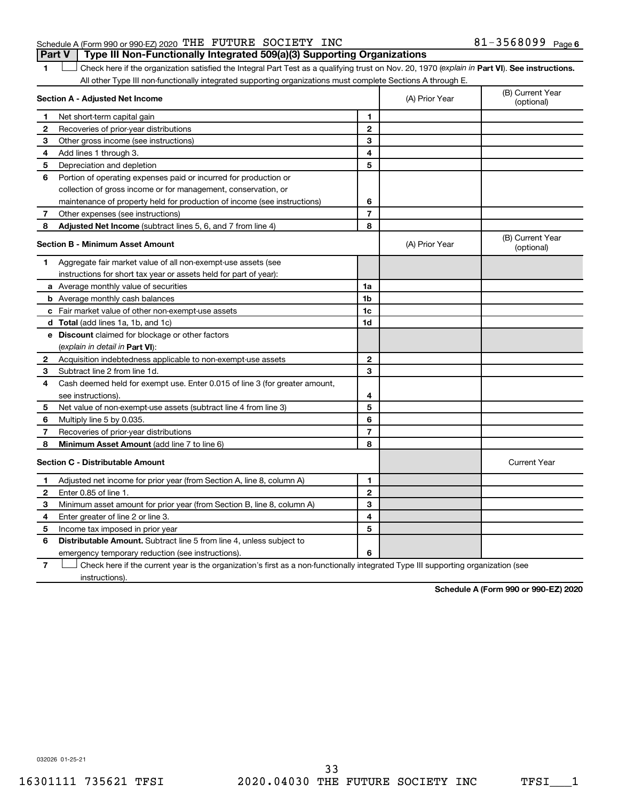#### Schedule A (Form 990 or 990-EZ) 2020 THE FUTURE SOCIETY INC  $81-3568099$  Page **Part V Type III Non-Functionally Integrated 509(a)(3) Supporting Organizations**

1 **Letter See instructions.** Check here if the organization satisfied the Integral Part Test as a qualifying trust on Nov. 20, 1970 (*explain in* Part **VI**). See instructions. All other Type III non-functionally integrated supporting organizations must complete Sections A through E.

|   | Section A - Adjusted Net Income                                                                                                   |                | (A) Prior Year | (B) Current Year<br>(optional) |
|---|-----------------------------------------------------------------------------------------------------------------------------------|----------------|----------------|--------------------------------|
| 1 | Net short-term capital gain                                                                                                       | 1              |                |                                |
| 2 | Recoveries of prior-year distributions                                                                                            | $\mathbf{2}$   |                |                                |
| З | Other gross income (see instructions)                                                                                             | 3              |                |                                |
| 4 | Add lines 1 through 3.                                                                                                            | 4              |                |                                |
| 5 | Depreciation and depletion                                                                                                        | 5              |                |                                |
| 6 | Portion of operating expenses paid or incurred for production or                                                                  |                |                |                                |
|   | collection of gross income or for management, conservation, or                                                                    |                |                |                                |
|   | maintenance of property held for production of income (see instructions)                                                          | 6              |                |                                |
| 7 | Other expenses (see instructions)                                                                                                 | 7              |                |                                |
| 8 | Adjusted Net Income (subtract lines 5, 6, and 7 from line 4)                                                                      | 8              |                |                                |
|   | <b>Section B - Minimum Asset Amount</b>                                                                                           |                | (A) Prior Year | (B) Current Year<br>(optional) |
| 1 | Aggregate fair market value of all non-exempt-use assets (see                                                                     |                |                |                                |
|   | instructions for short tax year or assets held for part of year):                                                                 |                |                |                                |
|   | a Average monthly value of securities                                                                                             | 1a             |                |                                |
|   | <b>b</b> Average monthly cash balances                                                                                            | 1 <sub>b</sub> |                |                                |
|   | c Fair market value of other non-exempt-use assets                                                                                | 1c             |                |                                |
|   | d Total (add lines 1a, 1b, and 1c)                                                                                                | 1d             |                |                                |
|   | e Discount claimed for blockage or other factors                                                                                  |                |                |                                |
|   | (explain in detail in <b>Part VI</b> ):                                                                                           |                |                |                                |
| 2 | Acquisition indebtedness applicable to non-exempt-use assets                                                                      | 2              |                |                                |
| 3 | Subtract line 2 from line 1d.                                                                                                     | 3              |                |                                |
| 4 | Cash deemed held for exempt use. Enter 0.015 of line 3 (for greater amount,                                                       |                |                |                                |
|   | see instructions).                                                                                                                | 4              |                |                                |
| 5 | Net value of non-exempt-use assets (subtract line 4 from line 3)                                                                  | 5              |                |                                |
| 6 | Multiply line 5 by 0.035.                                                                                                         | 6              |                |                                |
| 7 | Recoveries of prior-year distributions                                                                                            | 7              |                |                                |
| 8 | Minimum Asset Amount (add line 7 to line 6)                                                                                       | 8              |                |                                |
|   | <b>Section C - Distributable Amount</b>                                                                                           |                |                | <b>Current Year</b>            |
| 1 | Adjusted net income for prior year (from Section A, line 8, column A)                                                             | 1              |                |                                |
| 2 | Enter 0.85 of line 1.                                                                                                             | 2              |                |                                |
| 3 | Minimum asset amount for prior year (from Section B, line 8, column A)                                                            | 3              |                |                                |
| 4 | Enter greater of line 2 or line 3.                                                                                                | 4              |                |                                |
| 5 | Income tax imposed in prior year                                                                                                  | 5              |                |                                |
| 6 | <b>Distributable Amount.</b> Subtract line 5 from line 4, unless subject to                                                       |                |                |                                |
|   | emergency temporary reduction (see instructions).                                                                                 | 6              |                |                                |
| 7 | Check here if the current year is the organization's first as a non-functionally integrated Type III supporting organization (see |                |                |                                |

instructions).

**Schedule A (Form 990 or 990-EZ) 2020**

032026 01-25-21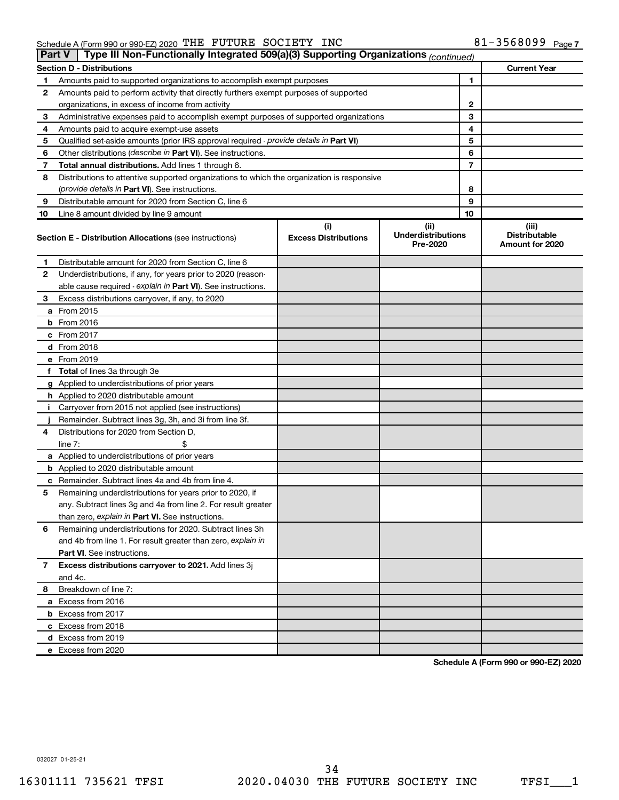#### Schedule A (Form 990 or 990-EZ) 2020 THE FUTURE SOCIETY INC 8I-3568U99 Page THE FUTURE SOCIETY INC 61-3568099

| Part V | Type III Non-Functionally Integrated 509(a)(3) Supporting Organizations (continued)        |                                    |                                               |                                                  |
|--------|--------------------------------------------------------------------------------------------|------------------------------------|-----------------------------------------------|--------------------------------------------------|
|        | <b>Section D - Distributions</b>                                                           |                                    |                                               | <b>Current Year</b>                              |
| 1      | Amounts paid to supported organizations to accomplish exempt purposes                      |                                    | 1                                             |                                                  |
| 2      | Amounts paid to perform activity that directly furthers exempt purposes of supported       |                                    |                                               |                                                  |
|        | organizations, in excess of income from activity                                           | 2                                  |                                               |                                                  |
| 3      | Administrative expenses paid to accomplish exempt purposes of supported organizations      |                                    | 3                                             |                                                  |
| 4      | Amounts paid to acquire exempt-use assets                                                  |                                    | 4                                             |                                                  |
| 5      | Qualified set-aside amounts (prior IRS approval required - provide details in Part VI)     |                                    | 5                                             |                                                  |
| 6      | Other distributions ( <i>describe in Part VI</i> ). See instructions.                      |                                    | 6                                             |                                                  |
| 7      | Total annual distributions. Add lines 1 through 6.                                         |                                    | 7                                             |                                                  |
| 8      | Distributions to attentive supported organizations to which the organization is responsive |                                    |                                               |                                                  |
|        | ( <i>provide details in Part VI</i> ). See instructions.                                   |                                    | 8                                             |                                                  |
| 9      | Distributable amount for 2020 from Section C, line 6                                       |                                    | 9                                             |                                                  |
| 10     | Line 8 amount divided by line 9 amount                                                     |                                    | 10                                            |                                                  |
|        | <b>Section E - Distribution Allocations (see instructions)</b>                             | (i)<br><b>Excess Distributions</b> | (ii)<br><b>Underdistributions</b><br>Pre-2020 | (iii)<br><b>Distributable</b><br>Amount for 2020 |
| 1      | Distributable amount for 2020 from Section C, line 6                                       |                                    |                                               |                                                  |
| 2      | Underdistributions, if any, for years prior to 2020 (reason-                               |                                    |                                               |                                                  |
|        | able cause required - explain in Part VI). See instructions.                               |                                    |                                               |                                                  |
| 3      | Excess distributions carryover, if any, to 2020                                            |                                    |                                               |                                                  |
|        | a From 2015                                                                                |                                    |                                               |                                                  |
|        | $b$ From 2016                                                                              |                                    |                                               |                                                  |
|        | c From 2017                                                                                |                                    |                                               |                                                  |
|        | <b>d</b> From 2018                                                                         |                                    |                                               |                                                  |
|        | e From 2019                                                                                |                                    |                                               |                                                  |
|        | f Total of lines 3a through 3e                                                             |                                    |                                               |                                                  |
|        | g Applied to underdistributions of prior years                                             |                                    |                                               |                                                  |
|        | h Applied to 2020 distributable amount                                                     |                                    |                                               |                                                  |
| Ť.     | Carryover from 2015 not applied (see instructions)                                         |                                    |                                               |                                                  |
|        | Remainder. Subtract lines 3g, 3h, and 3i from line 3f.                                     |                                    |                                               |                                                  |
| 4      | Distributions for 2020 from Section D,                                                     |                                    |                                               |                                                  |
|        | line $7:$                                                                                  |                                    |                                               |                                                  |
|        | a Applied to underdistributions of prior years                                             |                                    |                                               |                                                  |
|        | <b>b</b> Applied to 2020 distributable amount                                              |                                    |                                               |                                                  |
|        | c Remainder. Subtract lines 4a and 4b from line 4.                                         |                                    |                                               |                                                  |
| 5      | Remaining underdistributions for years prior to 2020, if                                   |                                    |                                               |                                                  |
|        | any. Subtract lines 3g and 4a from line 2. For result greater                              |                                    |                                               |                                                  |
|        | than zero, explain in Part VI. See instructions.                                           |                                    |                                               |                                                  |
| 6      | Remaining underdistributions for 2020. Subtract lines 3h                                   |                                    |                                               |                                                  |
|        | and 4b from line 1. For result greater than zero, explain in                               |                                    |                                               |                                                  |
|        | <b>Part VI.</b> See instructions.                                                          |                                    |                                               |                                                  |
| 7      | Excess distributions carryover to 2021. Add lines 3j                                       |                                    |                                               |                                                  |
|        | and 4c.                                                                                    |                                    |                                               |                                                  |
| 8      | Breakdown of line 7:                                                                       |                                    |                                               |                                                  |
|        | a Excess from 2016                                                                         |                                    |                                               |                                                  |
|        | <b>b</b> Excess from 2017                                                                  |                                    |                                               |                                                  |
|        | c Excess from 2018                                                                         |                                    |                                               |                                                  |
|        | d Excess from 2019                                                                         |                                    |                                               |                                                  |
|        | e Excess from 2020                                                                         |                                    |                                               |                                                  |

**Schedule A (Form 990 or 990-EZ) 2020**

032027 01-25-21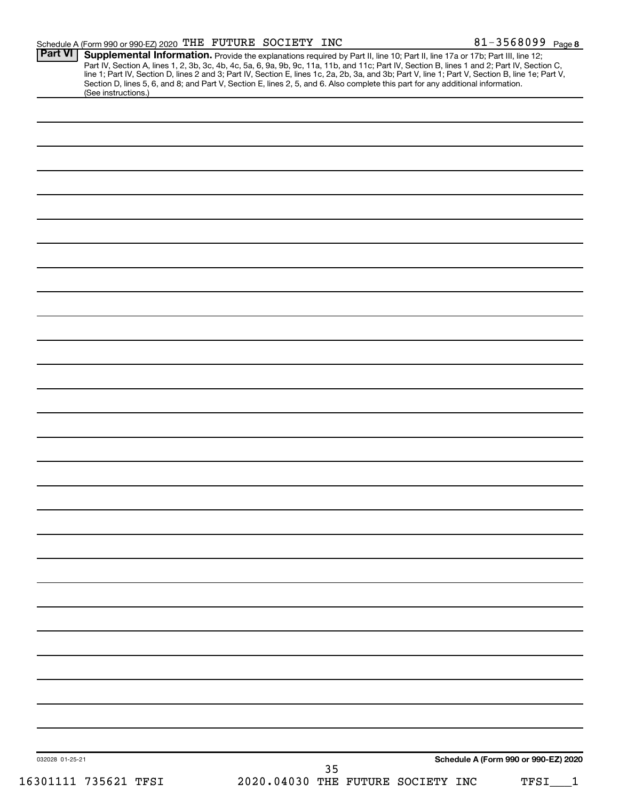|                 | Schedule A (Form 990 or 990-EZ) 2020 THE FUTURE SOCIETY INC |  |                                                                                                                                 | 81-3568099 Page 8                                                                                                                                                                                                                                                                                                                                                                                                                 |
|-----------------|-------------------------------------------------------------|--|---------------------------------------------------------------------------------------------------------------------------------|-----------------------------------------------------------------------------------------------------------------------------------------------------------------------------------------------------------------------------------------------------------------------------------------------------------------------------------------------------------------------------------------------------------------------------------|
| Part VI         | (See instructions.)                                         |  | Section D, lines 5, 6, and 8; and Part V, Section E, lines 2, 5, and 6. Also complete this part for any additional information. | Supplemental Information. Provide the explanations required by Part II, line 10; Part II, line 17a or 17b; Part III, line 12;<br>Part IV, Section A, lines 1, 2, 3b, 3c, 4b, 4c, 5a, 6, 9a, 9b, 9c, 11a, 11b, and 11c; Part IV, Section B, lines 1 and 2; Part IV, Section C,<br>line 1; Part IV, Section D, lines 2 and 3; Part IV, Section E, lines 1c, 2a, 2b, 3a, and 3b; Part V, line 1; Part V, Section B, line 1e; Part V, |
|                 |                                                             |  |                                                                                                                                 |                                                                                                                                                                                                                                                                                                                                                                                                                                   |
|                 |                                                             |  |                                                                                                                                 |                                                                                                                                                                                                                                                                                                                                                                                                                                   |
|                 |                                                             |  |                                                                                                                                 |                                                                                                                                                                                                                                                                                                                                                                                                                                   |
|                 |                                                             |  |                                                                                                                                 |                                                                                                                                                                                                                                                                                                                                                                                                                                   |
|                 |                                                             |  |                                                                                                                                 |                                                                                                                                                                                                                                                                                                                                                                                                                                   |
|                 |                                                             |  |                                                                                                                                 |                                                                                                                                                                                                                                                                                                                                                                                                                                   |
|                 |                                                             |  |                                                                                                                                 |                                                                                                                                                                                                                                                                                                                                                                                                                                   |
|                 |                                                             |  |                                                                                                                                 |                                                                                                                                                                                                                                                                                                                                                                                                                                   |
|                 |                                                             |  |                                                                                                                                 |                                                                                                                                                                                                                                                                                                                                                                                                                                   |
|                 |                                                             |  |                                                                                                                                 |                                                                                                                                                                                                                                                                                                                                                                                                                                   |
|                 |                                                             |  |                                                                                                                                 |                                                                                                                                                                                                                                                                                                                                                                                                                                   |
|                 |                                                             |  |                                                                                                                                 |                                                                                                                                                                                                                                                                                                                                                                                                                                   |
|                 |                                                             |  |                                                                                                                                 |                                                                                                                                                                                                                                                                                                                                                                                                                                   |
|                 |                                                             |  |                                                                                                                                 |                                                                                                                                                                                                                                                                                                                                                                                                                                   |
|                 |                                                             |  |                                                                                                                                 |                                                                                                                                                                                                                                                                                                                                                                                                                                   |
|                 |                                                             |  |                                                                                                                                 |                                                                                                                                                                                                                                                                                                                                                                                                                                   |
|                 |                                                             |  |                                                                                                                                 |                                                                                                                                                                                                                                                                                                                                                                                                                                   |
|                 |                                                             |  |                                                                                                                                 |                                                                                                                                                                                                                                                                                                                                                                                                                                   |
|                 |                                                             |  |                                                                                                                                 |                                                                                                                                                                                                                                                                                                                                                                                                                                   |
|                 |                                                             |  |                                                                                                                                 |                                                                                                                                                                                                                                                                                                                                                                                                                                   |
|                 |                                                             |  |                                                                                                                                 |                                                                                                                                                                                                                                                                                                                                                                                                                                   |
|                 |                                                             |  |                                                                                                                                 |                                                                                                                                                                                                                                                                                                                                                                                                                                   |
|                 |                                                             |  |                                                                                                                                 |                                                                                                                                                                                                                                                                                                                                                                                                                                   |
|                 |                                                             |  |                                                                                                                                 |                                                                                                                                                                                                                                                                                                                                                                                                                                   |
|                 |                                                             |  |                                                                                                                                 |                                                                                                                                                                                                                                                                                                                                                                                                                                   |
|                 |                                                             |  |                                                                                                                                 |                                                                                                                                                                                                                                                                                                                                                                                                                                   |
|                 |                                                             |  |                                                                                                                                 |                                                                                                                                                                                                                                                                                                                                                                                                                                   |
|                 |                                                             |  |                                                                                                                                 |                                                                                                                                                                                                                                                                                                                                                                                                                                   |
|                 |                                                             |  |                                                                                                                                 |                                                                                                                                                                                                                                                                                                                                                                                                                                   |
|                 |                                                             |  |                                                                                                                                 |                                                                                                                                                                                                                                                                                                                                                                                                                                   |
|                 |                                                             |  |                                                                                                                                 |                                                                                                                                                                                                                                                                                                                                                                                                                                   |
|                 |                                                             |  |                                                                                                                                 |                                                                                                                                                                                                                                                                                                                                                                                                                                   |
|                 |                                                             |  |                                                                                                                                 |                                                                                                                                                                                                                                                                                                                                                                                                                                   |
|                 |                                                             |  |                                                                                                                                 |                                                                                                                                                                                                                                                                                                                                                                                                                                   |
| 032028 01-25-21 |                                                             |  | 35                                                                                                                              | Schedule A (Form 990 or 990-EZ) 2020                                                                                                                                                                                                                                                                                                                                                                                              |
|                 | 16301111 735621 TFSI                                        |  | 2020.04030 THE FUTURE SOCIETY INC                                                                                               | TFSI                                                                                                                                                                                                                                                                                                                                                                                                                              |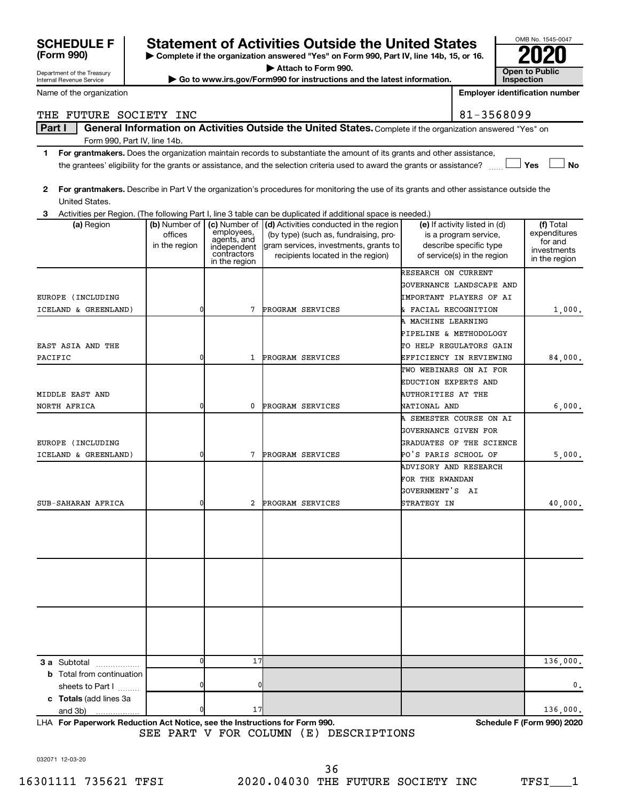| <b>SCHEDULE F</b>                |               |                              | <b>Statement of Activities Outside the United States</b>                                                                                                                     |                           |                               | OMB No. 1545-0047                     |
|----------------------------------|---------------|------------------------------|------------------------------------------------------------------------------------------------------------------------------------------------------------------------------|---------------------------|-------------------------------|---------------------------------------|
| (Form 990)                       |               |                              | Complete if the organization answered "Yes" on Form 990, Part IV, line 14b, 15, or 16.                                                                                       |                           |                               |                                       |
| Department of the Treasury       |               |                              | Attach to Form 990.                                                                                                                                                          |                           |                               | <b>Open to Public</b>                 |
| Internal Revenue Service         |               |                              | Go to www.irs.gov/Form990 for instructions and the latest information.                                                                                                       |                           |                               | Inspection                            |
| Name of the organization         |               |                              |                                                                                                                                                                              |                           |                               | <b>Employer identification number</b> |
| THE FUTURE SOCIETY INC           |               |                              |                                                                                                                                                                              |                           | 81-3568099                    |                                       |
| Part I                           |               |                              | General Information on Activities Outside the United States. Complete if the organization answered "Yes" on                                                                  |                           |                               |                                       |
| Form 990, Part IV, line 14b.     |               |                              |                                                                                                                                                                              |                           |                               |                                       |
| 1.                               |               |                              | For grantmakers. Does the organization maintain records to substantiate the amount of its grants and other assistance,                                                       |                           |                               |                                       |
|                                  |               |                              | the grantees' eligibility for the grants or assistance, and the selection criteria used to award the grants or assistance?                                                   |                           |                               | Yes<br><b>No</b>                      |
|                                  |               |                              |                                                                                                                                                                              |                           |                               |                                       |
| 2                                |               |                              | For grantmakers. Describe in Part V the organization's procedures for monitoring the use of its grants and other assistance outside the                                      |                           |                               |                                       |
| United States.                   |               |                              |                                                                                                                                                                              |                           |                               |                                       |
| З<br>(a) Region                  | (b) Number of |                              | Activities per Region. (The following Part I, line 3 table can be duplicated if additional space is needed.)<br>(c) Number of $\vert$ (d) Activities conducted in the region |                           | (e) If activity listed in (d) | $(f)$ Total                           |
|                                  | offices       | employees,<br>agents, and    | (by type) (such as, fundraising, pro-                                                                                                                                        |                           | is a program service,         | expenditures                          |
|                                  | in the region | independent                  | gram services, investments, grants to                                                                                                                                        |                           | describe specific type        | for and<br>investments                |
|                                  |               | contractors<br>in the region | recipients located in the region)                                                                                                                                            |                           | of service(s) in the region   | in the region                         |
|                                  |               |                              |                                                                                                                                                                              | RESEARCH ON CURRENT       |                               |                                       |
|                                  |               |                              |                                                                                                                                                                              |                           | GOVERNANCE LANDSCAPE AND      |                                       |
| EUROPE (INCLUDING                |               |                              |                                                                                                                                                                              |                           | IMPORTANT PLAYERS OF AI       |                                       |
| ICELAND & GREENLAND)             | 0             | 7                            | PROGRAM SERVICES                                                                                                                                                             | & FACIAL RECOGNITION      |                               | 1,000.                                |
|                                  |               |                              |                                                                                                                                                                              | A MACHINE LEARNING        |                               |                                       |
|                                  |               |                              |                                                                                                                                                                              |                           | PIPELINE & METHODOLOGY        |                                       |
| EAST ASIA AND THE                |               |                              |                                                                                                                                                                              |                           | TO HELP REGULATORS GAIN       |                                       |
| PACIFIC                          | 0             | 1                            | PROGRAM SERVICES                                                                                                                                                             |                           | EFFICIENCY IN REVIEWING       | 84,000.                               |
|                                  |               |                              |                                                                                                                                                                              |                           | TWO WEBINARS ON AI FOR        |                                       |
|                                  |               |                              |                                                                                                                                                                              | EDUCTION EXPERTS AND      |                               |                                       |
| MIDDLE EAST AND                  |               |                              |                                                                                                                                                                              | <b>AUTHORITIES AT THE</b> |                               |                                       |
| NORTH AFRICA                     | 0             | 0                            | PROGRAM SERVICES                                                                                                                                                             | NATIONAL AND              | A SEMESTER COURSE ON AI       | 6,000.                                |
|                                  |               |                              |                                                                                                                                                                              | GOVERNANCE GIVEN FOR      |                               |                                       |
| EUROPE (INCLUDING                |               |                              |                                                                                                                                                                              |                           | GRADUATES OF THE SCIENCE      |                                       |
| ICELAND & GREENLAND)             | 0             | 7                            | PROGRAM SERVICES                                                                                                                                                             | PO'S PARIS SCHOOL OF      |                               | 5,000.                                |
|                                  |               |                              |                                                                                                                                                                              | ADVISORY AND RESEARCH     |                               |                                       |
|                                  |               |                              |                                                                                                                                                                              | FOR THE RWANDAN           |                               |                                       |
|                                  |               |                              |                                                                                                                                                                              | GOVERNMENT'S AI           |                               |                                       |
| SUB-SAHARAN AFRICA               | 0             | 2                            | PROGRAM SERVICES                                                                                                                                                             | STRATEGY IN               |                               | 40,000.                               |
|                                  |               |                              |                                                                                                                                                                              |                           |                               |                                       |
|                                  |               |                              |                                                                                                                                                                              |                           |                               |                                       |
|                                  |               |                              |                                                                                                                                                                              |                           |                               |                                       |
|                                  |               |                              |                                                                                                                                                                              |                           |                               |                                       |
|                                  |               |                              |                                                                                                                                                                              |                           |                               |                                       |
|                                  |               |                              |                                                                                                                                                                              |                           |                               |                                       |
|                                  |               |                              |                                                                                                                                                                              |                           |                               |                                       |
|                                  |               |                              |                                                                                                                                                                              |                           |                               |                                       |
|                                  |               |                              |                                                                                                                                                                              |                           |                               |                                       |
|                                  |               |                              |                                                                                                                                                                              |                           |                               |                                       |
|                                  |               |                              |                                                                                                                                                                              |                           |                               |                                       |
| 3 a Subtotal                     |               | 17                           |                                                                                                                                                                              |                           |                               | 136,000.                              |
| <b>b</b> Total from continuation |               |                              |                                                                                                                                                                              |                           |                               |                                       |
| sheets to Part I                 | 0             | 0                            |                                                                                                                                                                              |                           |                               | 0.                                    |
| c Totals (add lines 3a           |               |                              |                                                                                                                                                                              |                           |                               |                                       |
| and 3b)                          |               | 17                           |                                                                                                                                                                              |                           |                               | 136,000.                              |

**For Paperwork Reduction Act Notice, see the Instructions for Form 990. Schedule F (Form 990) 2020** LHA SEE PART V FOR COLUMN (E) DESCRIPTIONS

032071 12-03-20

OMB No. 1545-0047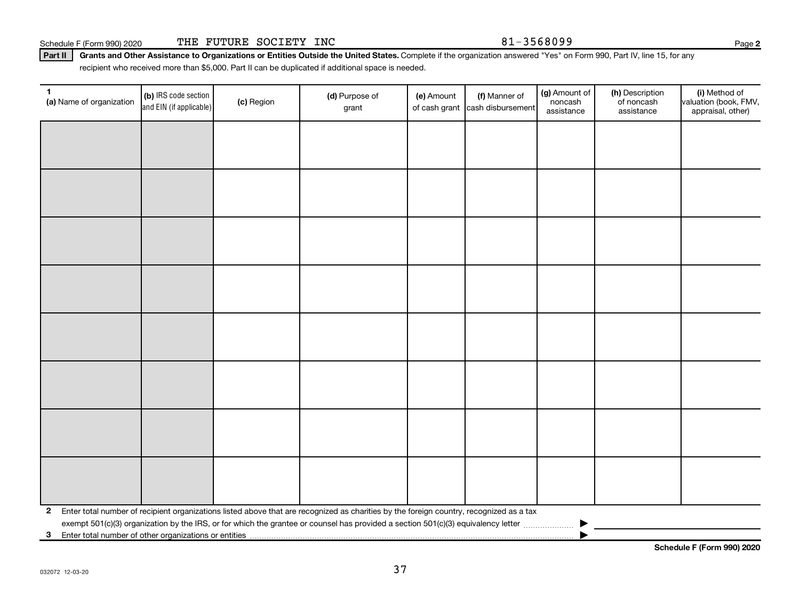Schedule F (Form 990) 2020 THE FUTURE SOCIETY INC  $81-3568099$ 

Part II | Grants and Other Assistance to Organizations or Entities Outside the United States. Complete if the organization answered "Yes" on Form 990, Part IV, line 15, for any recipient who received more than \$5,000. Part II can be duplicated if additional space is needed.

| (a) Name of organization | (b) IRS code section<br>and EIN (if applicable) | (c) Region | (d) Purpose of<br>grant                                                                                                                 | (e) Amount<br>of cash grant | (f) Manner of<br>cash disbursement | (g) Amount of<br>noncash<br>assistance | (h) Description<br>of noncash<br>assistance | (i) Method of<br>valuation (book, FMV,<br>appraisal, other) |  |  |
|--------------------------|-------------------------------------------------|------------|-----------------------------------------------------------------------------------------------------------------------------------------|-----------------------------|------------------------------------|----------------------------------------|---------------------------------------------|-------------------------------------------------------------|--|--|
|                          |                                                 |            |                                                                                                                                         |                             |                                    |                                        |                                             |                                                             |  |  |
|                          |                                                 |            |                                                                                                                                         |                             |                                    |                                        |                                             |                                                             |  |  |
|                          |                                                 |            |                                                                                                                                         |                             |                                    |                                        |                                             |                                                             |  |  |
|                          |                                                 |            |                                                                                                                                         |                             |                                    |                                        |                                             |                                                             |  |  |
|                          |                                                 |            |                                                                                                                                         |                             |                                    |                                        |                                             |                                                             |  |  |
|                          |                                                 |            |                                                                                                                                         |                             |                                    |                                        |                                             |                                                             |  |  |
|                          |                                                 |            |                                                                                                                                         |                             |                                    |                                        |                                             |                                                             |  |  |
|                          |                                                 |            |                                                                                                                                         |                             |                                    |                                        |                                             |                                                             |  |  |
|                          |                                                 |            |                                                                                                                                         |                             |                                    |                                        |                                             |                                                             |  |  |
|                          |                                                 |            |                                                                                                                                         |                             |                                    |                                        |                                             |                                                             |  |  |
|                          |                                                 |            |                                                                                                                                         |                             |                                    |                                        |                                             |                                                             |  |  |
|                          |                                                 |            |                                                                                                                                         |                             |                                    |                                        |                                             |                                                             |  |  |
|                          |                                                 |            |                                                                                                                                         |                             |                                    |                                        |                                             |                                                             |  |  |
|                          |                                                 |            |                                                                                                                                         |                             |                                    |                                        |                                             |                                                             |  |  |
|                          |                                                 |            |                                                                                                                                         |                             |                                    |                                        |                                             |                                                             |  |  |
|                          |                                                 |            |                                                                                                                                         |                             |                                    |                                        |                                             |                                                             |  |  |
| $\mathbf{2}$             |                                                 |            | Enter total number of recipient organizations listed above that are recognized as charities by the foreign country, recognized as a tax |                             |                                    |                                        |                                             |                                                             |  |  |
|                          |                                                 |            |                                                                                                                                         |                             |                                    |                                        |                                             |                                                             |  |  |
| $3^{\circ}$              |                                                 |            |                                                                                                                                         |                             |                                    |                                        |                                             |                                                             |  |  |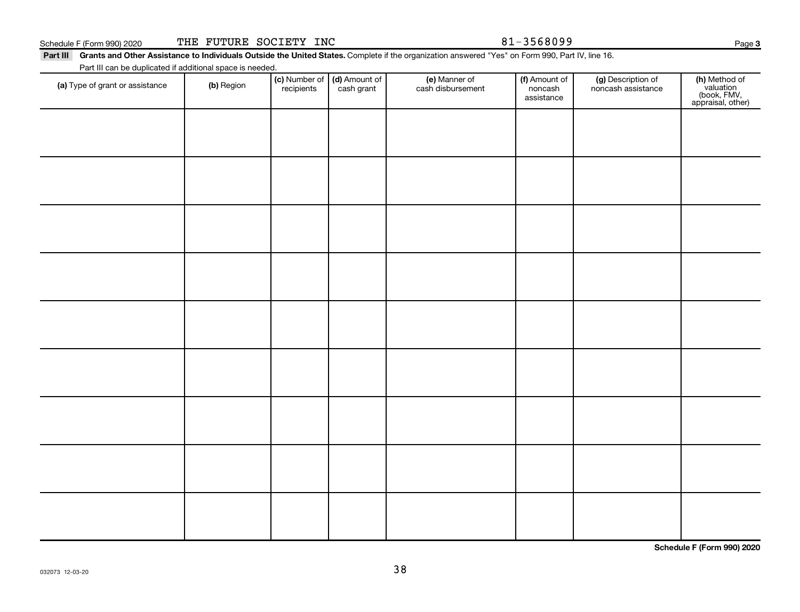032073 12-03-20

Part III Grants and Other Assistance to Individuals Outside the United States. Complete if the organization answered "Yes" on Form 990, Part IV, line 16. Part III can be duplicated if additional space is needed.

| Part in can be duplicated if additional space is needed. |            |                             |                             |                                    |                                        |                                          |                                                                |
|----------------------------------------------------------|------------|-----------------------------|-----------------------------|------------------------------------|----------------------------------------|------------------------------------------|----------------------------------------------------------------|
| (a) Type of grant or assistance                          | (b) Region | (c) Number of<br>recipients | (d) Amount of<br>cash grant | (e) Manner of<br>cash disbursement | (f) Amount of<br>noncash<br>assistance | (g) Description of<br>noncash assistance | (h) Method of<br>valuation<br>(book, FMV,<br>appraisal, other) |
|                                                          |            |                             |                             |                                    |                                        |                                          |                                                                |
|                                                          |            |                             |                             |                                    |                                        |                                          |                                                                |
|                                                          |            |                             |                             |                                    |                                        |                                          |                                                                |
|                                                          |            |                             |                             |                                    |                                        |                                          |                                                                |
|                                                          |            |                             |                             |                                    |                                        |                                          |                                                                |
|                                                          |            |                             |                             |                                    |                                        |                                          |                                                                |
|                                                          |            |                             |                             |                                    |                                        |                                          |                                                                |
|                                                          |            |                             |                             |                                    |                                        |                                          |                                                                |
|                                                          |            |                             |                             |                                    |                                        |                                          |                                                                |
|                                                          |            |                             |                             |                                    |                                        |                                          |                                                                |
|                                                          |            |                             |                             |                                    |                                        |                                          |                                                                |
|                                                          |            |                             |                             |                                    |                                        |                                          |                                                                |
|                                                          |            |                             |                             |                                    |                                        |                                          |                                                                |
|                                                          |            |                             |                             |                                    |                                        |                                          |                                                                |
|                                                          |            |                             |                             |                                    |                                        |                                          |                                                                |
|                                                          |            |                             |                             |                                    |                                        |                                          |                                                                |
|                                                          |            |                             |                             |                                    |                                        |                                          |                                                                |
|                                                          |            |                             |                             |                                    |                                        |                                          |                                                                |

38

**Schedule F (Form 990) 2020**

| THE<br>Schedule F (Form 990) 2020 | <b>FUTURE</b> | SOCIETY | INC | 568099 |
|-----------------------------------|---------------|---------|-----|--------|
|-----------------------------------|---------------|---------|-----|--------|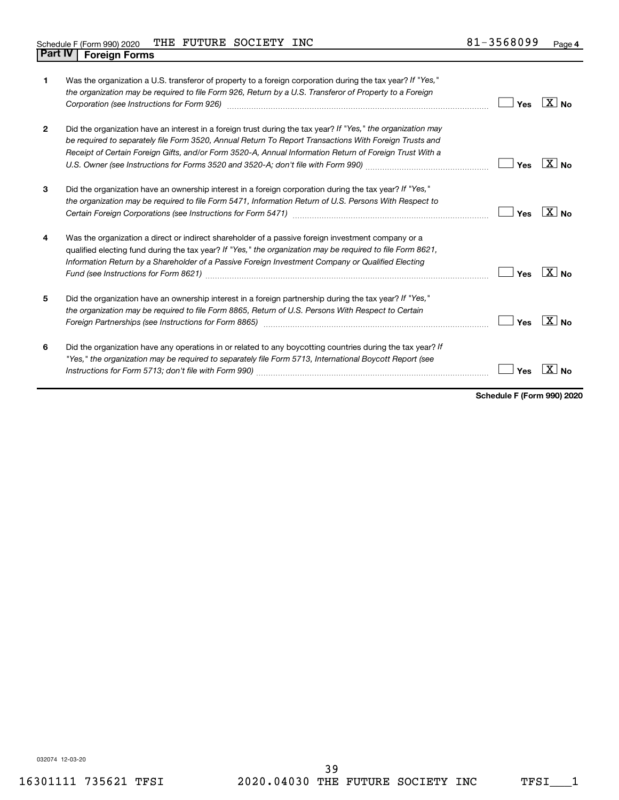| Schedule F (Form 990) 2020     |  | THE FUTURE SOCIETY | INC | 1-3568099 | Page 4 |
|--------------------------------|--|--------------------|-----|-----------|--------|
| <b>Part IV   Foreign Forms</b> |  |                    |     |           |        |

|              | Was the organization a U.S. transferor of property to a foreign corporation during the tax year? If "Yes,"<br>the organization may be required to file Form 926, Return by a U.S. Transferor of Property to a Foreign<br>Corporation (see Instructions for Form 926) manufactured controller controller to the control of the control of | Yes | $X $ No           |
|--------------|------------------------------------------------------------------------------------------------------------------------------------------------------------------------------------------------------------------------------------------------------------------------------------------------------------------------------------------|-----|-------------------|
| $\mathbf{2}$ | Did the organization have an interest in a foreign trust during the tax year? If "Yes," the organization may<br>be required to separately file Form 3520, Annual Return To Report Transactions With Foreign Trusts and<br>Receipt of Certain Foreign Gifts, and/or Form 3520-A, Annual Information Return of Foreign Trust With a        | Yes | $X _{\text{No}}$  |
| 3            | Did the organization have an ownership interest in a foreign corporation during the tax year? If "Yes,"<br>the organization may be required to file Form 5471, Information Return of U.S. Persons With Respect to                                                                                                                        | Yes | $X _{\text{No}}$  |
| 4            | Was the organization a direct or indirect shareholder of a passive foreign investment company or a<br>qualified electing fund during the tax year? If "Yes," the organization may be required to file Form 8621,<br>Information Return by a Shareholder of a Passive Foreign Investment Company or Qualified Electing                    | Yes | $\overline{X}$ No |
| 5            | Did the organization have an ownership interest in a foreign partnership during the tax year? If "Yes,"<br>the organization may be required to file Form 8865, Return of U.S. Persons With Respect to Certain                                                                                                                            | Yes | $X _{\text{No}}$  |
| 6            | Did the organization have any operations in or related to any boycotting countries during the tax year? If<br>"Yes," the organization may be required to separately file Form 5713, International Boycott Report (see                                                                                                                    | Yes |                   |

**Schedule F (Form 990) 2020**

032074 12-03-20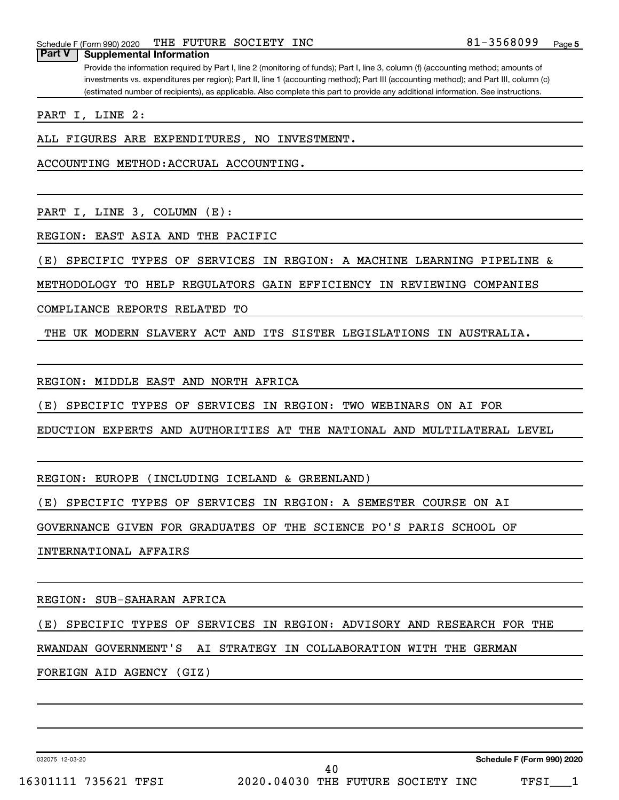**Part V Supplemental Information**

Provide the information required by Part I, line 2 (monitoring of funds); Part I, line 3, column (f) (accounting method; amounts of investments vs. expenditures per region); Part II, line 1 (accounting method); Part III (accounting method); and Part III, column (c) (estimated number of recipients), as applicable. Also complete this part to provide any additional information. See instructions.

PART I, LINE 2:

ALL FIGURES ARE EXPENDITURES, NO INVESTMENT.

ACCOUNTING METHOD:ACCRUAL ACCOUNTING.

PART I, LINE 3, COLUMN (E):

REGION: EAST ASIA AND THE PACIFIC

(E) SPECIFIC TYPES OF SERVICES IN REGION: A MACHINE LEARNING PIPELINE &

METHODOLOGY TO HELP REGULATORS GAIN EFFICIENCY IN REVIEWING COMPANIES

COMPLIANCE REPORTS RELATED TO

THE UK MODERN SLAVERY ACT AND ITS SISTER LEGISLATIONS IN AUSTRALIA.

REGION: MIDDLE EAST AND NORTH AFRICA

(E) SPECIFIC TYPES OF SERVICES IN REGION: TWO WEBINARS ON AI FOR

EDUCTION EXPERTS AND AUTHORITIES AT THE NATIONAL AND MULTILATERAL LEVEL

REGION: EUROPE (INCLUDING ICELAND & GREENLAND)

(E) SPECIFIC TYPES OF SERVICES IN REGION: A SEMESTER COURSE ON AI

GOVERNANCE GIVEN FOR GRADUATES OF THE SCIENCE PO'S PARIS SCHOOL OF

INTERNATIONAL AFFAIRS

REGION: SUB-SAHARAN AFRICA

(E) SPECIFIC TYPES OF SERVICES IN REGION: ADVISORY AND RESEARCH FOR THE

RWANDAN GOVERNMENT'S AI STRATEGY IN COLLABORATION WITH THE GERMAN

FOREIGN AID AGENCY (GIZ)

032075 12-03-20

**Schedule F (Form 990) 2020**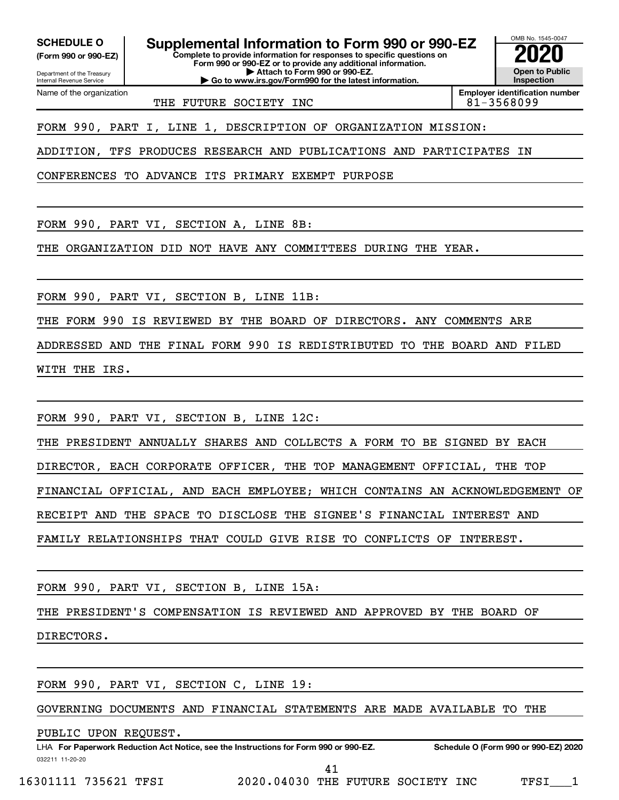Department of the Treasury **(Form 990 or 990-EZ)**

Name of the organization

Internal Revenue Service

**SCHEDULE O Supplemental Information to Form 990 or 990-EZ 2020**<br>(Form 990 or 990-EZ) **2020** 

**Complete to provide information for responses to specific questions on Form 990 or 990-EZ or to provide any additional information. | Attach to Form 990 or 990-EZ.**

**| Go to www.irs.gov/Form990 for the latest information.**

OMB No. 1545-0047 **Open to Public Inspection**

THE FUTURE SOCIETY INC 81-3568099

**Employer identification number**

FORM 990, PART I, LINE 1, DESCRIPTION OF ORGANIZATION MISSION:

ADDITION, TFS PRODUCES RESEARCH AND PUBLICATIONS AND PARTICIPATES IN

CONFERENCES TO ADVANCE ITS PRIMARY EXEMPT PURPOSE

FORM 990, PART VI, SECTION A, LINE 8B:

THE ORGANIZATION DID NOT HAVE ANY COMMITTEES DURING THE YEAR.

FORM 990, PART VI, SECTION B, LINE 11B:

THE FORM 990 IS REVIEWED BY THE BOARD OF DIRECTORS. ANY COMMENTS ARE

ADDRESSED AND THE FINAL FORM 990 IS REDISTRIBUTED TO THE BOARD AND FILED

WITH THE IRS.

FORM 990, PART VI, SECTION B, LINE 12C:

THE PRESIDENT ANNUALLY SHARES AND COLLECTS A FORM TO BE SIGNED BY EACH

DIRECTOR, EACH CORPORATE OFFICER, THE TOP MANAGEMENT OFFICIAL, THE TOP

FINANCIAL OFFICIAL, AND EACH EMPLOYEE; WHICH CONTAINS AN ACKNOWLEDGEMENT OF

RECEIPT AND THE SPACE TO DISCLOSE THE SIGNEE'S FINANCIAL INTEREST AND

FAMILY RELATIONSHIPS THAT COULD GIVE RISE TO CONFLICTS OF INTEREST.

FORM 990, PART VI, SECTION B, LINE 15A:

THE PRESIDENT'S COMPENSATION IS REVIEWED AND APPROVED BY THE BOARD OF

DIRECTORS.

FORM 990, PART VI, SECTION C, LINE 19:

GOVERNING DOCUMENTS AND FINANCIAL STATEMENTS ARE MADE AVAILABLE TO THE

PUBLIC UPON REQUEST.

032211 11-20-20 **For Paperwork Reduction Act Notice, see the Instructions for Form 990 or 990-EZ. Schedule O (Form 990 or 990-EZ) 2020** LHA

16301111 735621 TFSI 2020.04030 THE FUTURE SOCIETY INC TFSI\_\_\_1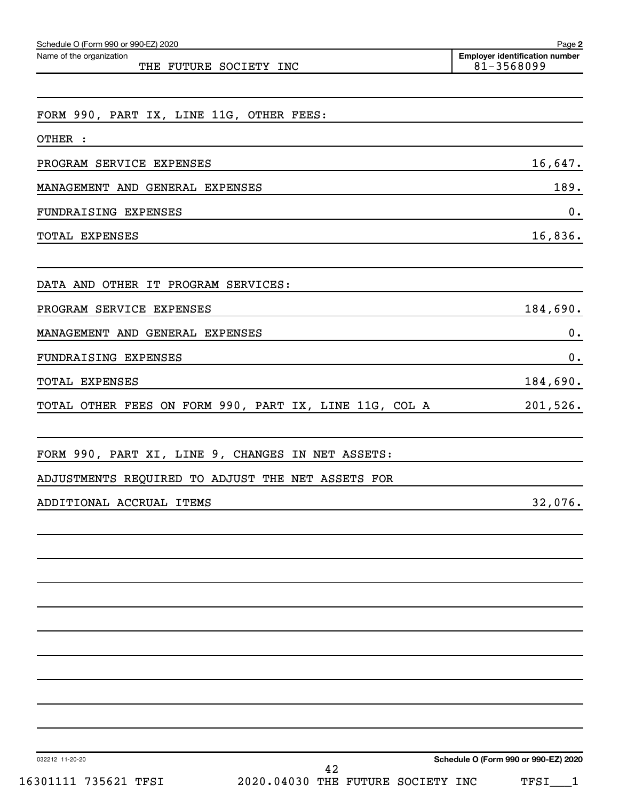| Schedule O (Form 990 or 990-EZ) 2020                   | Page 2                                              |  |
|--------------------------------------------------------|-----------------------------------------------------|--|
| Name of the organization<br>THE FUTURE SOCIETY INC     | <b>Employer identification number</b><br>81-3568099 |  |
|                                                        |                                                     |  |
| FORM 990, PART IX, LINE 11G, OTHER FEES:               |                                                     |  |
| OTHER :                                                |                                                     |  |
| PROGRAM SERVICE EXPENSES                               | 16,647.                                             |  |
| MANAGEMENT AND GENERAL EXPENSES                        | 189.                                                |  |
| FUNDRAISING EXPENSES                                   | $0$ .                                               |  |
| TOTAL EXPENSES                                         | 16,836.                                             |  |
|                                                        |                                                     |  |
| DATA AND OTHER IT PROGRAM SERVICES:                    |                                                     |  |
| PROGRAM SERVICE EXPENSES                               | 184,690.                                            |  |
| MANAGEMENT AND GENERAL EXPENSES                        | $0$ .                                               |  |
| FUNDRAISING EXPENSES                                   | $0$ .                                               |  |
| TOTAL EXPENSES                                         | 184,690.                                            |  |
| TOTAL OTHER FEES ON FORM 990, PART IX, LINE 11G, COL A | 201,526.                                            |  |
|                                                        |                                                     |  |
| FORM 990, PART XI, LINE 9, CHANGES IN NET ASSETS:      |                                                     |  |
| ADJUSTMENTS REQUIRED TO ADJUST THE NET ASSETS FOR      |                                                     |  |
| ADDITIONAL ACCRUAL ITEMS                               | 32,076.                                             |  |
|                                                        |                                                     |  |
|                                                        |                                                     |  |
|                                                        |                                                     |  |
|                                                        |                                                     |  |
|                                                        |                                                     |  |
|                                                        |                                                     |  |
|                                                        |                                                     |  |
|                                                        |                                                     |  |
|                                                        |                                                     |  |
|                                                        |                                                     |  |
| 032212 11-20-20<br>42                                  | Schedule O (Form 990 or 990-EZ) 2020                |  |

16301111 735621 TFSI 2020.04030 THE FUTURE SOCIETY INC TFSI\_\_\_1